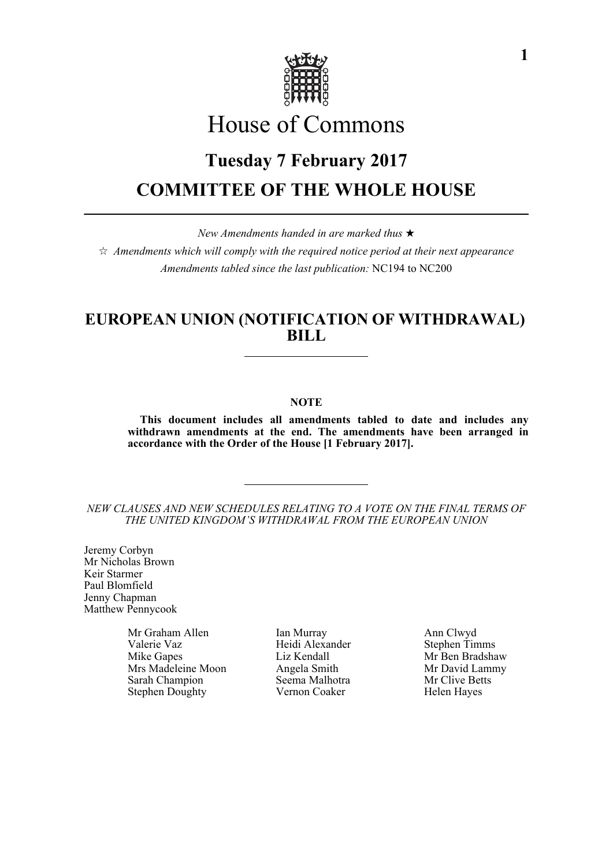

# House of Commons

# **Tuesday 7 February 2017 COMMITTEE OF THE WHOLE HOUSE**

*New Amendments handed in are marked thus* 

 $\hat{\varphi}$  Amendments which will comply with the required notice period at their next appearance *Amendments tabled since the last publication:* NC194 to NC200

## **EUROPEAN UNION (NOTIFICATION OF WITHDRAWAL) BILL**

## **NOTE**

**This document includes all amendments tabled to date and includes any withdrawn amendments at the end. The amendments have been arranged in accordance with the Order of the House [1 February 2017].**

*NEW CLAUSES AND NEW SCHEDULES RELATING TO A VOTE ON THE FINAL TERMS OF THE UNITED KINGDOM'S WITHDRAWAL FROM THE EUROPEAN UNION*

Jeremy Corbyn Mr Nicholas Brown Keir Starmer Paul Blomfield Jenny Chapman Matthew Pennycook

> Valerie Vaz **Heidi Alexander** Stephen Timms Mike Gapes Liz Kendall Mr Ben Bradshaw Mrs Madeleine Moon Angela Smith Mr David Lammy<br>
> Sarah Champion Seema Malhotra Mr Clive Betts Stephen Doughty Vernon Coaker Helen Hayes

Mr Graham Allen Ian Murray Ann Clwyd Seema Malhotra Mr Clive Betts<br>
Vernon Coaker Helen Haves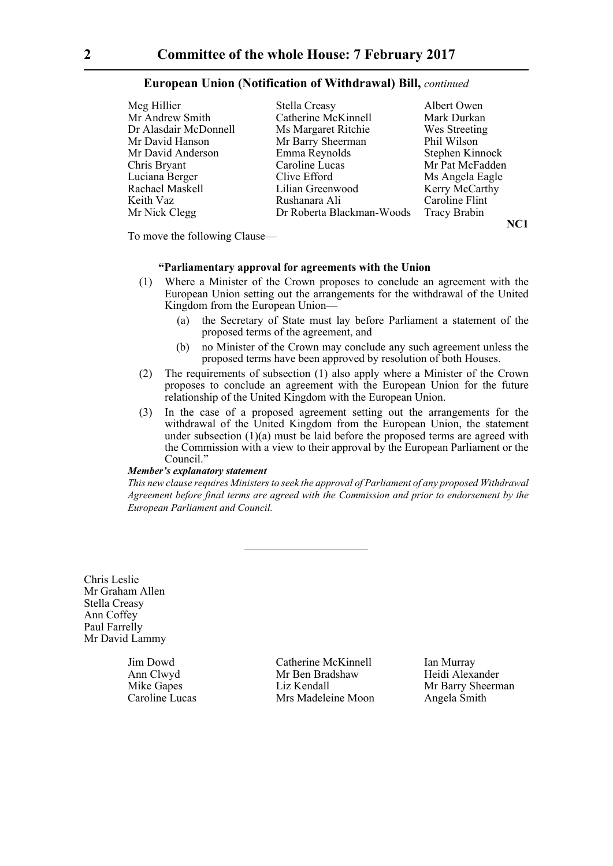| Meg Hillier           | Stella Creasy             | Albert Owen     |
|-----------------------|---------------------------|-----------------|
| Mr Andrew Smith       | Catherine McKinnell       | Mark Durkan     |
| Dr Alasdair McDonnell | Ms Margaret Ritchie       | Wes Streeting   |
| Mr David Hanson       | Mr Barry Sheerman         | Phil Wilson     |
| Mr David Anderson     | Emma Reynolds             | Stephen Kinnock |
| Chris Bryant          | Caroline Lucas            | Mr Pat McFadden |
| Luciana Berger        | Clive Efford              | Ms Angela Eagle |
| Rachael Maskell       | Lilian Greenwood          | Kerry McCarthy  |
| Keith Vaz             | Rushanara Ali             | Caroline Flint  |
| Mr Nick Clegg         | Dr Roberta Blackman-Woods | Tracy Brabin    |

**NC1**

To move the following Clause—

## **"Parliamentary approval for agreements with the Union**

- (1) Where a Minister of the Crown proposes to conclude an agreement with the European Union setting out the arrangements for the withdrawal of the United Kingdom from the European Union—
	- (a) the Secretary of State must lay before Parliament a statement of the proposed terms of the agreement, and
	- (b) no Minister of the Crown may conclude any such agreement unless the proposed terms have been approved by resolution of both Houses.
- (2) The requirements of subsection (1) also apply where a Minister of the Crown proposes to conclude an agreement with the European Union for the future relationship of the United Kingdom with the European Union.
- (3) In the case of a proposed agreement setting out the arrangements for the withdrawal of the United Kingdom from the European Union, the statement under subsection  $(1)(a)$  must be laid before the proposed terms are agreed with the Commission with a view to their approval by the European Parliament or the Council<sup>"</sup>

## *Member's explanatory statement*

*This new clause requires Ministers to seek the approval of Parliament of any proposed Withdrawal Agreement before final terms are agreed with the Commission and prior to endorsement by the European Parliament and Council.*

Chris Leslie Mr Graham Allen Stella Creasy Ann Coffey Paul Farrelly Mr David Lammy

Jim Dowd Catherine McKinnell Ian Murray Ann Clwyd Mr Ben Bradshaw Heidi Alexander Mike Gapes **Liz Kendall** Mr Barry Sheerman Caroline Lucas Mrs Madeleine Moon Angela Smith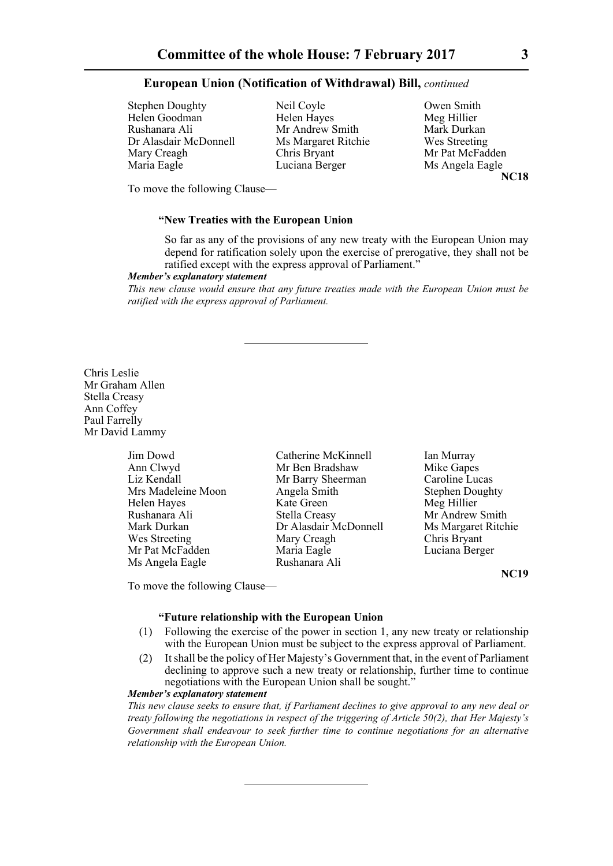Stephen Doughty<br>
Helen Goodman<br>
Helen Hayes<br>
Meg Hillier<br>
Meg Hillier Helen Goodman Helen Hayes Meg Hillier<br>
Rushanara Ali Mr Andrew Smith Mark Durkan Rushanara Ali Mr Andrew Smith Dr Alasdair McDonnell Ms Margaret Ritchie Wes Streeting Mary Creagh Chris Bryant Mr Pat McFadden Maria Eagle Luciana Berger Ms Angela Eagle

**NC18**

To move the following Clause—

#### **"New Treaties with the European Union**

So far as any of the provisions of any new treaty with the European Union may depend for ratification solely upon the exercise of prerogative, they shall not be ratified except with the express approval of Parliament."

#### *Member's explanatory statement*

*This new clause would ensure that any future treaties made with the European Union must be ratified with the express approval of Parliament.*

Chris Leslie Mr Graham Allen Stella Creasy Ann Coffey Paul Farrelly Mr David Lammy

| Jim Dowd           | Catherine McKinnell   | Ian Murray             |
|--------------------|-----------------------|------------------------|
| Ann Clwyd          | Mr Ben Bradshaw       | Mike Gapes             |
| Liz Kendall        | Mr Barry Sheerman     | Caroline Lucas         |
| Mrs Madeleine Moon | Angela Smith          | <b>Stephen Doughty</b> |
| Helen Hayes        | Kate Green            | Meg Hillier            |
| Rushanara Ali      | Stella Creasy         | Mr Andrew Smith        |
| Mark Durkan        | Dr Alasdair McDonnell | Ms Margaret Ritchie    |
| Wes Streeting      | Mary Creagh           | Chris Bryant           |
| Mr Pat McFadden    | Maria Eagle           | Luciana Berger         |
| Ms Angela Eagle    | Rushanara Ali         |                        |

**NC19**

To move the following Clause—

## **"Future relationship with the European Union**

- (1) Following the exercise of the power in section 1, any new treaty or relationship with the European Union must be subject to the express approval of Parliament.
- (2) It shall be the policy of Her Majesty's Government that, in the event of Parliament declining to approve such a new treaty or relationship, further time to continue negotiations with the European Union shall be sought."

## *Member's explanatory statement*

*This new clause seeks to ensure that, if Parliament declines to give approval to any new deal or treaty following the negotiations in respect of the triggering of Article 50(2), that Her Majesty's Government shall endeavour to seek further time to continue negotiations for an alternative relationship with the European Union.*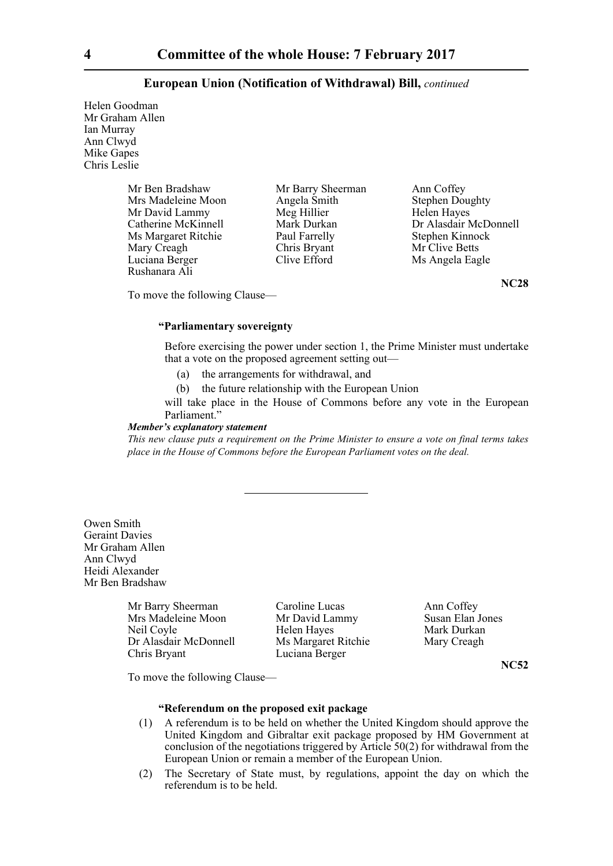Helen Goodman Mr Graham Allen Ian Murray Ann Clwyd Mike Gapes Chris Leslie

> Mr Ben Bradshaw Mr Barry Sheerman Ann Coffey<br>Mrs Madeleine Moon Angela Smith Stephen Doughty Mrs Madeleine Moon Angela Smith Stephen Doughty New Stephen Doughty Stephen Doughty New Stephen Doughty New Stephen Stephen Stephen New Stephen Stephen Stephen Stephen Stephen Stephen Stephen Stephen Stephen Stephen Stephe Mr David Lammy Meg Hillier<br>
> Catherine McKinnell Mark Durkan Ms Margaret Ritchie Paul Farrelly Stephen Kinnock<br>
> Mary Creagh Chris Bryant Mr Clive Betts Mary Creagh Chris Bryant Mr Clive Betts<br>
> Luciana Berger Clive Efford Ms Angela Eas Luciana Berger Clive Efford Ms Angela Eagle Rushanara Ali

Dr Alasdair McDonnell

**NC28**

To move the following Clause—

## **"Parliamentary sovereignty**

Before exercising the power under section 1, the Prime Minister must undertake that a vote on the proposed agreement setting out—

- (a) the arrangements for withdrawal, and
- (b) the future relationship with the European Union

will take place in the House of Commons before any vote in the European Parliament."

#### *Member's explanatory statement*

*This new clause puts a requirement on the Prime Minister to ensure a vote on final terms takes place in the House of Commons before the European Parliament votes on the deal.*

Owen Smith Geraint Davies Mr Graham Allen Ann Clwyd Heidi Alexander Mr Ben Bradshaw

> Mrs Madeleine Moon Mr David Lammy Susan Elan Jones Neil Coyle **Helen Hayes** Mark Durkan Dr Alasdair McDonnell Ms Margaret Ritchie Mary Creagh Chris Bryant Luciana Berger

Mr Barry Sheerman Caroline Lucas Ann Coffey

**NC52**

To move the following Clause—

## **"Referendum on the proposed exit package**

- (1) A referendum is to be held on whether the United Kingdom should approve the United Kingdom and Gibraltar exit package proposed by HM Government at conclusion of the negotiations triggered by Article 50(2) for withdrawal from the European Union or remain a member of the European Union.
- (2) The Secretary of State must, by regulations, appoint the day on which the referendum is to be held.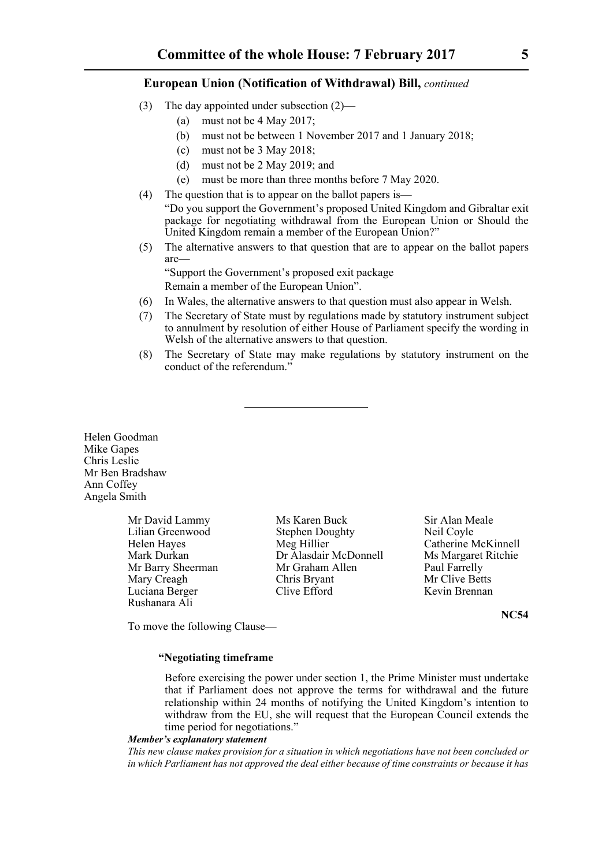- (3) The day appointed under subsection (2)—
	- (a) must not be 4 May 2017;
	- (b) must not be between 1 November 2017 and 1 January 2018;
	- (c) must not be 3 May 2018;
	- (d) must not be 2 May 2019; and
	- (e) must be more than three months before 7 May 2020.
- (4) The question that is to appear on the ballot papers is— "Do you support the Government's proposed United Kingdom and Gibraltar exit package for negotiating withdrawal from the European Union or Should the United Kingdom remain a member of the European Union?"
- (5) The alternative answers to that question that are to appear on the ballot papers are—

"Support the Government's proposed exit package Remain a member of the European Union".

- (6) In Wales, the alternative answers to that question must also appear in Welsh.
- (7) The Secretary of State must by regulations made by statutory instrument subject to annulment by resolution of either House of Parliament specify the wording in Welsh of the alternative answers to that question.
- (8) The Secretary of State may make regulations by statutory instrument on the conduct of the referendum."

Helen Goodman Mike Gapes Chris Leslie Mr Ben Bradshaw Ann Coffey Angela Smith

> Mr David Lammy Ms Karen Buck Sir Alan Meale Mary Creagh Chris Bryant<br>
> Luciana Berger Clive Efford Rushanara Ali

Lilian Greenwood Stephen Doughty Neil Coyle Helen Hayes Meg Hillier Catherine McKinnell Mark Durkan Dr Alasdair McDonnell Ms Margaret Ritchie<br>Mr Barry Sheerman Mr Graham Allen Paul Farrelly Mr Barry Sheerman Mr Graham Allen Paul Farrelly<br>
Mary Creagh Chris Bryant Mr Clive Betts Luciana Berger Clive Efford Kevin Brennan

**NC54**

To move the following Clause—

## **"Negotiating timeframe**

Before exercising the power under section 1, the Prime Minister must undertake that if Parliament does not approve the terms for withdrawal and the future relationship within 24 months of notifying the United Kingdom's intention to withdraw from the EU, she will request that the European Council extends the time period for negotiations."

## *Member's explanatory statement*

*This new clause makes provision for a situation in which negotiations have not been concluded or in which Parliament has not approved the deal either because of time constraints or because it has*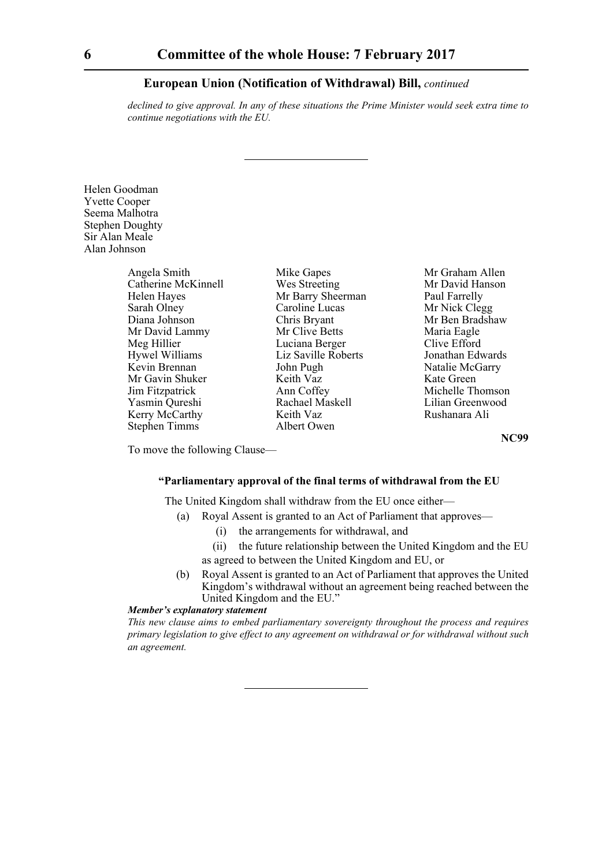*declined to give approval. In any of these situations the Prime Minister would seek extra time to continue negotiations with the EU.*

Helen Goodman Yvette Cooper Seema Malhotra Stephen Doughty Sir Alan Meale Alan Johnson

| Angela Smith          | Ŋ            |
|-----------------------|--------------|
| Catherine McKinnell   | V            |
| Helen Hayes           | N            |
| Sarah Olney           | $\mathsf{C}$ |
| Diana Johnson         | C            |
| Mr David Lammy        | N            |
| Meg Hillier           | I            |
| <b>Hywel Williams</b> | I            |
| Kevin Brennan         | J            |
| Mr Gavin Shuker       | k            |
| Jim Fitzpatrick       | A            |
| Yasmin Qureshi        | F            |
| Kerry McCarthy        | k            |
| <b>Stephen Timms</b>  | A            |

Ar Barry Sheerman Paul Farrelly Saroline Lucas Mr Nick Clegg<br>
Shris Bryant Mr Ben Bradsh Mr Clive Betts Maria Eagle Luciana Berger Clive Efford<br>Liz Saville Roberts Clouthan Edwards iz Saville Roberts Franch Pugh Natalie McGarry<br>Keith Vaz Kate Green Ann Coffey Michelle Thomson Rachael Maskell Lilian Greenwood Keith Vaz Rushanara Ali Albert Owen

Aike Gapes Mr Graham Allen<br>
Mr David Hanson<br>
Mr David Hanson Mr David Hanson Mr Ben Bradshaw Kate Green

**NC99**

To move the following Clause—

## **"Parliamentary approval of the final terms of withdrawal from the EU**

The United Kingdom shall withdraw from the EU once either—

- (a) Royal Assent is granted to an Act of Parliament that approves—
	- (i) the arrangements for withdrawal, and
	- (ii) the future relationship between the United Kingdom and the EU as agreed to between the United Kingdom and EU, or
- (b) Royal Assent is granted to an Act of Parliament that approves the United Kingdom's withdrawal without an agreement being reached between the United Kingdom and the EU."

#### *Member's explanatory statement*

*This new clause aims to embed parliamentary sovereignty throughout the process and requires primary legislation to give effect to any agreement on withdrawal or for withdrawal without such an agreement.*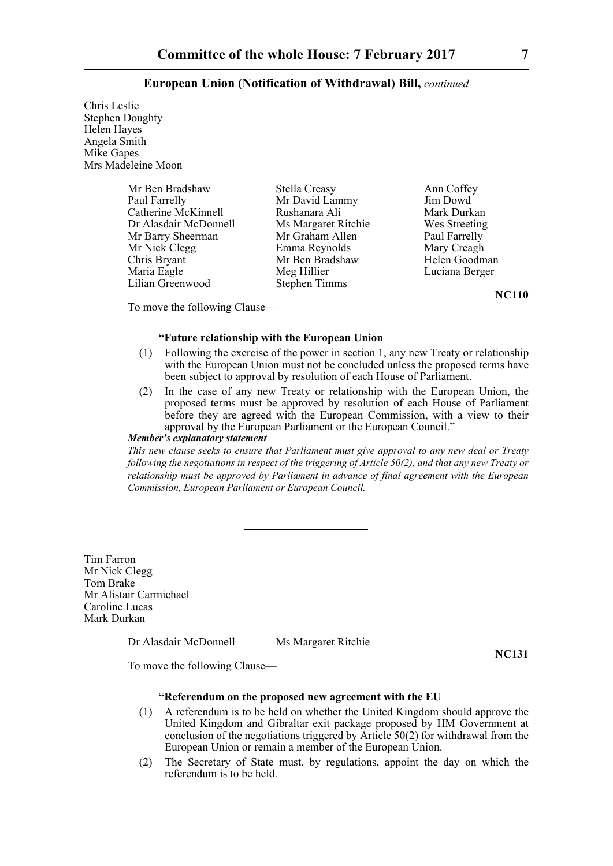Chris Leslie Stephen Doughty Helen Hayes Angela Smith Mike Gapes Mrs Madeleine Moon

| Mr Ben Bradshaw       | Stella Creasy        | Ann Coffey   |
|-----------------------|----------------------|--------------|
| Paul Farrelly         | Mr David Lammy       | Jim Dowd     |
| Catherine McKinnell   | Rushanara Ali        | Mark Durka   |
| Dr Alasdair McDonnell | Ms Margaret Ritchie  | Wes Streeti  |
| Mr Barry Sheerman     | Mr Graham Allen      | Paul Farrell |
| Mr Nick Clegg         | Emma Reynolds        | Mary Creag   |
| Chris Bryant          | Mr Ben Bradshaw      | Helen Good   |
| Maria Eagle           | Meg Hillier          | Luciana Bei  |
| Lilian Greenwood      | <b>Stephen Timms</b> |              |

rk Durkan es Streeting al Farrelly rv Creagh len Goodman ciana Berger

**NC110**

To move the following Clause—

## **"Future relationship with the European Union**

- (1) Following the exercise of the power in section 1, any new Treaty or relationship with the European Union must not be concluded unless the proposed terms have been subject to approval by resolution of each House of Parliament.
- (2) In the case of any new Treaty or relationship with the European Union, the proposed terms must be approved by resolution of each House of Parliament before they are agreed with the European Commission, with a view to their approval by the European Parliament or the European Council."

#### *Member's explanatory statement*

*This new clause seeks to ensure that Parliament must give approval to any new deal or Treaty following the negotiations in respect of the triggering of Article 50(2), and that any new Treaty or relationship must be approved by Parliament in advance of final agreement with the European Commission, European Parliament or European Council.*

Tim Farron Mr Nick Clegg Tom Brake Mr Alistair Carmichael Caroline Lucas Mark Durkan

Dr Alasdair McDonnell Ms Margaret Ritchie

**NC131**

To move the following Clause—

## **"Referendum on the proposed new agreement with the EU**

- (1) A referendum is to be held on whether the United Kingdom should approve the United Kingdom and Gibraltar exit package proposed by HM Government at conclusion of the negotiations triggered by Article 50(2) for withdrawal from the European Union or remain a member of the European Union.
- (2) The Secretary of State must, by regulations, appoint the day on which the referendum is to be held.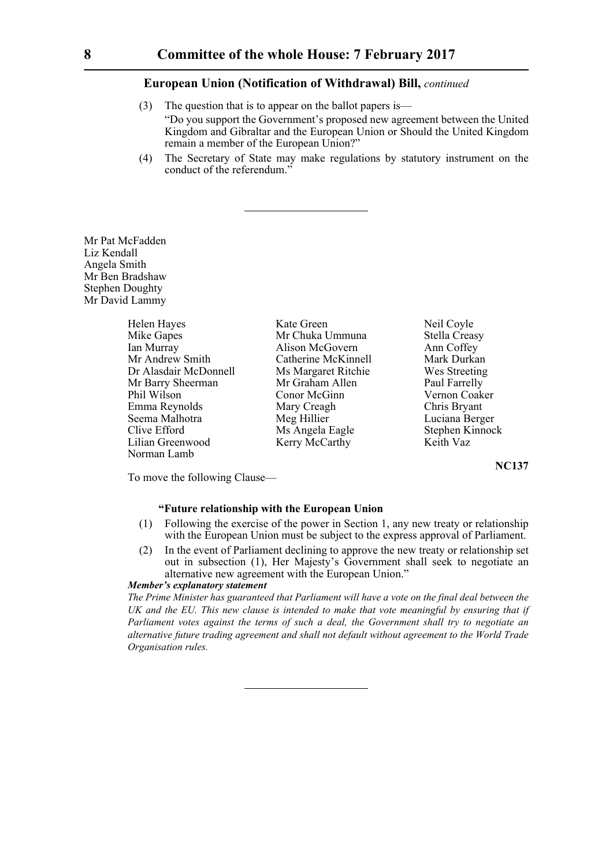- (3) The question that is to appear on the ballot papers is— "Do you support the Government's proposed new agreement between the United Kingdom and Gibraltar and the European Union or Should the United Kingdom remain a member of the European Union?"
- (4) The Secretary of State may make regulations by statutory instrument on the conduct of the referendum."

Mr Pat McFadden Liz Kendall Angela Smith Mr Ben Bradshaw Stephen Doughty Mr David Lammy

| Helen Hayes           | K |
|-----------------------|---|
| Mike Gapes            | N |
| Ian Murray            | А |
| Mr Andrew Smith       | C |
| Dr Alasdair McDonnell | N |
| Mr Barry Sheerman     | N |
| Phil Wilson           | C |
| Emma Reynolds         | N |
| Seema Malhotra        | N |
| Clive Efford          | N |
| Lilian Greenwood      | K |
| Norman Lamb           |   |

Xate Green Neil Coyle<br>Ar Chuka Ummuna dan Stella Creasy Ar Chuka Ummuna Ian Murray Alison McGovern Ann Coffey Mr Andrew Smith Catherine McKinnell Mark Durkan As Margaret Ritchie Ar Graham Allen Paul Farrelly Phil Wilson Coaker Vernon Coaker Aary Creagh Chris Bryant Aeg Hillier Luciana Berger As Angela Eagle Stephen Kinnock Lilian Greenwood Keith Vaz

**NC137**

To move the following Clause—

#### **"Future relationship with the European Union**

- (1) Following the exercise of the power in Section 1, any new treaty or relationship with the European Union must be subject to the express approval of Parliament.
- (2) In the event of Parliament declining to approve the new treaty or relationship set out in subsection (1), Her Majesty's Government shall seek to negotiate an alternative new agreement with the European Union."

#### *Member's explanatory statement*

*The Prime Minister has guaranteed that Parliament will have a vote on the final deal between the UK and the EU. This new clause is intended to make that vote meaningful by ensuring that if Parliament votes against the terms of such a deal, the Government shall try to negotiate an alternative future trading agreement and shall not default without agreement to the World Trade Organisation rules.*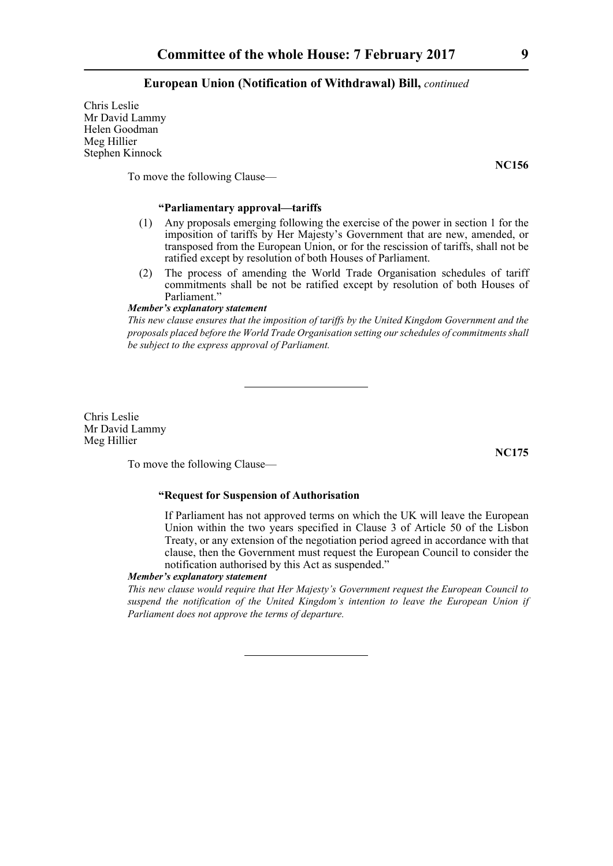Chris Leslie Mr David Lammy Helen Goodman Meg Hillier Stephen Kinnock

To move the following Clause—

## **"Parliamentary approval—tariffs**

- (1) Any proposals emerging following the exercise of the power in section 1 for the imposition of tariffs by Her Majesty's Government that are new, amended, or transposed from the European Union, or for the rescission of tariffs, shall not be ratified except by resolution of both Houses of Parliament.
- (2) The process of amending the World Trade Organisation schedules of tariff commitments shall be not be ratified except by resolution of both Houses of Parliament."

#### *Member's explanatory statement*

*This new clause ensures that the imposition of tariffs by the United Kingdom Government and the proposals placed before the World Trade Organisation setting our schedules of commitments shall be subject to the express approval of Parliament.*

Chris Leslie Mr David Lammy Meg Hillier

To move the following Clause—

## **"Request for Suspension of Authorisation**

If Parliament has not approved terms on which the UK will leave the European Union within the two years specified in Clause 3 of Article 50 of the Lisbon Treaty, or any extension of the negotiation period agreed in accordance with that clause, then the Government must request the European Council to consider the notification authorised by this Act as suspended."

#### *Member's explanatory statement*

*This new clause would require that Her Majesty's Government request the European Council to suspend the notification of the United Kingdom's intention to leave the European Union if Parliament does not approve the terms of departure.*

**NC156**

**NC175**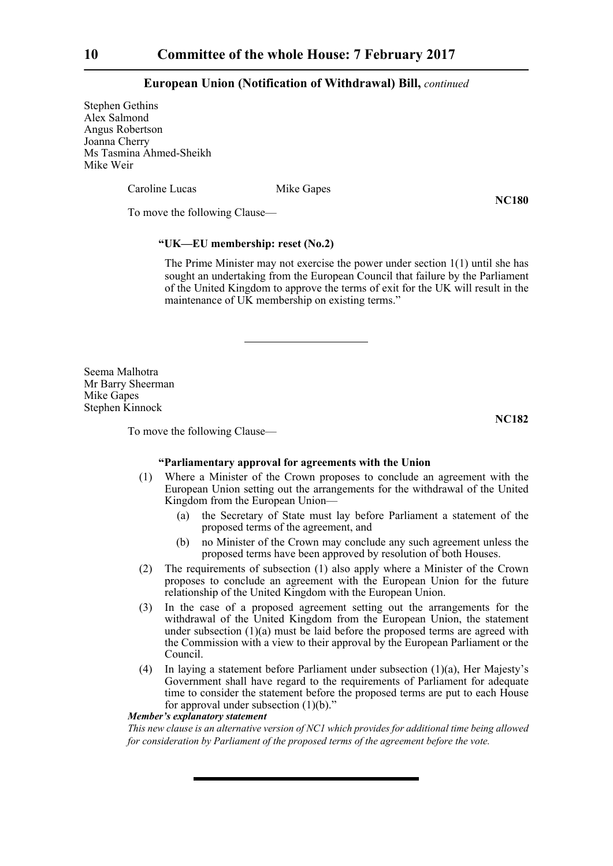Stephen Gethins Alex Salmond Angus Robertson Joanna Cherry Ms Tasmina Ahmed-Sheikh Mike Weir

Caroline Lucas Mike Gapes

**NC180**

To move the following Clause—

## **"UK—EU membership: reset (No.2)**

The Prime Minister may not exercise the power under section 1(1) until she has sought an undertaking from the European Council that failure by the Parliament of the United Kingdom to approve the terms of exit for the UK will result in the maintenance of UK membership on existing terms."

Seema Malhotra Mr Barry Sheerman Mike Gapes Stephen Kinnock

**NC182**

To move the following Clause—

#### **"Parliamentary approval for agreements with the Union**

- (1) Where a Minister of the Crown proposes to conclude an agreement with the European Union setting out the arrangements for the withdrawal of the United Kingdom from the European Union—
	- (a) the Secretary of State must lay before Parliament a statement of the proposed terms of the agreement, and
	- (b) no Minister of the Crown may conclude any such agreement unless the proposed terms have been approved by resolution of both Houses.
- (2) The requirements of subsection (1) also apply where a Minister of the Crown proposes to conclude an agreement with the European Union for the future relationship of the United Kingdom with the European Union.
- (3) In the case of a proposed agreement setting out the arrangements for the withdrawal of the United Kingdom from the European Union, the statement under subsection (1)(a) must be laid before the proposed terms are agreed with the Commission with a view to their approval by the European Parliament or the Council.
- (4) In laying a statement before Parliament under subsection (1)(a), Her Majesty's Government shall have regard to the requirements of Parliament for adequate time to consider the statement before the proposed terms are put to each House for approval under subsection  $(1)(b)$ ."

## *Member's explanatory statement*

*This new clause is an alternative version of NC1 which provides for additional time being allowed for consideration by Parliament of the proposed terms of the agreement before the vote.*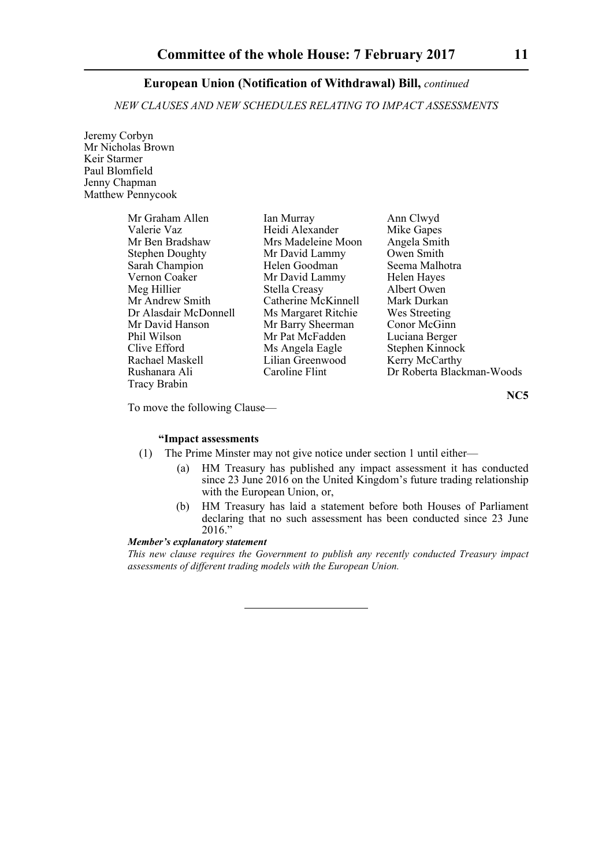*NEW CLAUSES AND NEW SCHEDULES RELATING TO IMPACT ASSESSMENTS*

Jeremy Corbyn Mr Nicholas Brown Keir Starmer Paul Blomfield Jenny Chapman Matthew Pennycook

| Mr Graham Allen        | Ian Murray          | Ann Clwyd                 |
|------------------------|---------------------|---------------------------|
| Valerie Vaz            | Heidi Alexander     | Mike Gapes                |
| Mr Ben Bradshaw        | Mrs Madeleine Moon  | Angela Smith              |
| <b>Stephen Doughty</b> | Mr David Lammy      | Owen Smith                |
| Sarah Champion         | Helen Goodman       | Seema Malhotra            |
| Vernon Coaker          | Mr David Lammy      | Helen Hayes               |
| Meg Hillier            | Stella Creasy       | Albert Owen               |
| Mr Andrew Smith        | Catherine McKinnell | Mark Durkan               |
| Dr Alasdair McDonnell  | Ms Margaret Ritchie | Wes Streeting             |
| Mr David Hanson        | Mr Barry Sheerman   | Conor McGinn              |
| Phil Wilson            | Mr Pat McFadden     | Luciana Berger            |
| Clive Efford           | Ms Angela Eagle     | Stephen Kinnock           |
| Rachael Maskell        | Lilian Greenwood    | Kerry McCarthy            |
| Rushanara Ali          | Caroline Flint      | Dr Roberta Blackman-Woods |
| <b>Tracy Brabin</b>    |                     |                           |

**NC5**

To move the following Clause—

## **"Impact assessments**

- (1) The Prime Minster may not give notice under section 1 until either—
	- (a) HM Treasury has published any impact assessment it has conducted since 23 June 2016 on the United Kingdom's future trading relationship with the European Union, or,
	- (b) HM Treasury has laid a statement before both Houses of Parliament declaring that no such assessment has been conducted since 23 June 2016."

#### *Member's explanatory statement*

*This new clause requires the Government to publish any recently conducted Treasury impact assessments of different trading models with the European Union.*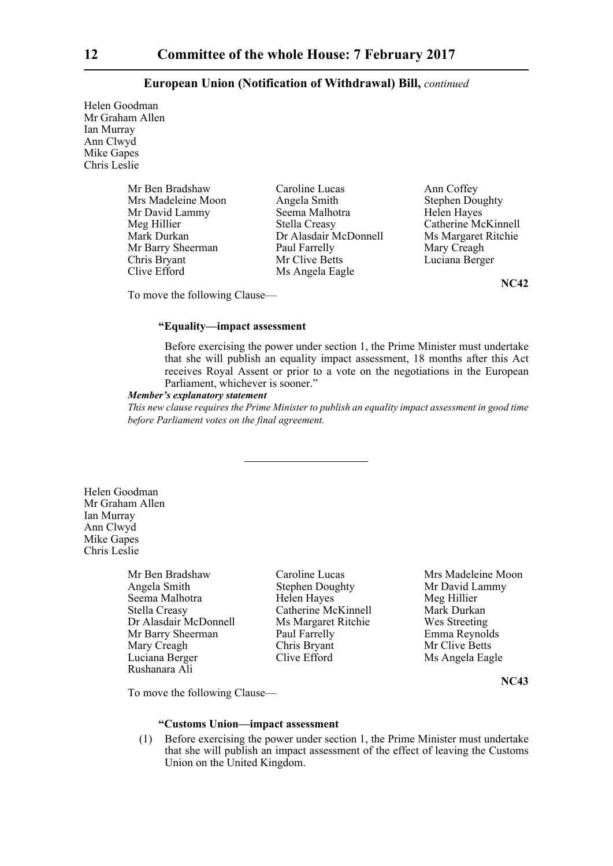Helen Goodman Mr Graham Allen Ian Murray Ann Clwyd Mike Gapes Chris Leslie

| Mr Ben Bradshaw    | Caroline Lucas        | Ann Coffey             |
|--------------------|-----------------------|------------------------|
| Mrs Madeleine Moon | Angela Smith          | <b>Stephen Doughty</b> |
| Mr David Lammy     | Seema Malhotra        | Helen Hayes            |
| Meg Hillier        | Stella Creasy         | Catherine McKinnell    |
| Mark Durkan        | Dr Alasdair McDonnell | Ms Margaret Ritchie    |
| Mr Barry Sheerman  | Paul Farrelly         | Mary Creagh            |
| Chris Bryant       | Mr Clive Betts        | Luciana Berger         |
| Clive Efford       | Ms Angela Eagle       |                        |

**NC42**

To move the following Clause—

## **"Equality—impact assessment**

Before exercising the power under section 1, the Prime Minister must undertake that she will publish an equality impact assessment, 18 months after this Act receives Royal Assent or prior to a vote on the negotiations in the European Parliament, whichever is sooner."

#### *Member's explanatory statement*

*This new clause requires the Prime Minister to publish an equality impact assessment in good time before Parliament votes on the final agreement.*

Helen Goodman Mr Graham Allen Ian Murray Ann Clwyd Mike Gapes Chris Leslie

> Mr Ben Bradshaw Caroline Lucas Mrs Madeleine Moon Angela Smith Stephen Doughty Mr David Lammy Seema Malhotra **Helen Hayes** Meg Hillier Stella Creasy Catherine McKinnell Mark Durkan Dr Alasdair McDonnell Ms Margaret Ritchie Wes Streeting Mr Barry Sheerman Paul Farrelly Emma Reynolds Mary Creagh Chris Bryant Mr Clive Betts<br>
> Luciana Berger Clive Efford Ms Angela Eag Luciana Berger Clive Efford Ms Angela Eagle Rushanara Ali

**NC43**

To move the following Clause—

## **"Customs Union—impact assessment**

(1) Before exercising the power under section 1, the Prime Minister must undertake that she will publish an impact assessment of the effect of leaving the Customs Union on the United Kingdom.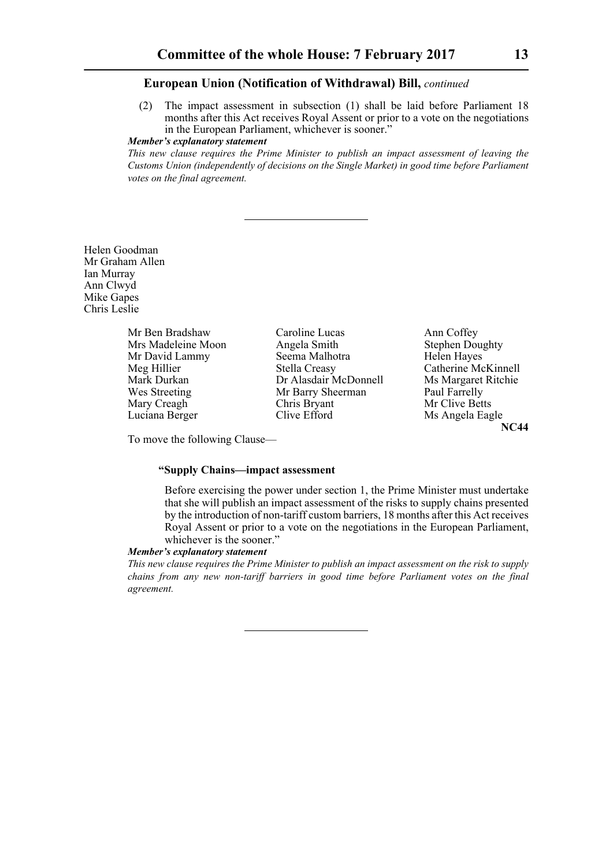(2) The impact assessment in subsection (1) shall be laid before Parliament 18 months after this Act receives Royal Assent or prior to a vote on the negotiations in the European Parliament, whichever is sooner."

#### *Member's explanatory statement*

*This new clause requires the Prime Minister to publish an impact assessment of leaving the Customs Union (independently of decisions on the Single Market) in good time before Parliament votes on the final agreement.*

Helen Goodman Mr Graham Allen Ian Murray Ann Clwyd Mike Gapes Chris Leslie

> Mr Ben Bradshaw Caroline Lucas Ann Coffey<br>
> Mrs Madeleine Moon Angela Smith Stephen Doughty Mr David Lammy Seema Malhotra Seema Malhotra Hayes Seema Malhotra Hayes Seema Malhotra Hayes Seema Malhotra Hayes Seema Malhotra Hayes Seema Malhotra Hayes Seema Malhotra Hayes Seema Malhotra Hayes Seema Malhotra Hayes See

Mrs Madeleine Moon Angela Smith Stephen Doughty Stephen Doughty Stephen Doughty Stephen Doughty Seema Malhotra Meg Hillier Stella Creasy Catherine McKinnell<br>Mark Durkan Dr Alasdair McDonnell Ms Margaret Ritchie Dr Alasdair McDonnell Ms Margaret Ritchie Wes Streeting Mr Barry Sheerman Paul Farrelly Mary Creagh Chris Bryant Mr Clive Betts Luciana Berger Clive Efford Ms Angela Eagle

**NC44**

To move the following Clause—

#### **"Supply Chains—impact assessment**

Before exercising the power under section 1, the Prime Minister must undertake that she will publish an impact assessment of the risks to supply chains presented by the introduction of non-tariff custom barriers, 18 months after this Act receives Royal Assent or prior to a vote on the negotiations in the European Parliament, whichever is the sooner."

#### *Member's explanatory statement*

*This new clause requires the Prime Minister to publish an impact assessment on the risk to supply chains from any new non-tariff barriers in good time before Parliament votes on the final agreement.*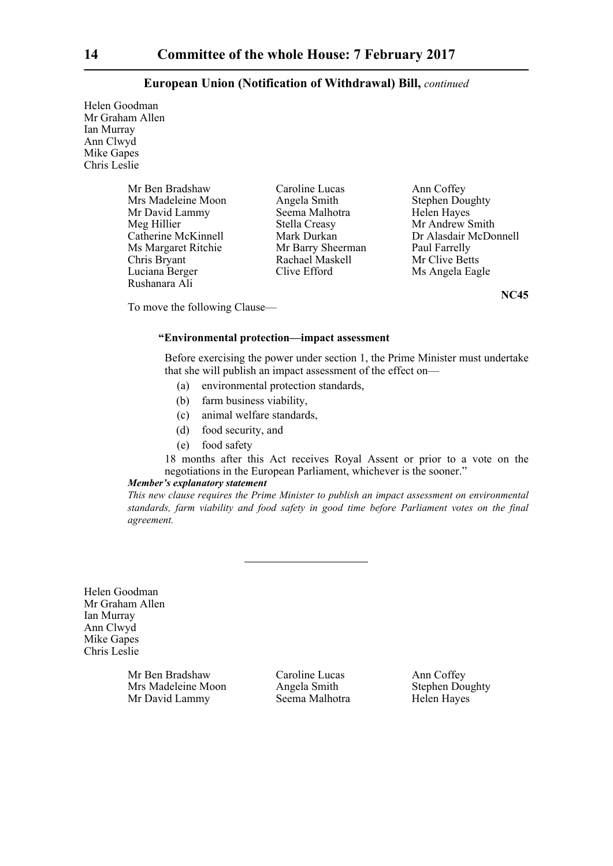Helen Goodman Mr Graham Allen Ian Murray Ann Clwyd Mike Gapes Chris Leslie

> Mr Ben Bradshaw Caroline Lucas Ann Coffey<br>
> Mrs Madeleine Moon Angela Smith Stephen Doughty Mrs Madeleine Moon Angela Smith Stephen Doughty Stephen Doughty Stephen Doughty Stephen Stephen Naves Mr David Lammy Seema Malhotra Hayes Seema Malhotra Hayes Seema Malhotra Hayes Seema Malhotra Hayes Seema Malhotra H Meg Hillier Stella Creasy Mr Andrew Smith<br>Catherine McKinnell Mark Durkan Dr Alasdair McDo Ms Margaret Ritchie Mr Barry Sheerman Paul Farrelly<br>
> Chris Bryant Rachael Maskell Mr Clive Betts Luciana Berger Clive Efford Ms Angela Eagle Rushanara Ali

Rachael Maskell

Mark Durkan Dr Alasdair McDonnell<br>
Mr Barry Sheerman Paul Farrelly

**NC45**

To move the following Clause—

## **"Environmental protection—impact assessment**

Before exercising the power under section 1, the Prime Minister must undertake that she will publish an impact assessment of the effect on—

- (a) environmental protection standards,
- (b) farm business viability,
- (c) animal welfare standards,
- (d) food security, and
- (e) food safety

18 months after this Act receives Royal Assent or prior to a vote on the negotiations in the European Parliament, whichever is the sooner."

#### *Member's explanatory statement*

*This new clause requires the Prime Minister to publish an impact assessment on environmental standards, farm viability and food safety in good time before Parliament votes on the final agreement.*

Helen Goodman Mr Graham Allen Ian Murray Ann Clwyd Mike Gapes Chris Leslie

> Mr Ben Bradshaw Caroline Lucas Ann Coffey Mrs Madeleine Moon Angela Smith Stephen Doughty Mr David Lammy Seema Malhotra Helen Hayes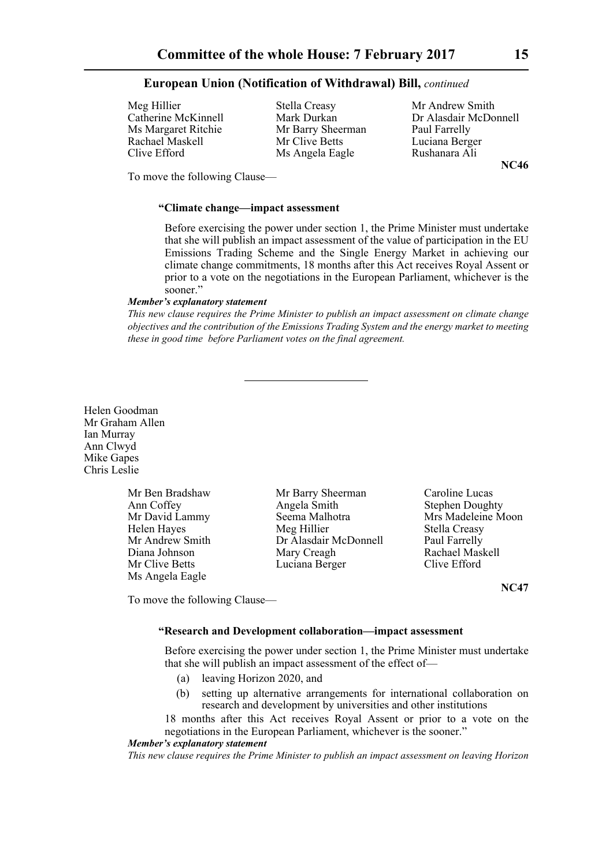Meg Hillier Stella Creasy Mr Andrew Smith<br>Catherine McKinnell Mark Durkan Dr Alasdair McDo Ms Margaret Ritchie Mr Barry Sheerman Paul Farrelly Rachael Maskell Mr Clive Betts Luciana Berger Clive Efford Ms Angela Eagle Rushanara Ali

Catherine McKinnell Mark Durkan Dr Alasdair McDonnell **NC46**

To move the following Clause—

#### **"Climate change—impact assessment**

Before exercising the power under section 1, the Prime Minister must undertake that she will publish an impact assessment of the value of participation in the EU Emissions Trading Scheme and the Single Energy Market in achieving our climate change commitments, 18 months after this Act receives Royal Assent or prior to a vote on the negotiations in the European Parliament, whichever is the sooner."

## *Member's explanatory statement*

*This new clause requires the Prime Minister to publish an impact assessment on climate change objectives and the contribution of the Emissions Trading System and the energy market to meeting these in good time before Parliament votes on the final agreement.*

Helen Goodman Mr Graham Allen Ian Murray Ann Clwyd Mike Gapes Chris Leslie

> Mr Ben Bradshaw Mr Barry Sheerman Caroline Lucas Ms Angela Eagle

Ann Coffey Angela Smith Stephen Doughty Mr David Lammy Seema Malhotra Mrs Madeleine Moon Helen Hayes **Meg Hillier** Stella Creasy<br>Mr Andrew Smith **Stella Creasy**<br>Dr Alasdair McDonnell Baul Farrelly Dr Alasdair McDonnell Paul Farrelly Diana Johnson Mary Creagh Rachael Maskell Mr Clive Betts **Luciana Berger** Clive Efford

**NC47**

To move the following Clause—

## **"Research and Development collaboration—impact assessment**

Before exercising the power under section 1, the Prime Minister must undertake that she will publish an impact assessment of the effect of—

- (a) leaving Horizon 2020, and
- (b) setting up alternative arrangements for international collaboration on research and development by universities and other institutions

18 months after this Act receives Royal Assent or prior to a vote on the negotiations in the European Parliament, whichever is the sooner."

#### *Member's explanatory statement*

*This new clause requires the Prime Minister to publish an impact assessment on leaving Horizon*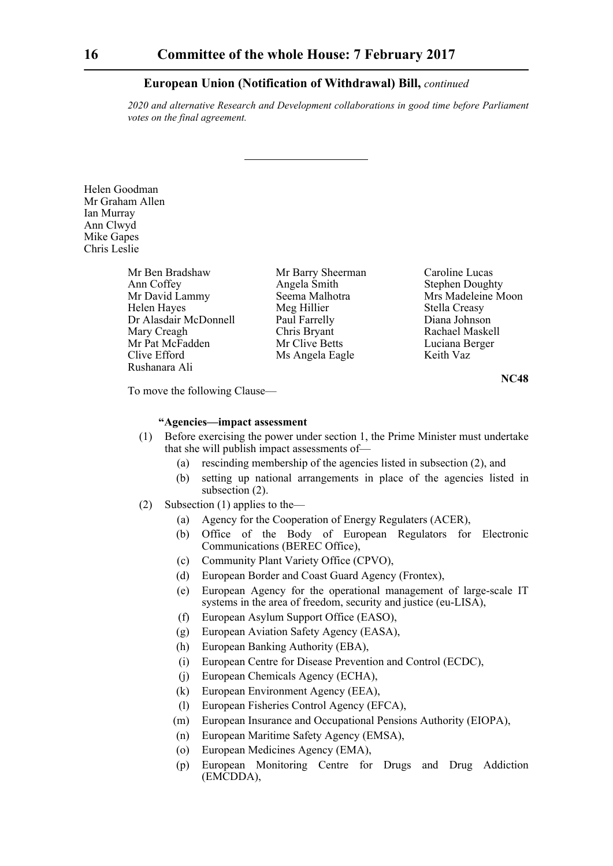*2020 and alternative Research and Development collaborations in good time before Parliament votes on the final agreement.*

Helen Goodman Mr Graham Allen Ian Murray Ann Clwyd Mike Gapes Chris Leslie

> Mr Ben Bradshaw Mr Barry Sheerman Caroline Lucas<br>
> Ann Coffey Angela Smith Stephen Dough Mr David Lammy Seema Malhotra Mrs Madeleine Moon Helen Hayes Meg Hillier Stella Creasy<br>
> Diana Johnson Paul Farrelly Diana Johnson Dr Alasdair McDonnell Mary Creagh Chris Bryant Rachael Maskell Mr Pat McFadden Mr Clive Betts Luciana Berger<br>
> Clive Efford Ms Angela Eagle Keith Vaz Rushanara Ali

Ms Angela Eagle

**Stephen Doughty** 

**NC48**

To move the following Clause—

## **"Agencies—impact assessment**

- (1) Before exercising the power under section 1, the Prime Minister must undertake that she will publish impact assessments of—
	- (a) rescinding membership of the agencies listed in subsection (2), and
	- (b) setting up national arrangements in place of the agencies listed in subsection (2).
- (2) Subsection (1) applies to the—
	- (a) Agency for the Cooperation of Energy Regulaters (ACER),
	- (b) Office of the Body of European Regulators for Electronic Communications (BEREC Office),
	- (c) Community Plant Variety Office (CPVO),
	- (d) European Border and Coast Guard Agency (Frontex),
	- (e) European Agency for the operational management of large-scale IT systems in the area of freedom, security and justice (eu-LISA),
	- (f) European Asylum Support Office (EASO),
	- (g) European Aviation Safety Agency (EASA),
	- (h) European Banking Authority (EBA),
	- (i) European Centre for Disease Prevention and Control (ECDC),
	- (j) European Chemicals Agency (ECHA),
	- (k) European Environment Agency (EEA),
	- (l) European Fisheries Control Agency (EFCA),
	- (m) European Insurance and Occupational Pensions Authority (EIOPA),
	- (n) European Maritime Safety Agency (EMSA),
	- (o) European Medicines Agency (EMA),
	- (p) European Monitoring Centre for Drugs and Drug Addiction (EMCDDA),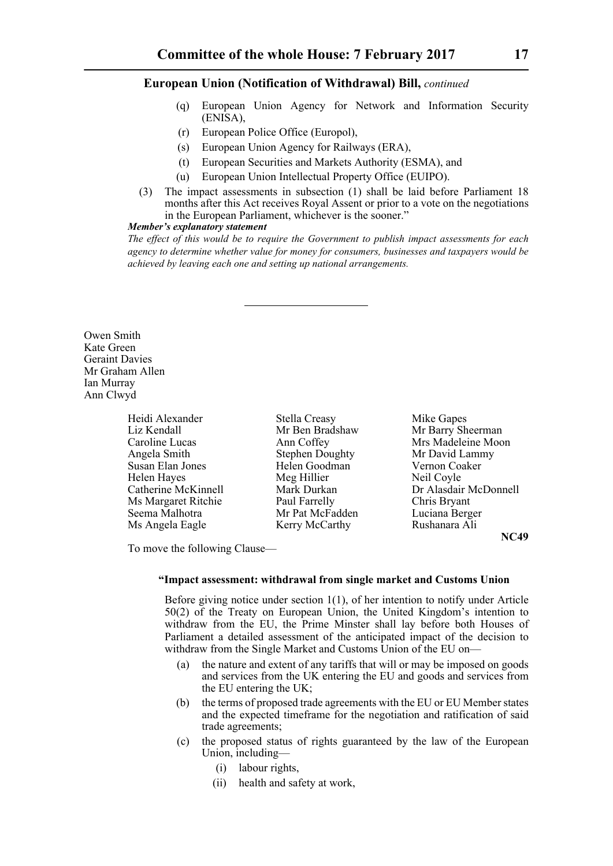- (q) European Union Agency for Network and Information Security (ENISA),
- (r) European Police Office (Europol),
- (s) European Union Agency for Railways (ERA),
- (t) European Securities and Markets Authority (ESMA), and
- (u) European Union Intellectual Property Office (EUIPO).
- (3) The impact assessments in subsection (1) shall be laid before Parliament 18 months after this Act receives Royal Assent or prior to a vote on the negotiations in the European Parliament, whichever is the sooner."

## *Member's explanatory statement*

*The effect of this would be to require the Government to publish impact assessments for each agency to determine whether value for money for consumers, businesses and taxpayers would be achieved by leaving each one and setting up national arrangements.*

Owen Smith Kate Green Geraint Davies Mr Graham Allen Ian Murray Ann Clwyd

| Heidi Alexander            |
|----------------------------|
| Liz Kendall                |
| Caroline Lucas             |
| Angela Smith               |
| Susan Elan Jones           |
| Helen Hayes                |
| <b>Catherine McKinnell</b> |
| Ms Margaret Ritchie        |
| Seema Malhotra             |
| Ms Angela Eagle            |

Stella Creasy Mike Gapes Angela Stephen Doughty<br>
Helen Goodman<br>
Mr David Lammy<br>
Vernon Coaker Helen Goodman Vernon Coaker Vernon Coacher Vernon Coacher Vernon Coacher Vernon Coacher Vernon Coacher Vernon Coacher Vernon Coacher Vernon Coacher Vernon Coacher Vernon Coacher Vernon Coacher Vernon Coacher Vernon Coacher Meg Hillier<br>Mark Durkan Paul Farrelly Mr Pat McFadden Luciana Berger Kerry McCarthy Rushanara Ali

Mr Ben Bradshaw Mr Barry Sheerman Ann Coffey Mrs Madeleine Moon Dr Alasdair McDonnell<br>Chris Bryant

**NC49**

To move the following Clause—

#### **"Impact assessment: withdrawal from single market and Customs Union**

Before giving notice under section 1(1), of her intention to notify under Article 50(2) of the Treaty on European Union, the United Kingdom's intention to withdraw from the EU, the Prime Minster shall lay before both Houses of Parliament a detailed assessment of the anticipated impact of the decision to withdraw from the Single Market and Customs Union of the EU on—

- (a) the nature and extent of any tariffs that will or may be imposed on goods and services from the UK entering the EU and goods and services from the EU entering the UK;
- (b) the terms of proposed trade agreements with the EU or EU Member states and the expected timeframe for the negotiation and ratification of said trade agreements;
- (c) the proposed status of rights guaranteed by the law of the European Union, including-
	- (i) labour rights,
	- (ii) health and safety at work,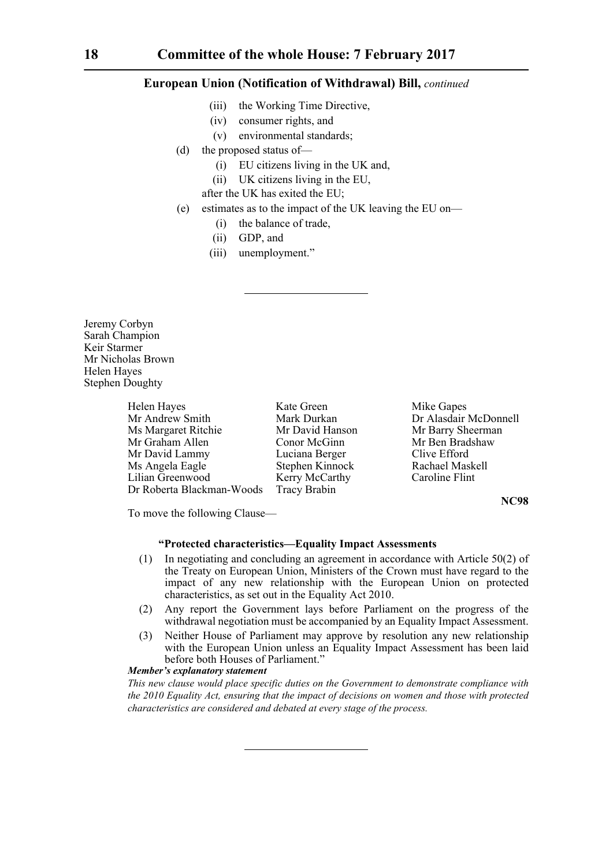- (iii) the Working Time Directive,
- (iv) consumer rights, and
- (v) environmental standards;
- (d) the proposed status of—
	- (i) EU citizens living in the UK and,
	- (ii) UK citizens living in the EU,
	- after the UK has exited the EU;
- (e) estimates as to the impact of the UK leaving the EU on—
	- (i) the balance of trade,
	- (ii) GDP, and
	- (iii) unemployment."

Jeremy Corbyn Sarah Champion Keir Starmer Mr Nicholas Brown Helen Hayes Stephen Doughty

> Helen Hayes **Kate Green** Mike Gapes Mr Andrew Smith Mark Durkan Dr Alasdair McDonnell Ms Margaret Ritchie Mr David Hanson Mr Barry Sheerman Mr Graham Allen Conor McGinn Mr Ben Bradshaw Mr David Lammy Luciana Berger Clive Efford<br>
> Ms Angela Eagle Stephen Kinnock Rachael Maskell Ms Angela Eagle Stephen Kinnock Rachael Maskell<br>
> Lilian Greenwood Kerry McCarthy Caroline Flint Kerry McCarthy<br>Tracy Brabin Dr Roberta Blackman-Woods

> > **NC98**

To move the following Clause—

#### **"Protected characteristics—Equality Impact Assessments**

- (1) In negotiating and concluding an agreement in accordance with Article 50(2) of the Treaty on European Union, Ministers of the Crown must have regard to the impact of any new relationship with the European Union on protected characteristics, as set out in the Equality Act 2010.
- (2) Any report the Government lays before Parliament on the progress of the withdrawal negotiation must be accompanied by an Equality Impact Assessment.
- (3) Neither House of Parliament may approve by resolution any new relationship with the European Union unless an Equality Impact Assessment has been laid before both Houses of Parliament."

## *Member's explanatory statement*

*This new clause would place specific duties on the Government to demonstrate compliance with the 2010 Equality Act, ensuring that the impact of decisions on women and those with protected characteristics are considered and debated at every stage of the process.*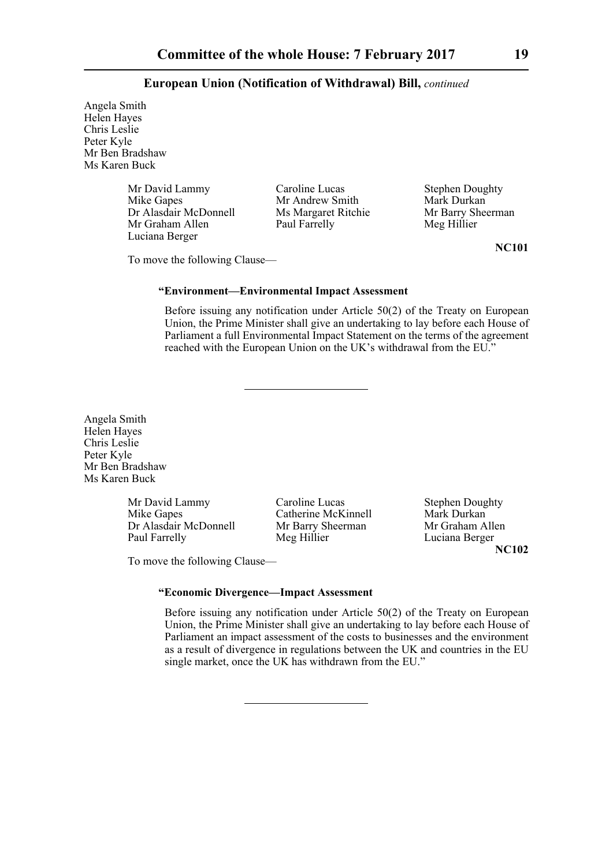Angela Smith Helen Hayes Chris Leslie Peter Kyle Mr Ben Bradshaw Ms Karen Buck

> Mr David Lammy Caroline Lucas Stephen Doughty<br>
> Mike Gapes Mr Andrew Smith Mark Durkan Dr Alasdair McDonnell Ms Margaret Ritchie Mr Barry Sheer Mr Graham Allen Paul Farrelly Meg Hillier Mr Graham Allen Luciana Berger

Mr Andrew Smith<br>
Ms Margaret Ritchie<br>
Mr Barry Sheerman

To move the following Clause—

#### **"Environment—Environmental Impact Assessment**

Before issuing any notification under Article 50(2) of the Treaty on European Union, the Prime Minister shall give an undertaking to lay before each House of Parliament a full Environmental Impact Statement on the terms of the agreement reached with the European Union on the UK's withdrawal from the EU."

Angela Smith Helen Hayes Chris Leslie Peter Kyle Mr Ben Bradshaw Ms Karen Buck

> Mr David Lammy Caroline Lucas Stephen Doughty Mike Gapes Catherine McKinnell Mark Durkan<br>Dr Alasdair McDonnell Mr Barry Sheerman Mr Graham Allen Dr Alasdair McDonnell Mr Barry Sh<br>
> Paul Farrelly Meg Hillier

Luciana Berger **NC102**

To move the following Clause—

## **"Economic Divergence—Impact Assessment**

Before issuing any notification under Article 50(2) of the Treaty on European Union, the Prime Minister shall give an undertaking to lay before each House of Parliament an impact assessment of the costs to businesses and the environment as a result of divergence in regulations between the UK and countries in the EU single market, once the UK has withdrawn from the EU."

**NC101**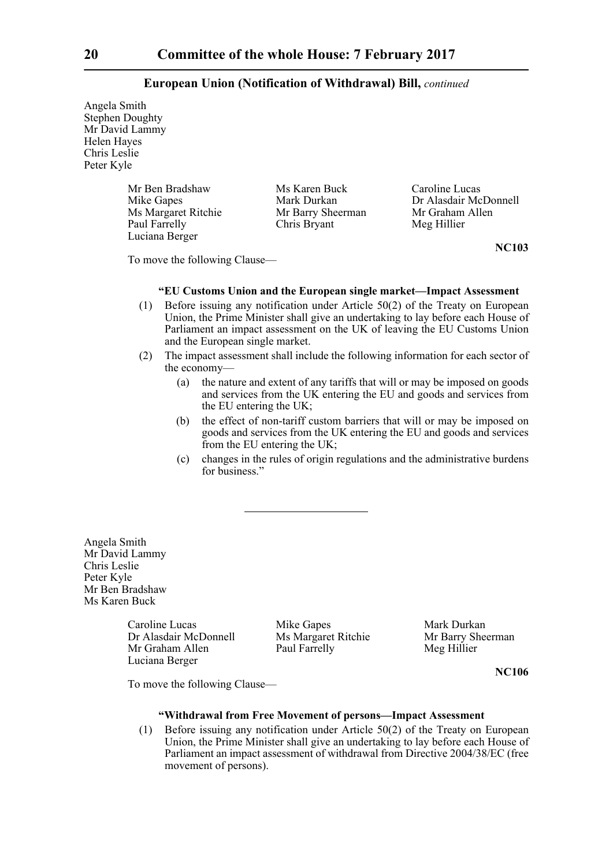Angela Smith Stephen Doughty Mr David Lammy Helen Hayes Chris Leslie Peter Kyle

> Mr Ben Bradshaw Ms Karen Buck Caroline Lucas<br>
> Mike Gapes Mark Durkan Dr Alasdair Mc Ms Margaret Ritchie Mr Barry Sheerman Mr Graham Allen<br>
> Paul Farrelly Chris Bryant Meg Hillier Chris Bryant Luciana Berger

Dr Alasdair McDonnell

**NC103**

To move the following Clause—

## **"EU Customs Union and the European single market—Impact Assessment**

- (1) Before issuing any notification under Article 50(2) of the Treaty on European Union, the Prime Minister shall give an undertaking to lay before each House of Parliament an impact assessment on the UK of leaving the EU Customs Union and the European single market.
- (2) The impact assessment shall include the following information for each sector of the economy—
	- (a) the nature and extent of any tariffs that will or may be imposed on goods and services from the UK entering the EU and goods and services from the EU entering the UK;
	- (b) the effect of non-tariff custom barriers that will or may be imposed on goods and services from the UK entering the EU and goods and services from the EU entering the UK;
	- (c) changes in the rules of origin regulations and the administrative burdens for business."

Angela Smith Mr David Lammy Chris Leslie Peter Kyle Mr Ben Bradshaw Ms Karen Buck

> Caroline Lucas Mike Gapes Mark Durkan<br>
> Dr Alasdair McDonnell Ms Margaret Ritchie Mr Barry Sheerman Dr Alasdair McDonnell Mr Graham Allen Paul Farrelly Meg Hillier Luciana Berger

**NC106**

To move the following Clause—

## **"Withdrawal from Free Movement of persons—Impact Assessment**

(1) Before issuing any notification under Article 50(2) of the Treaty on European Union, the Prime Minister shall give an undertaking to lay before each House of Parliament an impact assessment of withdrawal from Directive 2004/38/EC (free movement of persons).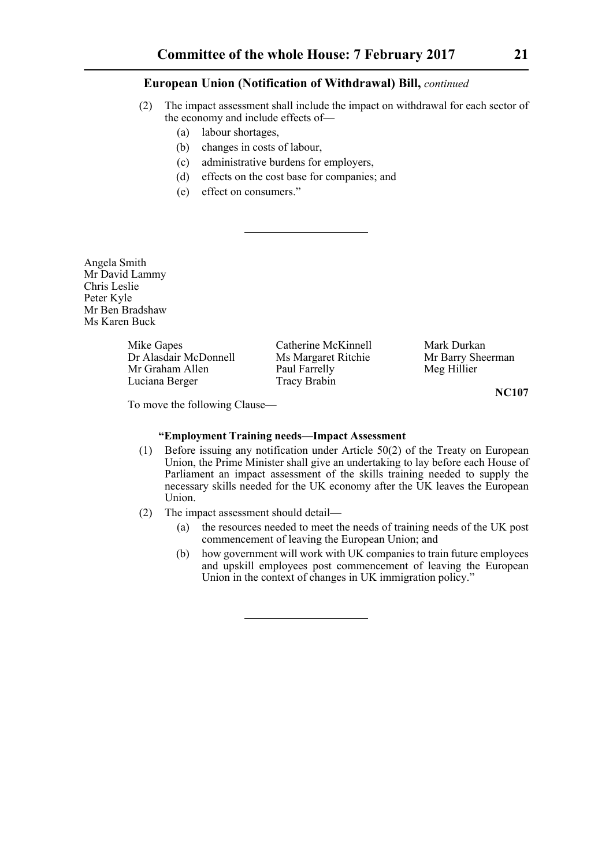- (2) The impact assessment shall include the impact on withdrawal for each sector of the economy and include effects of—
	- (a) labour shortages,
	- (b) changes in costs of labour,
	- (c) administrative burdens for employers,
	- (d) effects on the cost base for companies; and
	- (e) effect on consumers."

Angela Smith Mr David Lammy Chris Leslie Peter Kyle Mr Ben Bradshaw Ms Karen Buck

> Mike Gapes Catherine McKinnell Mark Durkan<br>Dr Alasdair McDonnell Ms Margaret Ritchie Mr Barry Sheerman Dr Alasdair McDonnell Ms Margaret Ritchie Mr Graham Allen Paul Farrelly Meg Hillier Luciana Berger Tracy Brabin

**NC107**

To move the following Clause—

## **"Employment Training needs—Impact Assessment**

- (1) Before issuing any notification under Article 50(2) of the Treaty on European Union, the Prime Minister shall give an undertaking to lay before each House of Parliament an impact assessment of the skills training needed to supply the necessary skills needed for the UK economy after the UK leaves the European Union.
- (2) The impact assessment should detail—
	- (a) the resources needed to meet the needs of training needs of the UK post commencement of leaving the European Union; and
	- (b) how government will work with UK companies to train future employees and upskill employees post commencement of leaving the European Union in the context of changes in UK immigration policy."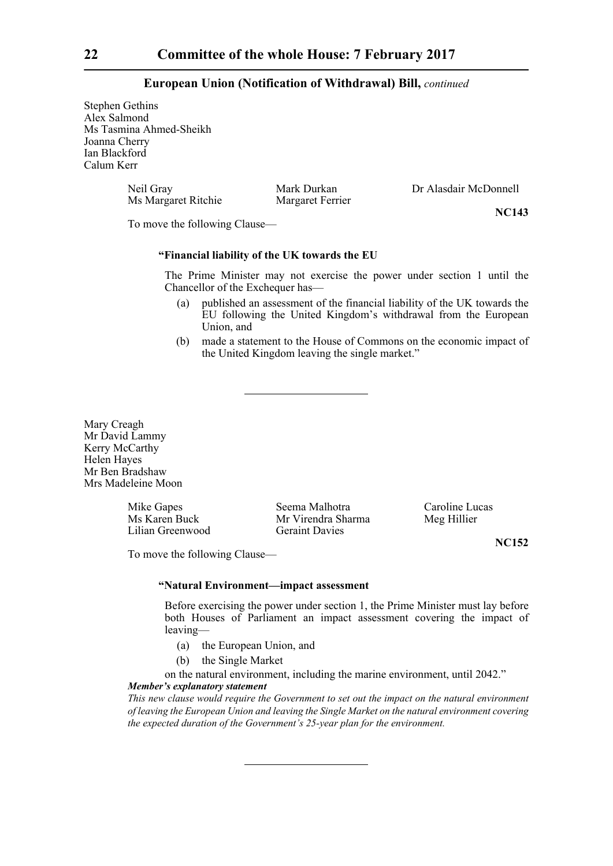Stephen Gethins Alex Salmond Ms Tasmina Ahmed-Sheikh Joanna Cherry Ian Blackford Calum Kerr

> Neil Gray Mark Durkan Dr Alasdair McDonnell<br>Ms Margaret Ritchie Margaret Ferrier Ms Margaret Ritchie

**NC143**

To move the following Clause—

## **"Financial liability of the UK towards the EU**

The Prime Minister may not exercise the power under section 1 until the Chancellor of the Exchequer has—

- (a) published an assessment of the financial liability of the UK towards the EU following the United Kingdom's withdrawal from the European Union, and
- (b) made a statement to the House of Commons on the economic impact of the United Kingdom leaving the single market."

Mary Creagh Mr David Lammy Kerry McCarthy Helen Hayes Mr Ben Bradshaw Mrs Madeleine Moon

Lilian Greenwood Geraint Davies

Mike Gapes Seema Malhotra Caroline Lucas Ms Karen Buck Mr Virendra Sharma Meg Hillier

**NC152**

To move the following Clause—

#### **"Natural Environment—impact assessment**

Before exercising the power under section 1, the Prime Minister must lay before both Houses of Parliament an impact assessment covering the impact of leaving—

- (a) the European Union, and
- (b) the Single Market

on the natural environment, including the marine environment, until 2042."

#### *Member's explanatory statement*

*This new clause would require the Government to set out the impact on the natural environment of leaving the European Union and leaving the Single Market on the natural environment covering the expected duration of the Government's 25-year plan for the environment.*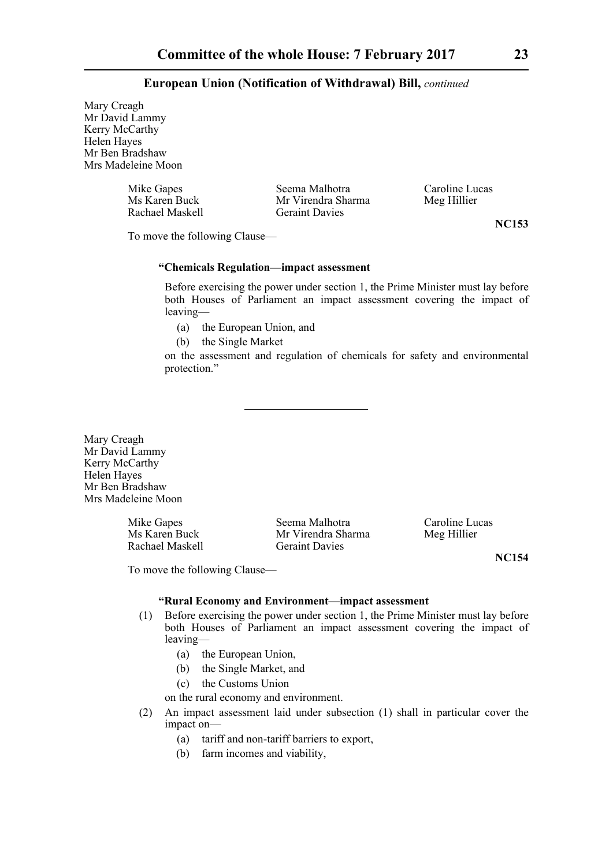Mary Creagh Mr David Lammy Kerry McCarthy<sup>-</sup> Helen Hayes Mr Ben Bradshaw Mrs Madeleine Moon

| Mike Gapes      | Seema Malhotra        | Caroline Lucas |
|-----------------|-----------------------|----------------|
| Ms Karen Buck   | Mr Virendra Sharma    | Meg Hillier    |
| Rachael Maskell | <b>Geraint Davies</b> |                |

**NC153**

To move the following Clause—

## **"Chemicals Regulation—impact assessment**

Before exercising the power under section 1, the Prime Minister must lay before both Houses of Parliament an impact assessment covering the impact of leaving—

- (a) the European Union, and
- (b) the Single Market

on the assessment and regulation of chemicals for safety and environmental protection."

Mary Creagh Mr David Lammy Kerry McCarthy Helen Hayes Mr Ben Bradshaw Mrs Madeleine Moon

Rachael Maskell

Mike Gapes Seema Malhotra Caroline Lucas<br>
Ms Karen Buck Mr Virendra Sharma Meg Hillier Mr Virendra Sharma<br>Geraint Davies

**NC154**

To move the following Clause—

## **"Rural Economy and Environment—impact assessment**

- (1) Before exercising the power under section 1, the Prime Minister must lay before both Houses of Parliament an impact assessment covering the impact of leaving—
	- (a) the European Union,
	- (b) the Single Market, and
	- (c) the Customs Union
	- on the rural economy and environment.
- (2) An impact assessment laid under subsection (1) shall in particular cover the impact on—
	- (a) tariff and non-tariff barriers to export,
	- (b) farm incomes and viability,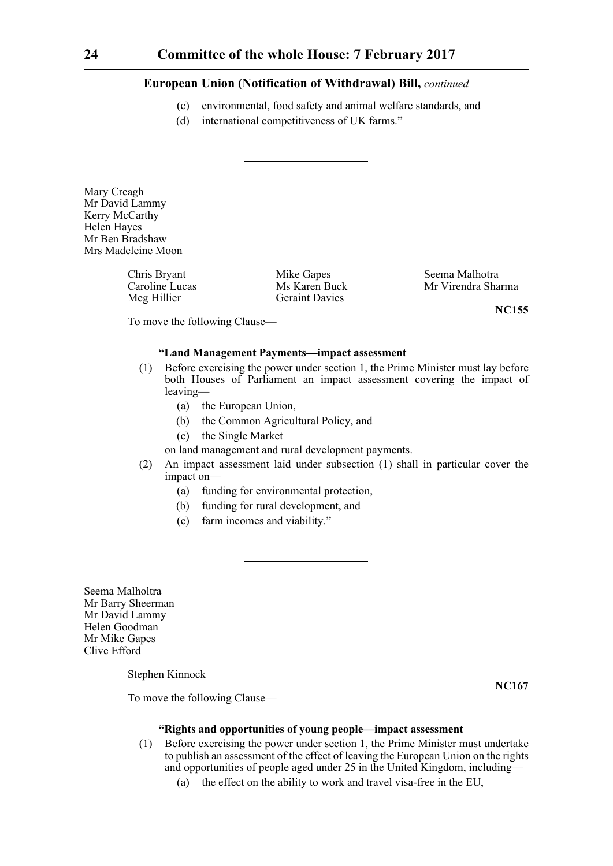- (c) environmental, food safety and animal welfare standards, and
- (d) international competitiveness of UK farms."

Mary Creagh Mr David Lammy Kerry McCarthy Helen Hayes Mr Ben Bradshaw Mrs Madeleine Moon

> Chris Bryant Mike Gapes Seema Malhotra Meg Hillier Geraint Davies

Mr Virendra Sharma

**NC155**

To move the following Clause—

## **"Land Management Payments—impact assessment**

- (1) Before exercising the power under section 1, the Prime Minister must lay before both Houses of Parliament an impact assessment covering the impact of leaving—
	- (a) the European Union,
	- (b) the Common Agricultural Policy, and
	- (c) the Single Market
	- on land management and rural development payments.
- (2) An impact assessment laid under subsection (1) shall in particular cover the impact on—
	- (a) funding for environmental protection,
	- (b) funding for rural development, and
	- (c) farm incomes and viability."

Seema Malholtra Mr Barry Sheerman Mr David Lammy Helen Goodman Mr Mike Gapes Clive Efford

Stephen Kinnock

**NC167**

To move the following Clause—

#### **"Rights and opportunities of young people—impact assessment**

- (1) Before exercising the power under section 1, the Prime Minister must undertake to publish an assessment of the effect of leaving the European Union on the rights and opportunities of people aged under 25 in the United Kingdom, including—
	- (a) the effect on the ability to work and travel visa-free in the EU,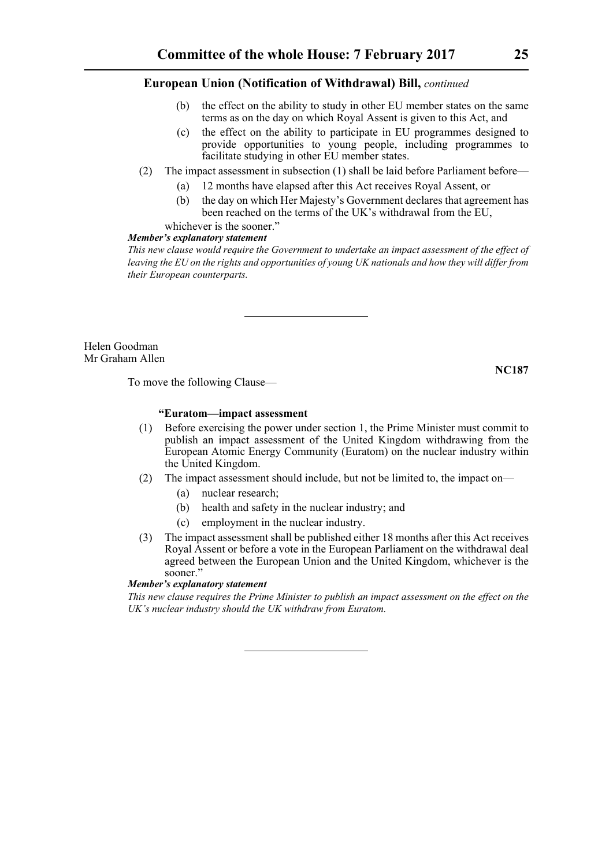- (b) the effect on the ability to study in other EU member states on the same terms as on the day on which Royal Assent is given to this Act, and
- (c) the effect on the ability to participate in EU programmes designed to provide opportunities to young people, including programmes to facilitate studying in other EU member states.
- (2) The impact assessment in subsection (1) shall be laid before Parliament before—
	- (a) 12 months have elapsed after this Act receives Royal Assent, or
	- (b) the day on which Her Majesty's Government declares that agreement has been reached on the terms of the UK's withdrawal from the EU,

## whichever is the sooner."

## *Member's explanatory statement*

*This new clause would require the Government to undertake an impact assessment of the effect of leaving the EU on the rights and opportunities of young UK nationals and how they will differ from their European counterparts.*

Helen Goodman Mr Graham Allen

**NC187**

To move the following Clause—

## **"Euratom—impact assessment**

- (1) Before exercising the power under section 1, the Prime Minister must commit to publish an impact assessment of the United Kingdom withdrawing from the European Atomic Energy Community (Euratom) on the nuclear industry within the United Kingdom.
- (2) The impact assessment should include, but not be limited to, the impact on—
	- (a) nuclear research;
	- (b) health and safety in the nuclear industry; and
	- (c) employment in the nuclear industry.
- (3) The impact assessment shall be published either 18 months after this Act receives Royal Assent or before a vote in the European Parliament on the withdrawal deal agreed between the European Union and the United Kingdom, whichever is the sooner."

## *Member's explanatory statement*

*This new clause requires the Prime Minister to publish an impact assessment on the effect on the UK's nuclear industry should the UK withdraw from Euratom.*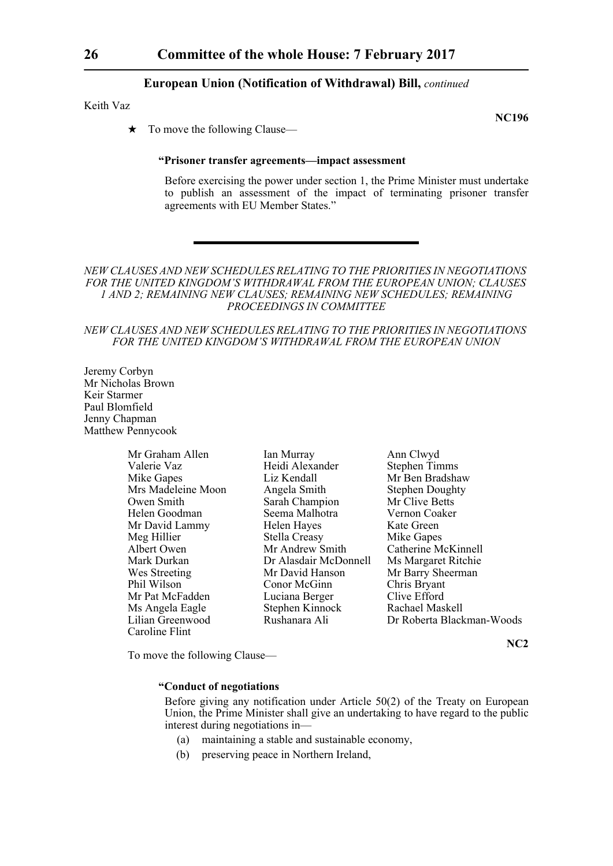Keith Vaz

**NC196**

 $\star$  To move the following Clause—

#### **"Prisoner transfer agreements—impact assessment**

Before exercising the power under section 1, the Prime Minister must undertake to publish an assessment of the impact of terminating prisoner transfer agreements with EU Member States."

*NEW CLAUSES AND NEW SCHEDULES RELATING TO THE PRIORITIES IN NEGOTIATIONS FOR THE UNITED KINGDOM'S WITHDRAWAL FROM THE EUROPEAN UNION; CLAUSES 1 AND 2; REMAINING NEW CLAUSES; REMAINING NEW SCHEDULES; REMAINING PROCEEDINGS IN COMMITTEE*

#### *NEW CLAUSES AND NEW SCHEDULES RELATING TO THE PRIORITIES IN NEGOTIATIONS FOR THE UNITED KINGDOM'S WITHDRAWAL FROM THE EUROPEAN UNION*

Jeremy Corbyn Mr Nicholas Brown Keir Starmer Paul Blomfield Jenny Chapman Matthew Pennycook

| Mr Graham Allen    |
|--------------------|
| Valerie Vaz        |
| Mike Gapes         |
| Mrs Madeleine Moon |
| Owen Smith         |
| Helen Goodman      |
| Mr David Lammy     |
| Meg Hillier        |
| Albert Owen        |
| Mark Durkan        |
| Wes Streeting      |
| Phil Wilson        |
| Mr Pat McFadden    |
| Ms Angela Eagle    |
| Lilian Greenwood   |
| Caroline Flint     |

Allen Ian Murray Ann Clwyd<br>Heidi Alexander Stephen Tin Heidi Alexander Stephen Timms<br>
Liz Kendall Mr Ben Bradsha Angela Smith Stephen Doughty Sarah Champion Mr Clive Betts Seema Malhotra Vernon Coaker Helen Hayes Kate Green<br>Stella Creasy Mike Ganes Stella Creasy<br>Mr Andrew Smith Mr Andrew Smith Catherine McKinnell<br>Dr Alasdair McDonnell Ms Margaret Ritchie Mr David Hanson Mr Barry Sheerman<br>
Conor McGinn Chris Bryant **Phil Conor McGinn Chris Bryant**<br>
Luciana Berger Clive Efford Luciana Berger Clive Efford<br>Stephen Kinnock Rachael Maskell Stephen Kinnock

Mr Ben Bradshaw Ms Margaret Ritchie Rushanara Ali Dr Roberta Blackman-Woods

**NC2**

To move the following Clause—

## **"Conduct of negotiations**

 Before giving any notification under Article 50(2) of the Treaty on European Union, the Prime Minister shall give an undertaking to have regard to the public interest during negotiations in—

- (a) maintaining a stable and sustainable economy,
- (b) preserving peace in Northern Ireland,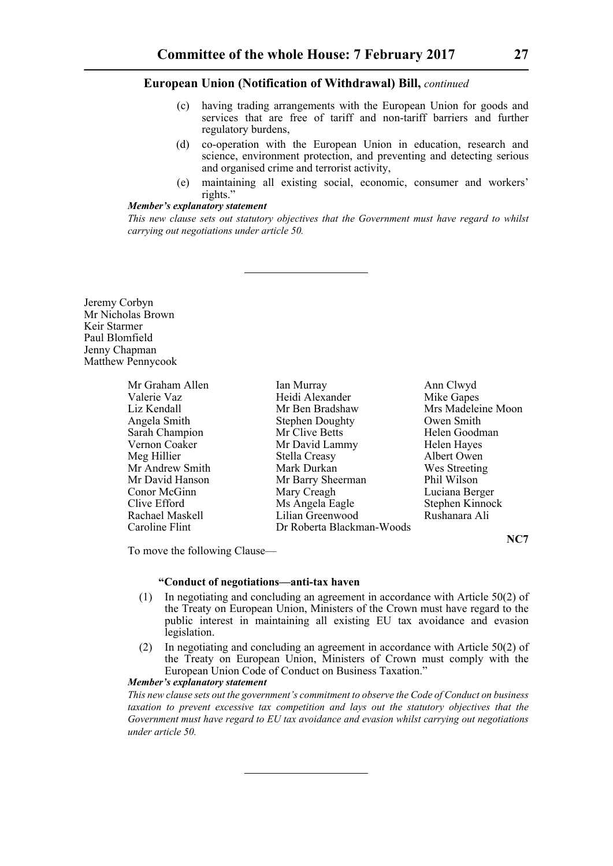- (c) having trading arrangements with the European Union for goods and services that are free of tariff and non-tariff barriers and further regulatory burdens,
- (d) co-operation with the European Union in education, research and science, environment protection, and preventing and detecting serious and organised crime and terrorist activity,
- (e) maintaining all existing social, economic, consumer and workers' rights."

## *Member's explanatory statement*

*This new clause sets out statutory objectives that the Government must have regard to whilst carrying out negotiations under article 50.*

Jeremy Corbyn Mr Nicholas Brown Keir Starmer Paul Blomfield Jenny Chapman Matthew Pennycook

| Mr Graham Allen | Ian Murray                | Ann Clwyd          |
|-----------------|---------------------------|--------------------|
| Valerie Vaz     | Heidi Alexander           | Mike Gapes         |
| Liz Kendall     | Mr Ben Bradshaw           | Mrs Madeleine Moon |
| Angela Smith    | <b>Stephen Doughty</b>    | Owen Smith         |
| Sarah Champion  | Mr Clive Betts            | Helen Goodman      |
| Vernon Coaker   | Mr David Lammy            | Helen Hayes        |
| Meg Hillier     | <b>Stella Creasy</b>      | Albert Owen        |
| Mr Andrew Smith | Mark Durkan               | Wes Streeting      |
| Mr David Hanson | Mr Barry Sheerman         | Phil Wilson        |
| Conor McGinn    | Mary Creagh               | Luciana Berger     |
| Clive Efford    | Ms Angela Eagle           | Stephen Kinnock    |
| Rachael Maskell | Lilian Greenwood          | Rushanara Ali      |
| Caroline Flint  | Dr Roberta Blackman-Woods |                    |

**NC7**

To move the following Clause—

## **"Conduct of negotiations—anti-tax haven**

- (1) In negotiating and concluding an agreement in accordance with Article 50(2) of the Treaty on European Union, Ministers of the Crown must have regard to the public interest in maintaining all existing EU tax avoidance and evasion legislation.
- (2) In negotiating and concluding an agreement in accordance with Article 50(2) of the Treaty on European Union, Ministers of Crown must comply with the European Union Code of Conduct on Business Taxation."

## *Member's explanatory statement*

*This new clause sets out the government's commitment to observe the Code of Conduct on business taxation to prevent excessive tax competition and lays out the statutory objectives that the Government must have regard to EU tax avoidance and evasion whilst carrying out negotiations under article 50.*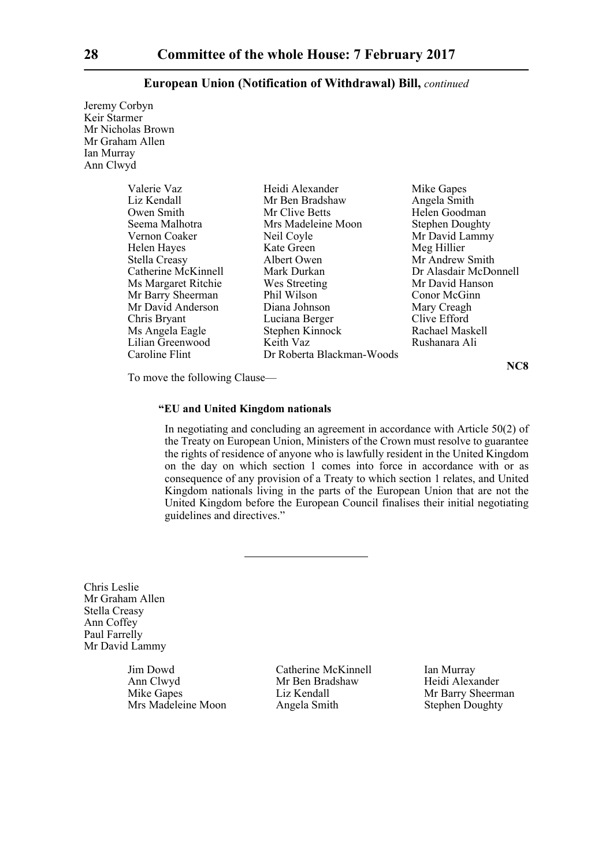Jeremy Corbyn Keir Starmer Mr Nicholas Brown Mr Graham Allen Ian Murray Ann Clwyd

| yu                  |                           |                        |
|---------------------|---------------------------|------------------------|
| Valerie Vaz         | Heidi Alexander           | Mike Gapes             |
| Liz Kendall         | Mr Ben Bradshaw           | Angela Smith           |
| Owen Smith          | Mr Clive Betts            | Helen Goodman          |
| Seema Malhotra      | Mrs Madeleine Moon        | <b>Stephen Doughty</b> |
| Vernon Coaker       | Neil Coyle                | Mr David Lammy         |
| Helen Hayes         | Kate Green                | Meg Hillier            |
| Stella Creasy       | Albert Owen               | Mr Andrew Smith        |
| Catherine McKinnell | Mark Durkan               | Dr Alasdair McDonnell  |
| Ms Margaret Ritchie | Wes Streeting             | Mr David Hanson        |
| Mr Barry Sheerman   | Phil Wilson               | Conor McGinn           |
| Mr David Anderson   | Diana Johnson             | Mary Creagh            |
| Chris Bryant        | Luciana Berger            | Clive Efford           |
| Ms Angela Eagle     | Stephen Kinnock           | Rachael Maskell        |
| Lilian Greenwood    | Keith Vaz                 | Rushanara Ali          |
| Caroline Flint      | Dr Roberta Blackman-Woods |                        |

**NC8**

To move the following Clause—

## **"EU and United Kingdom nationals**

In negotiating and concluding an agreement in accordance with Article 50(2) of the Treaty on European Union, Ministers of the Crown must resolve to guarantee the rights of residence of anyone who is lawfully resident in the United Kingdom on the day on which section 1 comes into force in accordance with or as consequence of any provision of a Treaty to which section 1 relates, and United Kingdom nationals living in the parts of the European Union that are not the United Kingdom before the European Council finalises their initial negotiating guidelines and directives."

Chris Leslie Mr Graham Allen Stella Creasy Ann Coffey Paul Farrelly Mr David Lammy

> Ann Clwyd Mr Ben Bradshaw Mike Gapes Liz Kendall Mrs Madeleine Moon

Jim Dowd<br>
Catherine McKinnell<br>
Ian Murray<br>
Mr Ben Bradshaw<br>
Heidi Alexander Liz Kendall Mr Barry Sheerman<br>Angela Smith Stephen Doughty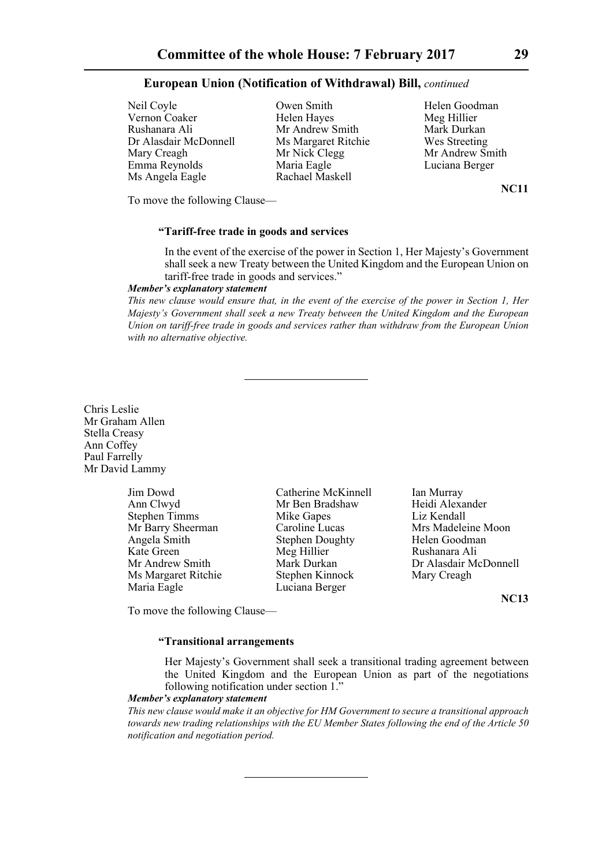Neil Coyle **Owen Smith** Helen Goodman Vernon Coaker Helen Hayes Meg Hillier Rushanara Ali Mr Andrew Smith Dr Alasdair McDonnell Ms Margaret Ritchie Wes Streeting Mary Creagh Mr Nick Clegg Mr Andrew Smith Emma Reynolds Maria Eagle Luciana Berger Ms Angela Eagle

**NC11**

To move the following Clause—

## **"Tariff-free trade in goods and services**

In the event of the exercise of the power in Section 1, Her Majesty's Government shall seek a new Treaty between the United Kingdom and the European Union on tariff-free trade in goods and services."

## *Member's explanatory statement*

*This new clause would ensure that, in the event of the exercise of the power in Section 1, Her Majesty's Government shall seek a new Treaty between the United Kingdom and the European Union on tariff-free trade in goods and services rather than withdraw from the European Union with no alternative objective.*

Chris Leslie Mr Graham Allen Stella Creasy Ann Coffey Paul Farrelly Mr David Lammy

> Ann Clwyd Mr Ben Bradshaw Maria Eagle Luciana Berger

Jim Dowd Catherine McKinnell Ian Murray<br>
Ann Clwyd Mr Ben Bradshaw Heidi Alexander Stephen Timms Mike Gapes Liz Kendall Angela Smith Stephen Doughty Helen Goodman Kate Green Meg Hillier Rushanara Ali Ms Margaret Ritchie Stephen Kinnock Mary Creagh

Mr Barry Sheerman Caroline Lucas Mrs Madeleine Moon Mr Andrew Smith Mark Durkan Dr Alasdair McDonnell

**NC13**

## To move the following Clause—

## **"Transitional arrangements**

Her Majesty's Government shall seek a transitional trading agreement between the United Kingdom and the European Union as part of the negotiations following notification under section 1."

#### *Member's explanatory statement*

*This new clause would make it an objective for HM Government to secure a transitional approach towards new trading relationships with the EU Member States following the end of the Article 50 notification and negotiation period.*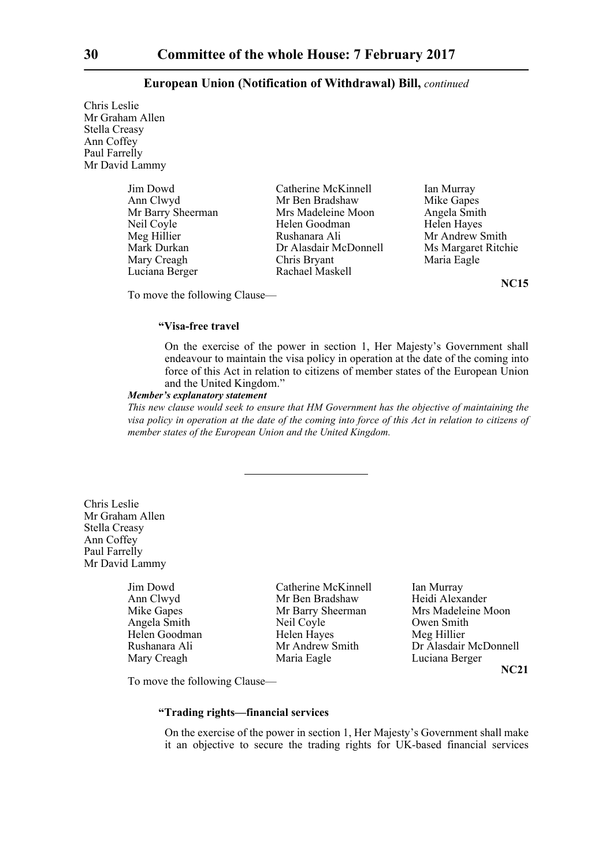Chris Leslie Mr Graham Allen Stella Creasy Ann Coffey Paul Farrelly Mr David Lammy

| Jim Dowd          | Catherine McKinnell   | Ian Murray          |
|-------------------|-----------------------|---------------------|
| Ann Clwyd         | Mr Ben Bradshaw       | Mike Gapes          |
| Mr Barry Sheerman | Mrs Madeleine Moon    | Angela Smith        |
| Neil Coyle        | Helen Goodman         | Helen Hayes         |
| Meg Hillier       | Rushanara Ali         | Mr Andrew Smith     |
| Mark Durkan       | Dr Alasdair McDonnell | Ms Margaret Ritchie |
| Mary Creagh       | Chris Bryant          | Maria Eagle         |
| Luciana Berger    | Rachael Maskell       |                     |

**NC15**

To move the following Clause—

#### **"Visa-free travel**

On the exercise of the power in section 1, Her Majesty's Government shall endeavour to maintain the visa policy in operation at the date of the coming into force of this Act in relation to citizens of member states of the European Union and the United Kingdom."

#### *Member's explanatory statement*

*This new clause would seek to ensure that HM Government has the objective of maintaining the visa policy in operation at the date of the coming into force of this Act in relation to citizens of member states of the European Union and the United Kingdom.*

Chris Leslie Mr Graham Allen Stella Creasy Ann Coffey Paul Farrelly Mr David Lammy

Jim Dowd Catherine McKinnell Ian Murray

Ann Clwyd Mr Ben Bradshaw Heidi Alexander Angela Smith Neil Coyle Owen Smith Helen Goodman Helen Hayes Meg Hillier Mary Creagh Maria Eagle Luciana Berger

Mike Gapes Mr Barry Sheerman Mrs Madeleine Moon Rushanara Ali Mr Andrew Smith Dr Alasdair McDonnell **NC21**

To move the following Clause—

## **"Trading rights—financial services**

On the exercise of the power in section 1, Her Majesty's Government shall make it an objective to secure the trading rights for UK-based financial services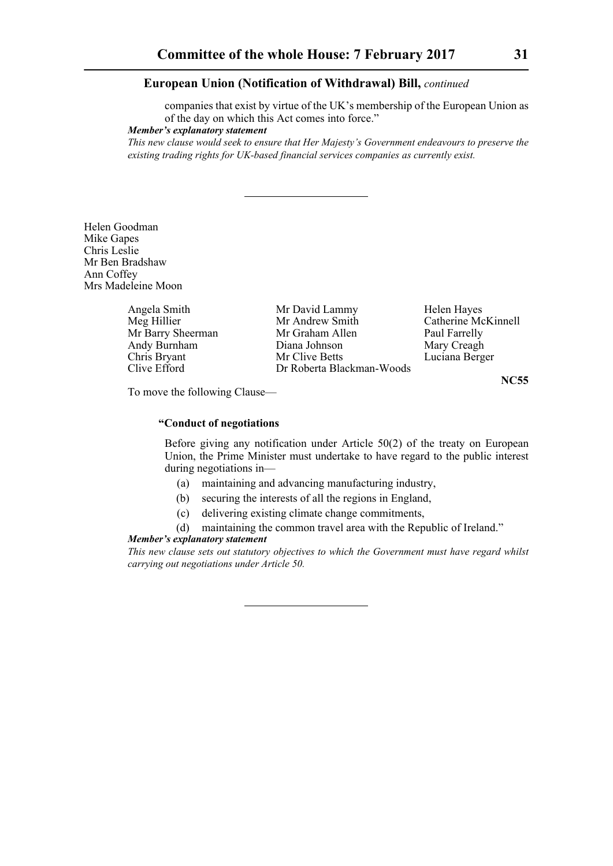companies that exist by virtue of the UK's membership of the European Union as of the day on which this Act comes into force."

*Member's explanatory statement* 

*This new clause would seek to ensure that Her Majesty's Government endeavours to preserve the existing trading rights for UK-based financial services companies as currently exist.*

Helen Goodman Mike Gapes Chris Leslie Mr Ben Bradshaw Ann Coffey Mrs Madeleine Moon

| Angela Smith      | Mr David Lammy            | Helen Hayes         |
|-------------------|---------------------------|---------------------|
| Meg Hillier       | Mr Andrew Smith           | Catherine McKinnell |
| Mr Barry Sheerman | Mr Graham Allen           | Paul Farrelly       |
| Andy Burnham      | Diana Johnson             | Mary Creagh         |
| Chris Bryant      | Mr Clive Betts            | Luciana Berger      |
| Clive Efford      | Dr Roberta Blackman-Woods |                     |
|                   |                           | <b>NC55</b>         |

To move the following Clause—

## **"Conduct of negotiations**

Before giving any notification under Article 50(2) of the treaty on European Union, the Prime Minister must undertake to have regard to the public interest during negotiations in—

- (a) maintaining and advancing manufacturing industry,
- (b) securing the interests of all the regions in England,
- (c) delivering existing climate change commitments,
- (d) maintaining the common travel area with the Republic of Ireland."

#### *Member's explanatory statement*

*This new clause sets out statutory objectives to which the Government must have regard whilst carrying out negotiations under Article 50.*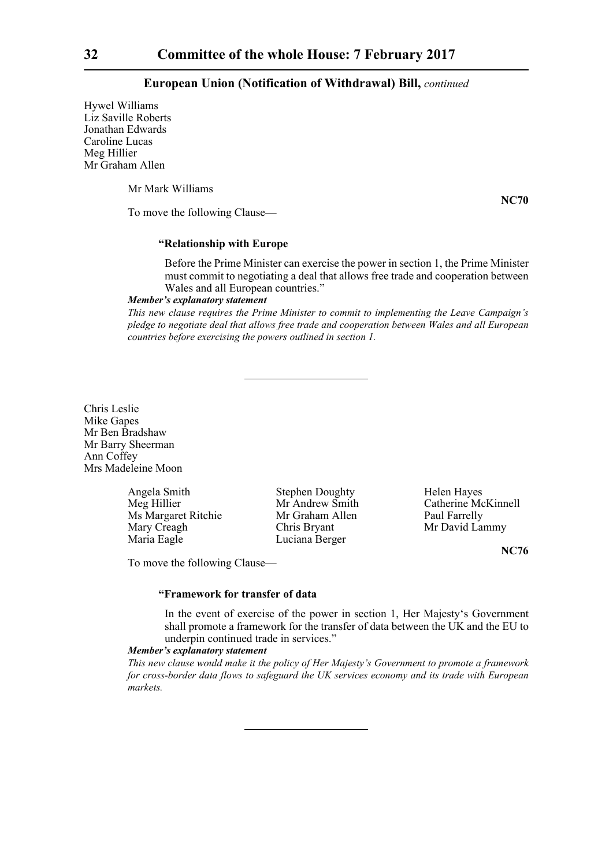Hywel Williams Liz Saville Roberts Jonathan Edwards Caroline Lucas Meg Hillier Mr Graham Allen

Mr Mark Williams

**NC70**

To move the following Clause—

## **"Relationship with Europe**

Before the Prime Minister can exercise the power in section 1, the Prime Minister must commit to negotiating a deal that allows free trade and cooperation between Wales and all European countries."

## *Member's explanatory statement*

*This new clause requires the Prime Minister to commit to implementing the Leave Campaign's pledge to negotiate deal that allows free trade and cooperation between Wales and all European countries before exercising the powers outlined in section 1.*

Chris Leslie Mike Gapes Mr Ben Bradshaw Mr Barry Sheerman Ann Coffey Mrs Madeleine Moon

> Angela Smith Stephen Doughty Helen Hayes<br>
> Mr Andrew Smith Catherine Mc Ms Margaret Ritchie Mary Creagh Chris Bryant Mr David Lammy Maria Eagle Luciana Berger

Meg Hillier Mr Andrew Smith Catherine McKinnell<br>
Ms Margaret Ritchie Mr Graham Allen Paul Farrelly

**NC76**

To move the following Clause—

#### **"Framework for transfer of data**

In the event of exercise of the power in section 1, Her Majesty's Government shall promote a framework for the transfer of data between the UK and the EU to underpin continued trade in services."

## *Member's explanatory statement*

*This new clause would make it the policy of Her Majesty's Government to promote a framework for cross-border data flows to safeguard the UK services economy and its trade with European markets.*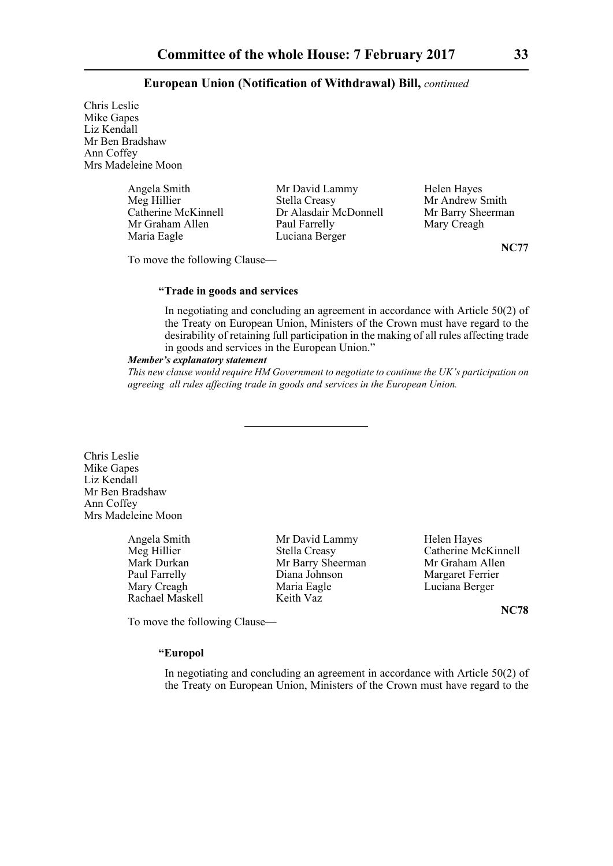Chris Leslie Mike Gapes Liz Kendall Mr Ben Bradshaw Ann Coffey Mrs Madeleine Moon

> Mr Graham Allen Maria Eagle Luciana Berger

Angela Smith Mr David Lammy Helen Hayes<br>
Meg Hillier Stella Creasy Mr Andrew S Meg Hillier Stella Creasy Mr Andrew Smith<br>Catherine McKinnell Dr Alasdair McDonnell Mr Barry Sheerman Dr Alasdair McDonnell Mr Barry Sheer Mary Sheer Mary Creagh

**NC77**

To move the following Clause—

#### **"Trade in goods and services**

In negotiating and concluding an agreement in accordance with Article 50(2) of the Treaty on European Union, Ministers of the Crown must have regard to the desirability of retaining full participation in the making of all rules affecting trade in goods and services in the European Union."

#### *Member's explanatory statement*

*This new clause would require HM Government to negotiate to continue the UK's participation on agreeing all rules affecting trade in goods and services in the European Union.*

Chris Leslie Mike Gapes Liz Kendall Mr Ben Bradshaw Ann Coffey Mrs Madeleine Moon

Rachael Maskell Keith Vaz

Angela Smith Mr David Lammy Helen Hayes Mark Durkan Mr Barry Sheerman Mr Graham Allen Paul Farrelly **Diana Johnson** Margaret Ferrier Mary Creagh Maria Eagle Luciana Berger

Meg Hillier Stella Creasy Catherine McKinnell

**NC78**

To move the following Clause—

## **"Europol**

In negotiating and concluding an agreement in accordance with Article 50(2) of the Treaty on European Union, Ministers of the Crown must have regard to the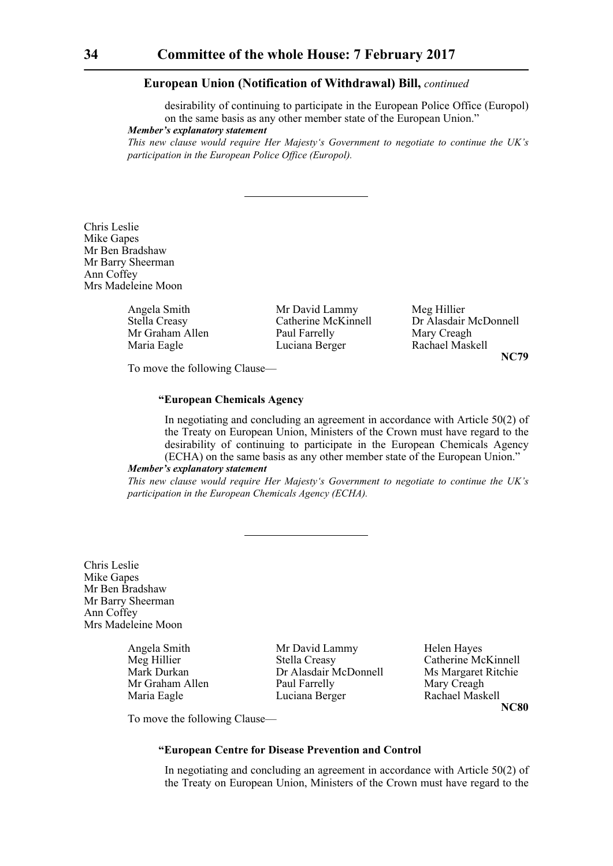desirability of continuing to participate in the European Police Office (Europol) on the same basis as any other member state of the European Union."

*Member's explanatory statement* 

*This new clause would require Her Majesty's Government to negotiate to continue the UK's participation in the European Police Office (Europol).*

Chris Leslie Mike Gapes Mr Ben Bradshaw Mr Barry Sheerman Ann Coffey Mrs Madeleine Moon

Maria Eagle Luciana Berger

Angela Smith Mr David Lammy Meg Hillier<br>Stella Creasy Catherine McKinnell Dr Alasdair Mr Graham Allen Paul Farrelly Mary Creagh<br>
Maria Eagle II Luciana Berger Rachael Maskell

Catherine McKinnell<br>
Paul Farrelly<br>
Mary Creagh<br>
Mary Creagh **NC79**

To move the following Clause—

## **"European Chemicals Agency**

In negotiating and concluding an agreement in accordance with Article 50(2) of the Treaty on European Union, Ministers of the Crown must have regard to the desirability of continuing to participate in the European Chemicals Agency (ECHA) on the same basis as any other member state of the European Union."

## *Member's explanatory statement*

*This new clause would require Her Majesty's Government to negotiate to continue the UK's participation in the European Chemicals Agency (ECHA).*

Chris Leslie Mike Gapes Mr Ben Bradshaw Mr Barry Sheerman Ann Coffey Mrs Madeleine Moon

Angela Smith Mr David Lammy Helen Hayes<br>
Meg Hillier Stella Creasy Catherine Mc Stella Creasy Catherine McKinnell Mark Durkan Dr Alasdair McDonnell Ms Margaret Ritchie Mr Graham Allen Paul Farrelly Mary Creagh Maria Eagle Luciana Berger Rachael Maskell

**NC80**

To move the following Clause—

## **"European Centre for Disease Prevention and Control**

In negotiating and concluding an agreement in accordance with Article 50(2) of the Treaty on European Union, Ministers of the Crown must have regard to the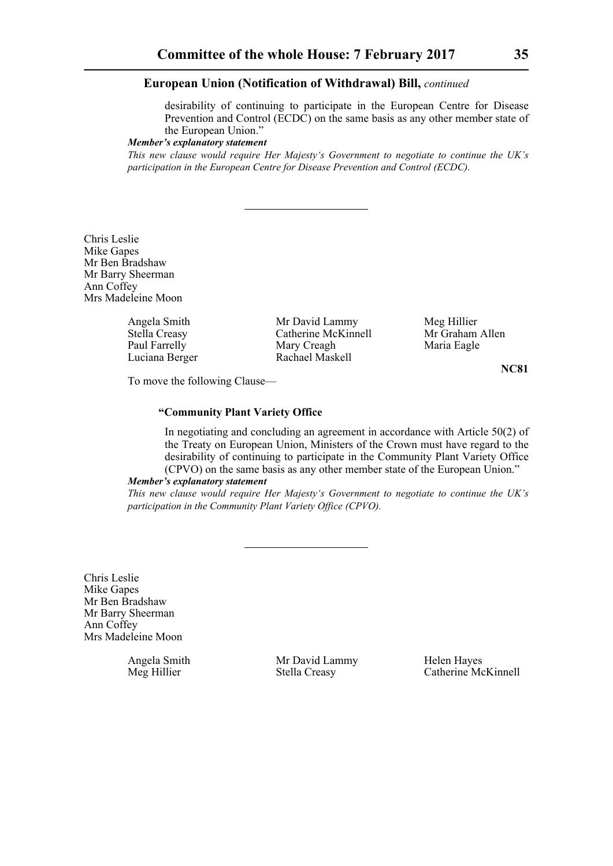desirability of continuing to participate in the European Centre for Disease Prevention and Control (ECDC) on the same basis as any other member state of the European Union."

#### *Member's explanatory statement*

*This new clause would require Her Majesty's Government to negotiate to continue the UK's participation in the European Centre for Disease Prevention and Control (ECDC).*

Chris Leslie Mike Gapes Mr Ben Bradshaw Mr Barry Sheerman Ann Coffey Mrs Madeleine Moon

Luciana Berger Rachael Maskell

Angela Smith Mr David Lammy Meg Hillier<br>
Stella Creasy Catherine McKinnell Mr Graham Allen Stella Creasy Catherine McKinnell<br>
Paul Farrelly Mary Creagh Mary Creagh Maria Eagle

**NC81**

To move the following Clause—

## **"Community Plant Variety Office**

In negotiating and concluding an agreement in accordance with Article 50(2) of the Treaty on European Union, Ministers of the Crown must have regard to the desirability of continuing to participate in the Community Plant Variety Office (CPVO) on the same basis as any other member state of the European Union."

#### *Member's explanatory statement*

*This new clause would require Her Majesty's Government to negotiate to continue the UK's participation in the Community Plant Variety Office (CPVO).*

Chris Leslie Mike Gapes Mr Ben Bradshaw Mr Barry Sheerman Ann Coffey Mrs Madeleine Moon

Angela Smith Mr David Lammy Helen Hayes

Meg Hillier Stella Creasy Catherine McKinnell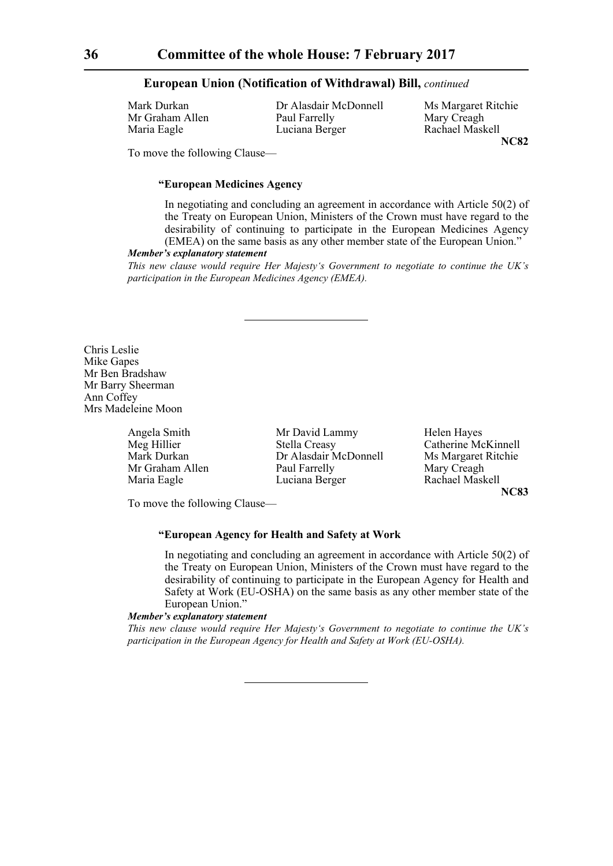Mr Graham Allen Paul Farrelly Mary Creagh Maria Eagle **Luciana Berger** Rachael Maskell

Mark Durkan Dr Alasdair McDonnell Ms Margaret Ritchie **NC82**

To move the following Clause—

### **"European Medicines Agency**

In negotiating and concluding an agreement in accordance with Article 50(2) of the Treaty on European Union, Ministers of the Crown must have regard to the desirability of continuing to participate in the European Medicines Agency (EMEA) on the same basis as any other member state of the European Union."

#### *Member's explanatory statement*

*This new clause would require Her Majesty's Government to negotiate to continue the UK's participation in the European Medicines Agency (EMEA).*

Chris Leslie Mike Gapes Mr Ben Bradshaw Mr Barry Sheerman Ann Coffey Mrs Madeleine Moon

Angela Smith Mr David Lammy Helen Hayes Meg Hillier Stella Creasy Catherine McKinnell<br>Mark Durkan Dr Alasdair McDonnell Ms Margaret Ritchie Dr Alasdair McDonnell Mr Graham Allen Paul Farrelly Mary Creagh Maria Eagle **Luciana Berger** Rachael Maskell

**NC83**

To move the following Clause—

## **"European Agency for Health and Safety at Work**

In negotiating and concluding an agreement in accordance with Article 50(2) of the Treaty on European Union, Ministers of the Crown must have regard to the desirability of continuing to participate in the European Agency for Health and Safety at Work (EU-OSHA) on the same basis as any other member state of the European Union."

#### *Member's explanatory statement*

*This new clause would require Her Majesty's Government to negotiate to continue the UK's participation in the European Agency for Health and Safety at Work (EU-OSHA).*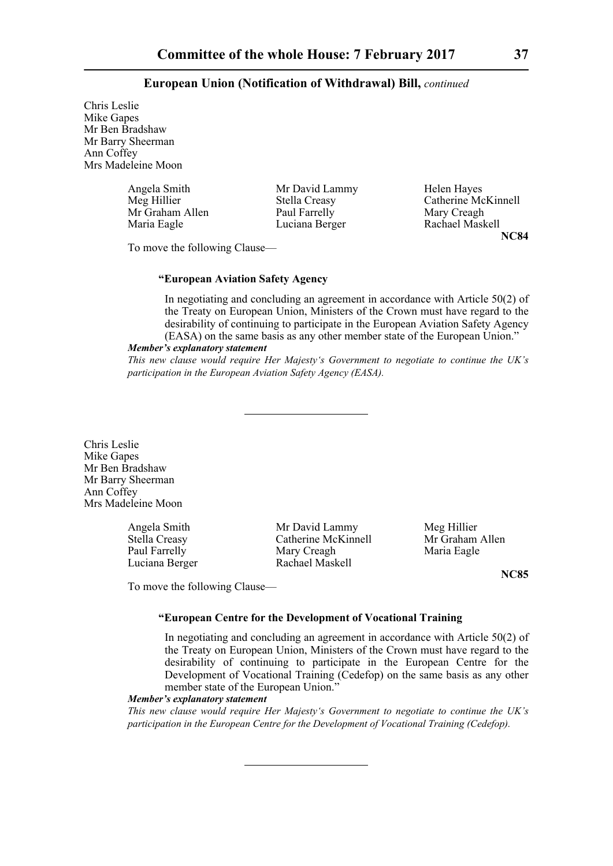Chris Leslie Mike Gapes Mr Ben Bradshaw Mr Barry Sheerman Ann Coffey Mrs Madeleine Moon

| Angela Smith    | Mr David Lammy | Helen Hayes         |
|-----------------|----------------|---------------------|
| Meg Hillier     | Stella Creasy  | Catherine McKinnell |
| Mr Graham Allen | Paul Farrelly  | Mary Creagh         |
| Maria Eagle     | Luciana Berger | Rachael Maskell     |

Rachael Maskell **NC84**

To move the following Clause—

## **"European Aviation Safety Agency**

In negotiating and concluding an agreement in accordance with Article 50(2) of the Treaty on European Union, Ministers of the Crown must have regard to the desirability of continuing to participate in the European Aviation Safety Agency (EASA) on the same basis as any other member state of the European Union."

#### *Member's explanatory statement*

*This new clause would require Her Majesty's Government to negotiate to continue the UK's participation in the European Aviation Safety Agency (EASA).*

Chris Leslie Mike Gapes Mr Ben Bradshaw Mr Barry Sheerman Ann Coffey Mrs Madeleine Moon

Angela Smith Mr David Lammy Meg Hillier Stella Creasy **Catherine McKinnell** Mr Graham Allen Paul Farrelly Mary Creagh Maria Eagle Luciana Berger Rachael Maskell

**NC85**

To move the following Clause—

# **"European Centre for the Development of Vocational Training**

In negotiating and concluding an agreement in accordance with Article 50(2) of the Treaty on European Union, Ministers of the Crown must have regard to the desirability of continuing to participate in the European Centre for the Development of Vocational Training (Cedefop) on the same basis as any other member state of the European Union."

## *Member's explanatory statement*

*This new clause would require Her Majesty's Government to negotiate to continue the UK's participation in the European Centre for the Development of Vocational Training (Cedefop).*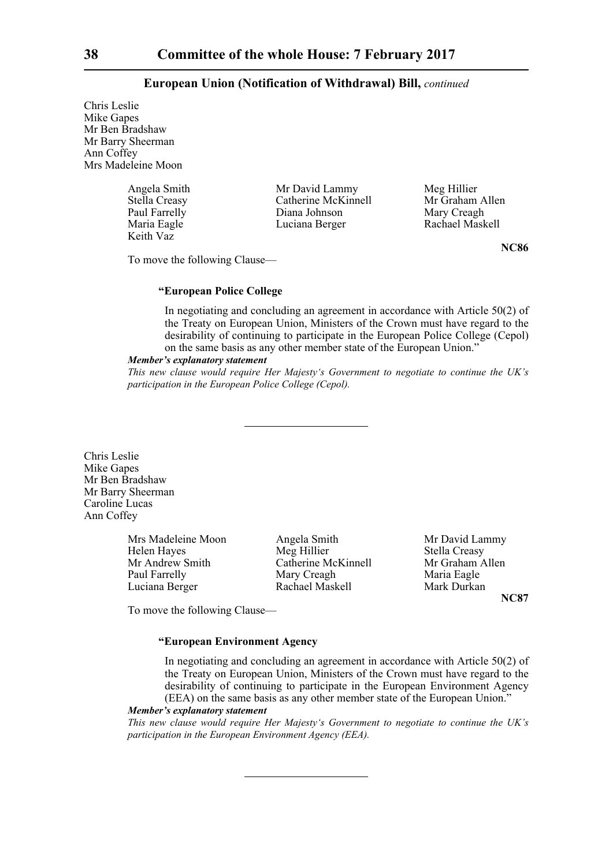Chris Leslie Mike Gapes Mr Ben Bradshaw Mr Barry Sheerman Ann Coffey Mrs Madeleine Moon

| Angela Smith  | Mr David Lammy      | Meg Hillier     |
|---------------|---------------------|-----------------|
| Stella Creasy | Catherine McKinnell | Mr Graham Allen |
| Paul Farrelly | Diana Johnson       | Mary Creagh     |
| Maria Eagle   | Luciana Berger      | Rachael Maskell |
| Keith Vaz     |                     |                 |

To move the following Clause—

#### **"European Police College**

In negotiating and concluding an agreement in accordance with Article 50(2) of the Treaty on European Union, Ministers of the Crown must have regard to the desirability of continuing to participate in the European Police College (Cepol) on the same basis as any other member state of the European Union."

#### *Member's explanatory statement*

*This new clause would require Her Majesty's Government to negotiate to continue the UK's participation in the European Police College (Cepol).*

Chris Leslie Mike Gapes Mr Ben Bradshaw Mr Barry Sheerman Caroline Lucas Ann Coffey

> Mrs Madeleine Moon Angela Smith Mr David Lammy Helen Hayes Meg Hillier Stella Creasy Mr Andrew Smith Catherine McKinnell Mr Graham Allen Paul Farrelly Mary Creagh Maria Eagle Luciana Berger Rachael Maskell Mark Durkan

**NC87**

To move the following Clause—

# **"European Environment Agency**

In negotiating and concluding an agreement in accordance with Article 50(2) of the Treaty on European Union, Ministers of the Crown must have regard to the desirability of continuing to participate in the European Environment Agency (EEA) on the same basis as any other member state of the European Union."

#### *Member's explanatory statement*

*This new clause would require Her Majesty's Government to negotiate to continue the UK's participation in the European Environment Agency (EEA).*

**NC86**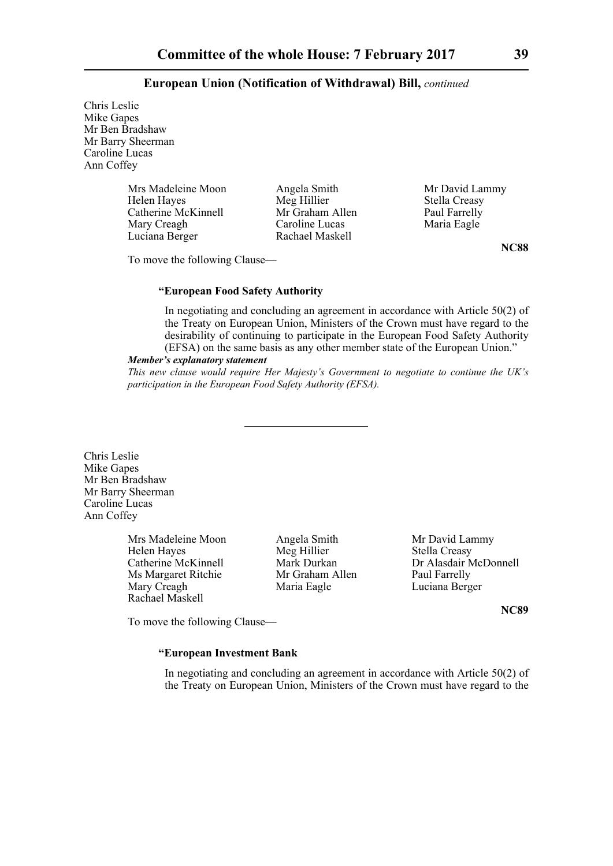Chris Leslie Mike Gapes Mr Ben Bradshaw Mr Barry Sheerman Caroline Lucas Ann Coffey

> Mrs Madeleine Moon Angela Smith Mr David Lammy<br>
> Helen Hayes Meg Hillier Stella Creasy Catherine McKinnell Mr Graham Allen Paul Farrelly<br>Mary Creagh Caroline Lucas Maria Eagle Luciana Berger Rachael Maskell

Meg Hillier Stella Creasy<br>
Mr Graham Allen Paul Farrelly Caroline Lucas

**NC88**

To move the following Clause—

#### **"European Food Safety Authority**

In negotiating and concluding an agreement in accordance with Article 50(2) of the Treaty on European Union, Ministers of the Crown must have regard to the desirability of continuing to participate in the European Food Safety Authority (EFSA) on the same basis as any other member state of the European Union."

#### *Member's explanatory statement*

*This new clause would require Her Majesty's Government to negotiate to continue the UK's participation in the European Food Safety Authority (EFSA).*

Chris Leslie Mike Gapes Mr Ben Bradshaw Mr Barry Sheerman Caroline Lucas Ann Coffey

> Mrs Madeleine Moon **Angela Smith** Mr David Lammy Helen Hayes Meg Hillier Stella Creasy Ms Margaret Ritchie Mr Graham Allen Paul Farrelly Mary Creagh Maria Eagle Luciana Berger Rachael Maskell

Catherine McKinnell Mark Durkan Dr Alasdair McDonnell

**NC89**

To move the following Clause—

# **"European Investment Bank**

In negotiating and concluding an agreement in accordance with Article 50(2) of the Treaty on European Union, Ministers of the Crown must have regard to the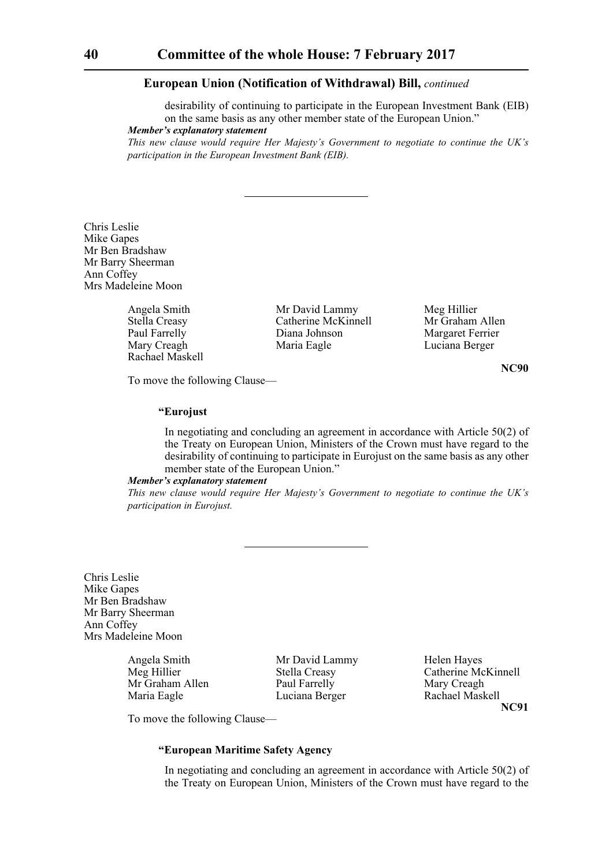desirability of continuing to participate in the European Investment Bank (EIB) on the same basis as any other member state of the European Union."

*Member's explanatory statement* 

*This new clause would require Her Majesty's Government to negotiate to continue the UK's participation in the European Investment Bank (EIB).*

Chris Leslie Mike Gapes Mr Ben Bradshaw Mr Barry Sheerman Ann Coffey Mrs Madeleine Moon

Rachael Maskell

Angela Smith Mr David Lammy Meg Hillier<br>
Stella Creasy Catherine McKinnell Mr Graham Allen Stella Creasy Catherine McKinnell<br>
Paul Farrelly Diana Johnson Paul Farrelly Diana Johnson Margaret Ferrier<br>
Mary Creagh Maria Eagle Luciana Berger Maria Eagle Luciana Berger

**NC90**

To move the following Clause—

# **"Eurojust**

In negotiating and concluding an agreement in accordance with Article 50(2) of the Treaty on European Union, Ministers of the Crown must have regard to the desirability of continuing to participate in Eurojust on the same basis as any other member state of the European Union."

# *Member's explanatory statement*

*This new clause would require Her Majesty's Government to negotiate to continue the UK's participation in Eurojust.*

Chris Leslie Mike Gapes Mr Ben Bradshaw Mr Barry Sheerman Ann Coffey Mrs Madeleine Moon

Angela Smith Mr David Lammy Helen Hayes

Mr Graham Allen Paul Farrelly Mary Creagh Maria Eagle Luciana Berger Rachael Maskell

Meg Hillier Stella Creasy Catherine McKinnell **NC91**

To move the following Clause—

# **"European Maritime Safety Agency**

In negotiating and concluding an agreement in accordance with Article 50(2) of the Treaty on European Union, Ministers of the Crown must have regard to the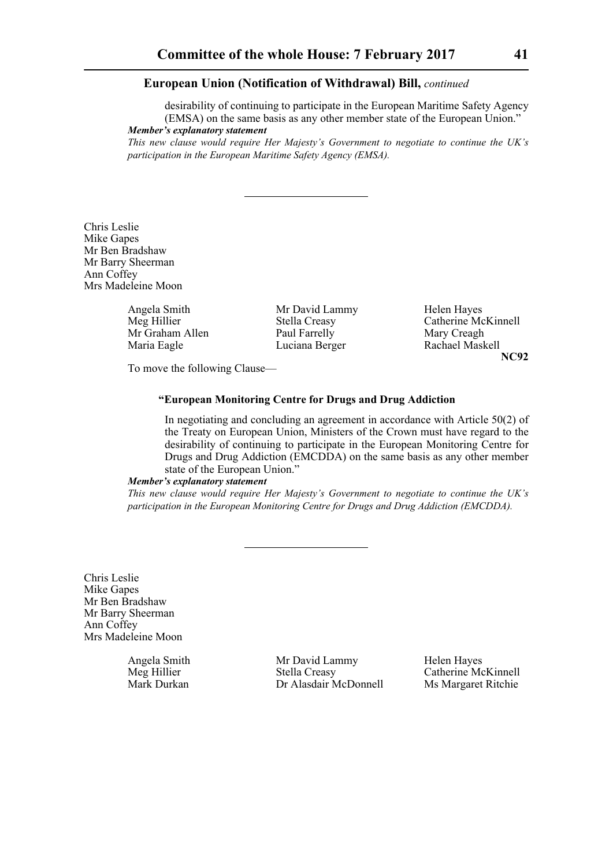desirability of continuing to participate in the European Maritime Safety Agency (EMSA) on the same basis as any other member state of the European Union." *Member's explanatory statement* 

*This new clause would require Her Majesty's Government to negotiate to continue the UK's participation in the European Maritime Safety Agency (EMSA).*

Chris Leslie Mike Gapes Mr Ben Bradshaw Mr Barry Sheerman Ann Coffey Mrs Madeleine Moon

> Angela Smith Mr David Lammy Helen Hayes<br>
> Meg Hillier Stella Creasv Catherine Mc Mr Graham Allen Paul Farrelly Mary Creagh<br>
> Maria Eagle Luciana Berger Rachael Maskell

Luciana Berger

Stella Creasy Catherine McKinnell<br>
Paul Farrelly Mary Creagh **NC92**

To move the following Clause—

# **"European Monitoring Centre for Drugs and Drug Addiction**

In negotiating and concluding an agreement in accordance with Article 50(2) of the Treaty on European Union, Ministers of the Crown must have regard to the desirability of continuing to participate in the European Monitoring Centre for Drugs and Drug Addiction (EMCDDA) on the same basis as any other member state of the European Union."

## *Member's explanatory statement*

*This new clause would require Her Majesty's Government to negotiate to continue the UK's participation in the European Monitoring Centre for Drugs and Drug Addiction (EMCDDA).*

Chris Leslie Mike Gapes Mr Ben Bradshaw Mr Barry Sheerman Ann Coffey Mrs Madeleine Moon

Angela Smith Mr David Lammy Helen Hayes Meg Hillier Stella Creasy Catherine McKinnell Mark Durkan Dr Alasdair McDonnell Ms Margaret Ritchie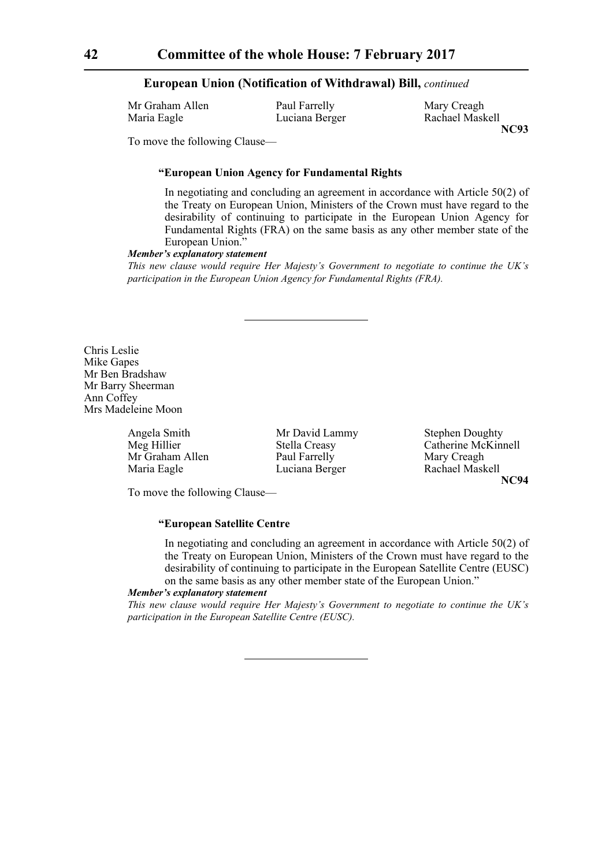| Mr Graham Allen | Paul Farrelly  | Mary Creagh  |
|-----------------|----------------|--------------|
| Maria Eagle     | Luciana Berger | Rachael Mask |

Rachael Maskell **NC93**

To move the following Clause—

# **"European Union Agency for Fundamental Rights**

In negotiating and concluding an agreement in accordance with Article 50(2) of the Treaty on European Union, Ministers of the Crown must have regard to the desirability of continuing to participate in the European Union Agency for Fundamental Rights (FRA) on the same basis as any other member state of the European Union."

### *Member's explanatory statement*

*This new clause would require Her Majesty's Government to negotiate to continue the UK's participation in the European Union Agency for Fundamental Rights (FRA).*

Chris Leslie Mike Gapes Mr Ben Bradshaw Mr Barry Sheerman Ann Coffey Mrs Madeleine Moon

Angela Smith Mr David Lammy Stephen Doughty<br>Mr David Lammy Stephen Doughty<br>Catherine McKin Mr Graham Allen Paul Farrelly Mary Creagh<br>
Maria Eagle Luciana Berger Rachael Masl Luciana Berger Rachael Maskell

Meg Hillier Stella Creasy Catherine McKinnell **NC94**

To move the following Clause—

# **"European Satellite Centre**

In negotiating and concluding an agreement in accordance with Article 50(2) of the Treaty on European Union, Ministers of the Crown must have regard to the desirability of continuing to participate in the European Satellite Centre (EUSC) on the same basis as any other member state of the European Union."

#### *Member's explanatory statement*

*This new clause would require Her Majesty's Government to negotiate to continue the UK's participation in the European Satellite Centre (EUSC).*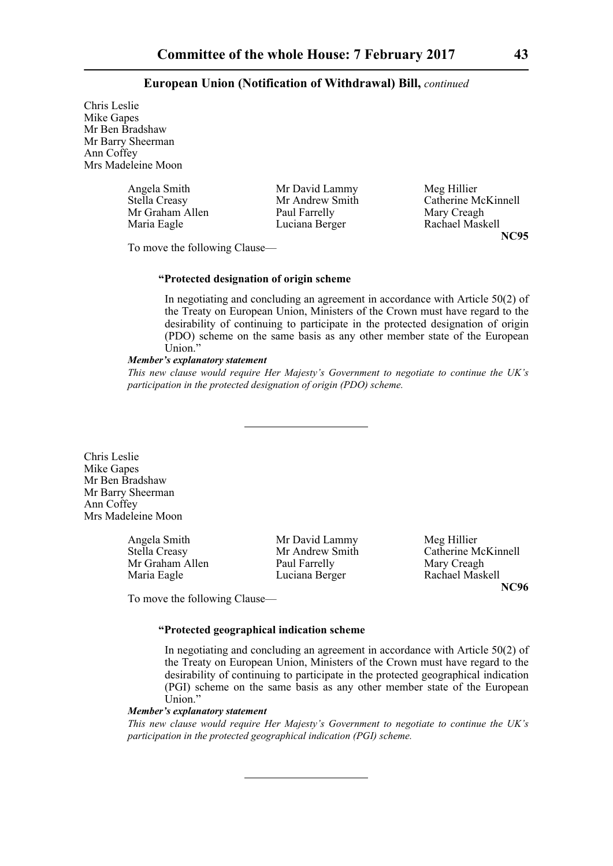Chris Leslie Mike Gapes Mr Ben Bradshaw Mr Barry Sheerman Ann Coffey Mrs Madeleine Moon

| Angela Smith    | Mr David Lammy  | Meg Hillier         |
|-----------------|-----------------|---------------------|
| Stella Creasy   | Mr Andrew Smith | Catherine McKinnell |
| Mr Graham Allen | Paul Farrelly   | Mary Creagh         |
| Maria Eagle     | Luciana Berger  | Rachael Maskell     |

Rachael Maskell **NC95**

To move the following Clause—

## **"Protected designation of origin scheme**

In negotiating and concluding an agreement in accordance with Article 50(2) of the Treaty on European Union, Ministers of the Crown must have regard to the desirability of continuing to participate in the protected designation of origin (PDO) scheme on the same basis as any other member state of the European Union."

#### *Member's explanatory statement*

*This new clause would require Her Majesty's Government to negotiate to continue the UK's participation in the protected designation of origin (PDO) scheme.*

Chris Leslie Mike Gapes Mr Ben Bradshaw Mr Barry Sheerman Ann Coffey Mrs Madeleine Moon

> Angela Smith Mr David Lammy Meg Hillier<br>
> Stella Creasv Mr Andrew Smith Catherine M Mr Graham Allen Paul Farrelly Mary Creagh Maria Eagle **Luciana Berger** Rachael Maskell

Mr Andrew Smith Catherine McKinnell **NC96**

To move the following Clause—

# **"Protected geographical indication scheme**

In negotiating and concluding an agreement in accordance with Article 50(2) of the Treaty on European Union, Ministers of the Crown must have regard to the desirability of continuing to participate in the protected geographical indication (PGI) scheme on the same basis as any other member state of the European Union."

# *Member's explanatory statement*

*This new clause would require Her Majesty's Government to negotiate to continue the UK's participation in the protected geographical indication (PGI) scheme.*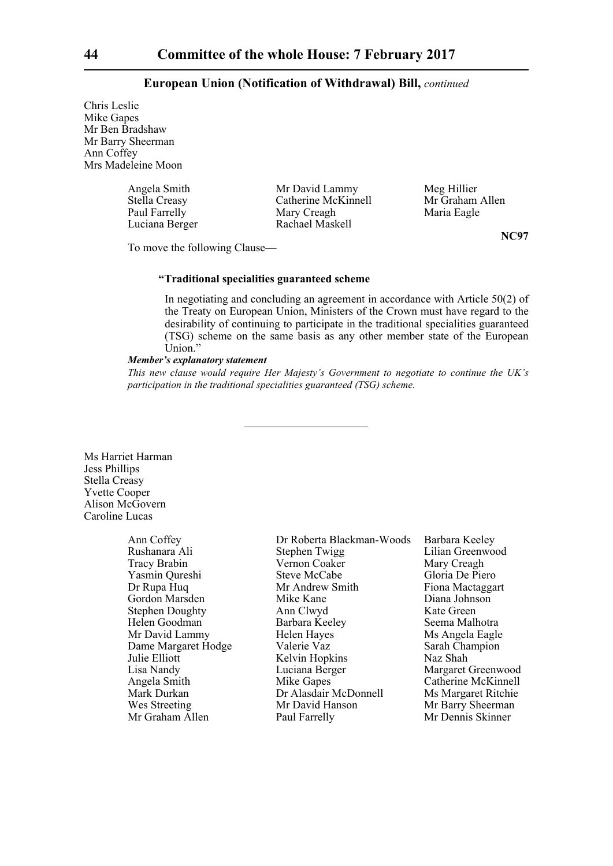Chris Leslie Mike Gapes Mr Ben Bradshaw Mr Barry Sheerman Ann Coffey Mrs Madeleine Moon

| Angela Smith   | Mr David Lammy      | Meg Hillier |
|----------------|---------------------|-------------|
| Stella Creasy  | Catherine McKinnell | Mr Graham   |
| Paul Farrelly  | Mary Creagh         | Maria Eagle |
| Luciana Berger | Rachael Maskell     |             |

ham Allen

**NC97**

To move the following Clause—

# **"Traditional specialities guaranteed scheme**

In negotiating and concluding an agreement in accordance with Article 50(2) of the Treaty on European Union, Ministers of the Crown must have regard to the desirability of continuing to participate in the traditional specialities guaranteed (TSG) scheme on the same basis as any other member state of the European Union."

# *Member's explanatory statement*

*This new clause would require Her Majesty's Government to negotiate to continue the UK's participation in the traditional specialities guaranteed (TSG) scheme.*

Ms Harriet Harman Jess Phillips Stella Creasy Yvette Cooper Alison McGovern Caroline Lucas

Mr Graham Allen Paul Farrelly

Ann Coffey Dr Roberta Blackman-Woods Barbara Keeley Rushanara Ali Stephen Twigg Lilian Greenwood Tracy Brabin Vernon Coaker Mary Creagh Yasmin Qureshi Steve McCabe Gloria De Piero Dr Rupa Huq Mr Andrew Smith Fiona Mactaggart Gordon Marsden Mike Kane Diana Johnson Stephen Doughty **Ann Clwyd** Kate Green Helen Goodman Barbara Keeley Seema Malhotra Mr David Lammy Helen Hayes<br>
Dame Margaret Hodge Valerie Vaz Sarah Champion Dame Margaret Hodge Valerie Vaz Sarah Champion Julie Elliott Kelvin Hopkins Naz Shah Lisa Nandy Luciana Berger Margaret Greenwood Angela Smith Mike Gapes Catherine McKinnell<br>Mark Durkan Dr Alasdair McDonnell Ms Margaret Ritchie Mark Durkan Dr Alasdair McDonnell<br>Wes Streeting Mr David Hanson

Mr Barry Sheerman<br>Mr Dennis Skinner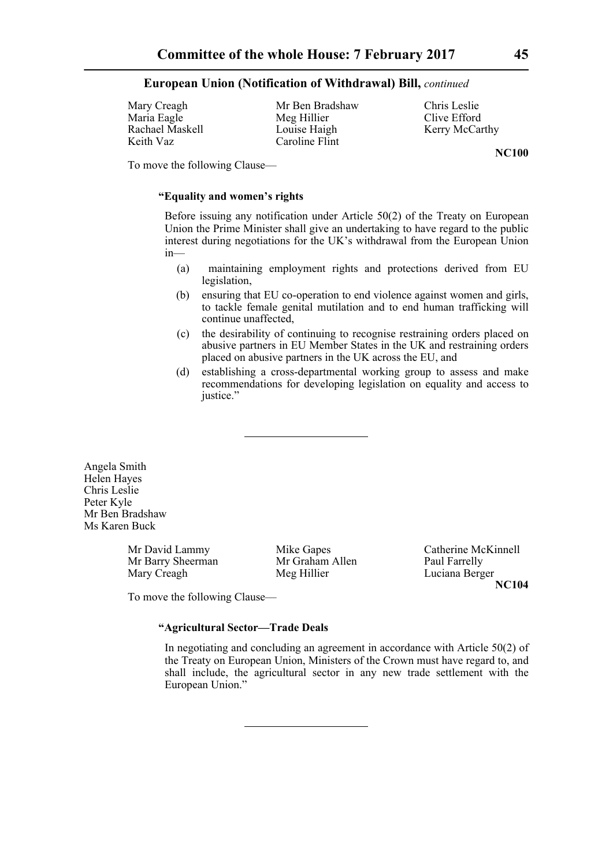Mary Creagh Mr Ben Bradshaw Chris Leslie Maria Eagle Meg Hillier Clive Efford<br>
Rachael Maskell Louise Haigh Kerry McCar Keith Vaz Caroline Flint

Louise Haigh Kerry McCarthy

**NC100**

To move the following Clause—

# **"Equality and women's rights**

Before issuing any notification under Article 50(2) of the Treaty on European Union the Prime Minister shall give an undertaking to have regard to the public interest during negotiations for the UK's withdrawal from the European Union in—

- (a) maintaining employment rights and protections derived from EU legislation,
- (b) ensuring that EU co-operation to end violence against women and girls, to tackle female genital mutilation and to end human trafficking will continue unaffected,
- (c) the desirability of continuing to recognise restraining orders placed on abusive partners in EU Member States in the UK and restraining orders placed on abusive partners in the UK across the EU, and
- (d) establishing a cross-departmental working group to assess and make recommendations for developing legislation on equality and access to justice."

Angela Smith Helen Hayes Chris Leslie Peter Kyle Mr Ben Bradshaw Ms Karen Buck

> Mr Barry Sheerman Mary Creagh Meg Hillier Luciana Berger

Mr David Lammy Mike Gapes Catherine McKinnell<br>
Mr Graham Allen Paul Farrelly<br>
Paul Farrelly **NC104**

To move the following Clause—

**"Agricultural Sector—Trade Deals**

In negotiating and concluding an agreement in accordance with Article 50(2) of the Treaty on European Union, Ministers of the Crown must have regard to, and shall include, the agricultural sector in any new trade settlement with the European Union."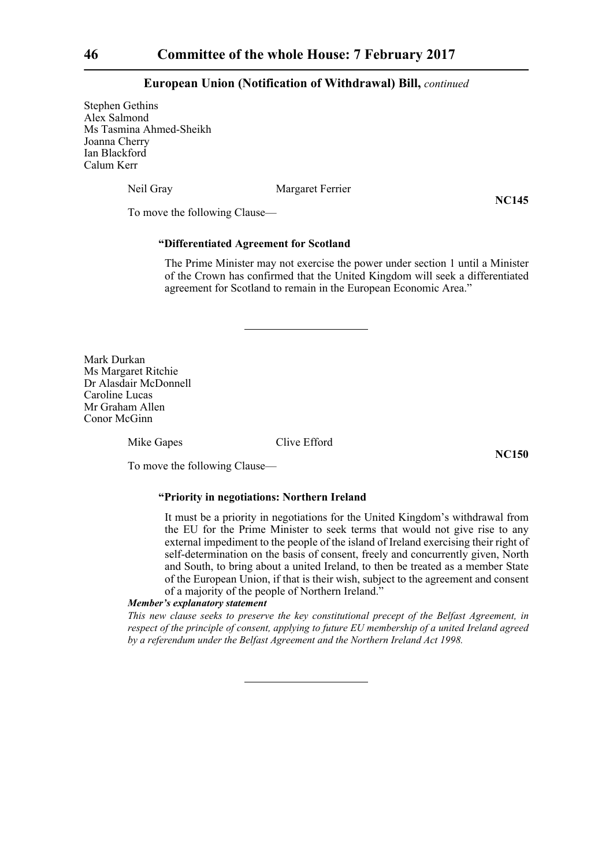Stephen Gethins Alex Salmond Ms Tasmina Ahmed-Sheikh Joanna Cherry Ian Blackford Calum Kerr

Neil Gray Margaret Ferrier

**NC145**

To move the following Clause—

# **"Differentiated Agreement for Scotland**

The Prime Minister may not exercise the power under section 1 until a Minister of the Crown has confirmed that the United Kingdom will seek a differentiated agreement for Scotland to remain in the European Economic Area."

Mark Durkan Ms Margaret Ritchie Dr Alasdair McDonnell Caroline Lucas Mr Graham Allen Conor McGinn

Mike Gapes Clive Efford

**NC150**

To move the following Clause—

## **"Priority in negotiations: Northern Ireland**

It must be a priority in negotiations for the United Kingdom's withdrawal from the EU for the Prime Minister to seek terms that would not give rise to any external impediment to the people of the island of Ireland exercising their right of self-determination on the basis of consent, freely and concurrently given, North and South, to bring about a united Ireland, to then be treated as a member State of the European Union, if that is their wish, subject to the agreement and consent of a majority of the people of Northern Ireland."

## *Member's explanatory statement*

*This new clause seeks to preserve the key constitutional precept of the Belfast Agreement, in respect of the principle of consent, applying to future EU membership of a united Ireland agreed by a referendum under the Belfast Agreement and the Northern Ireland Act 1998.*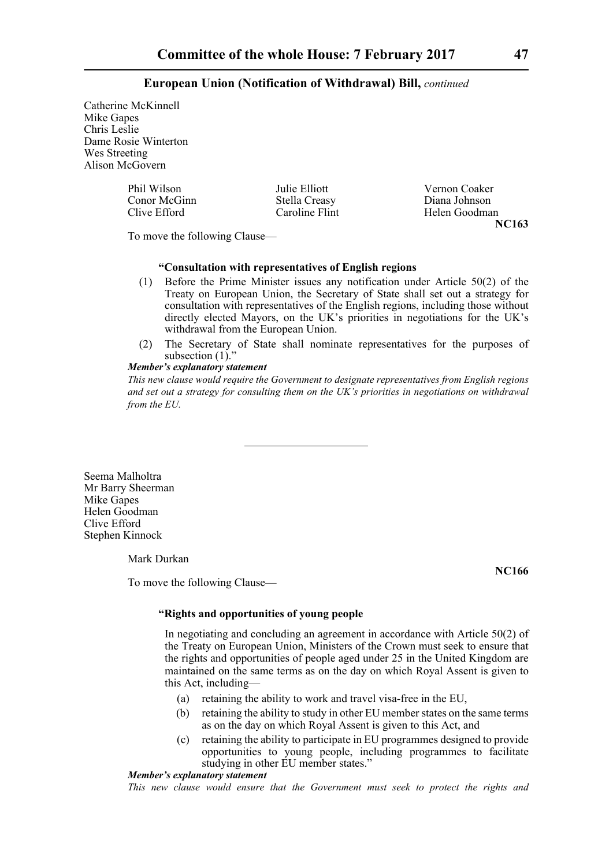Catherine McKinnell Mike Gapes Chris Leslie Dame Rosie Winterton Wes Streeting Alison McGovern

| Phil Wilson  | Julie Elliott  | Vernon Coaker |
|--------------|----------------|---------------|
| Conor McGinn | Stella Creasy  | Diana Johnson |
| Clive Efford | Caroline Flint | Helen Goodman |
|              |                | NC163         |

To move the following Clause—

# **"Consultation with representatives of English regions**

- (1) Before the Prime Minister issues any notification under Article 50(2) of the Treaty on European Union, the Secretary of State shall set out a strategy for consultation with representatives of the English regions, including those without directly elected Mayors, on the UK's priorities in negotiations for the UK's withdrawal from the European Union.
- (2) The Secretary of State shall nominate representatives for the purposes of subsection  $(1)$ ."

# *Member's explanatory statement*

*This new clause would require the Government to designate representatives from English regions and set out a strategy for consulting them on the UK's priorities in negotiations on withdrawal from the EU.*

Seema Malholtra Mr Barry Sheerman Mike Gapes Helen Goodman Clive Efford Stephen Kinnock

Mark Durkan

To move the following Clause—

**NC166**

# **"Rights and opportunities of young people**

In negotiating and concluding an agreement in accordance with Article 50(2) of the Treaty on European Union, Ministers of the Crown must seek to ensure that the rights and opportunities of people aged under 25 in the United Kingdom are maintained on the same terms as on the day on which Royal Assent is given to this Act, including—

- (a) retaining the ability to work and travel visa-free in the EU,
- (b) retaining the ability to study in other EU member states on the same terms as on the day on which Royal Assent is given to this Act, and
- (c) retaining the ability to participate in EU programmes designed to provide opportunities to young people, including programmes to facilitate studying in other EU member states."

# *Member's explanatory statement*

*This new clause would ensure that the Government must seek to protect the rights and*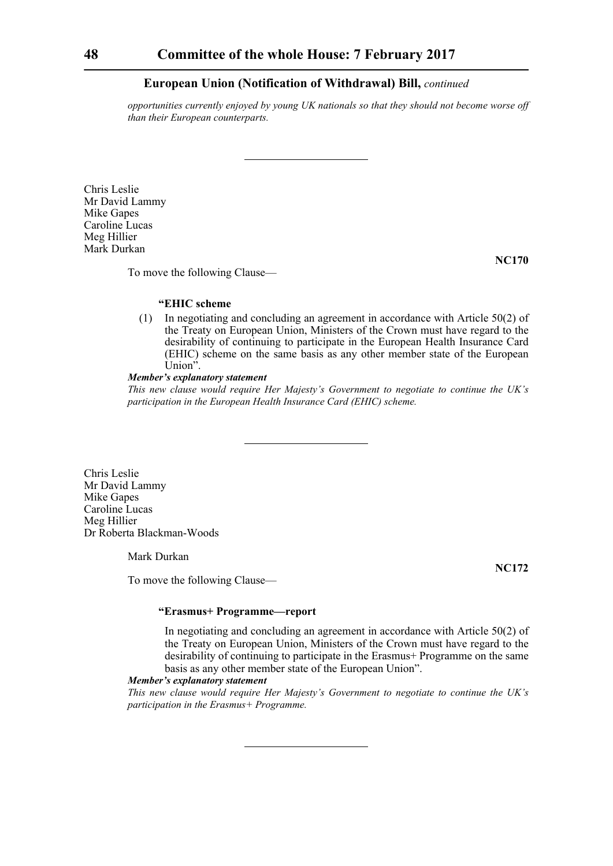*opportunities currently enjoyed by young UK nationals so that they should not become worse off than their European counterparts.*

Chris Leslie Mr David Lammy Mike Gapes Caroline Lucas Meg Hillier Mark Durkan

**NC170**

**NC172**

To move the following Clause—

# **"EHIC scheme**

(1) In negotiating and concluding an agreement in accordance with Article 50(2) of the Treaty on European Union, Ministers of the Crown must have regard to the desirability of continuing to participate in the European Health Insurance Card (EHIC) scheme on the same basis as any other member state of the European Union".

## *Member's explanatory statement*

*This new clause would require Her Majesty's Government to negotiate to continue the UK's participation in the European Health Insurance Card (EHIC) scheme.*

Chris Leslie Mr David Lammy Mike Gapes Caroline Lucas Meg Hillier Dr Roberta Blackman-Woods

Mark Durkan

To move the following Clause—

# **"Erasmus+ Programme—report**

In negotiating and concluding an agreement in accordance with Article 50(2) of the Treaty on European Union, Ministers of the Crown must have regard to the desirability of continuing to participate in the Erasmus+ Programme on the same basis as any other member state of the European Union".

# *Member's explanatory statement*

*This new clause would require Her Majesty's Government to negotiate to continue the UK's participation in the Erasmus+ Programme.*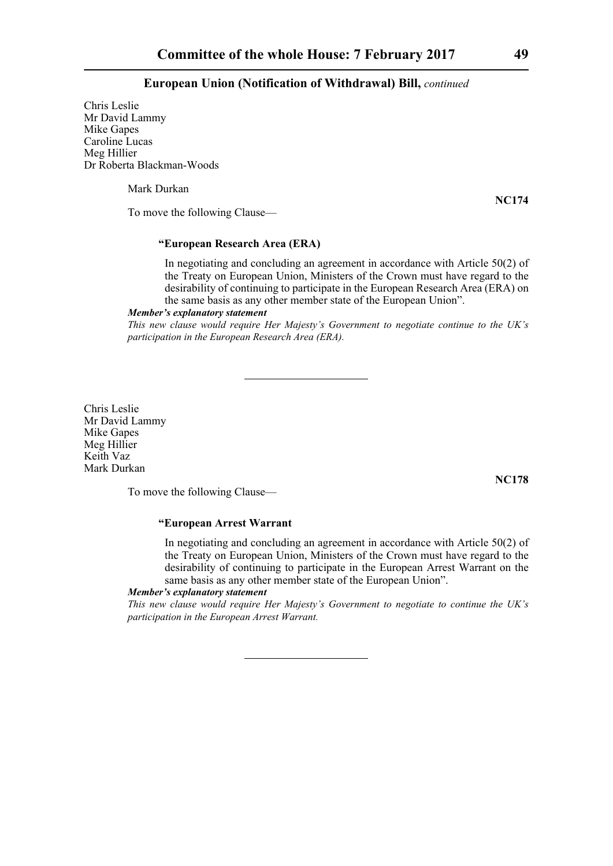Chris Leslie Mr David Lammy Mike Gapes Caroline Lucas Meg Hillier Dr Roberta Blackman-Woods

Mark Durkan

To move the following Clause—

# **"European Research Area (ERA)**

In negotiating and concluding an agreement in accordance with Article 50(2) of the Treaty on European Union, Ministers of the Crown must have regard to the desirability of continuing to participate in the European Research Area (ERA) on the same basis as any other member state of the European Union".

#### *Member's explanatory statement*

*This new clause would require Her Majesty's Government to negotiate continue to the UK's participation in the European Research Area (ERA).*

Chris Leslie Mr David Lammy Mike Gapes Meg Hillier Keith Vaz Mark Durkan

**NC178**

To move the following Clause—

# **"European Arrest Warrant**

In negotiating and concluding an agreement in accordance with Article 50(2) of the Treaty on European Union, Ministers of the Crown must have regard to the desirability of continuing to participate in the European Arrest Warrant on the same basis as any other member state of the European Union".

# *Member's explanatory statement*

*This new clause would require Her Majesty's Government to negotiate to continue the UK's participation in the European Arrest Warrant.*

**NC174**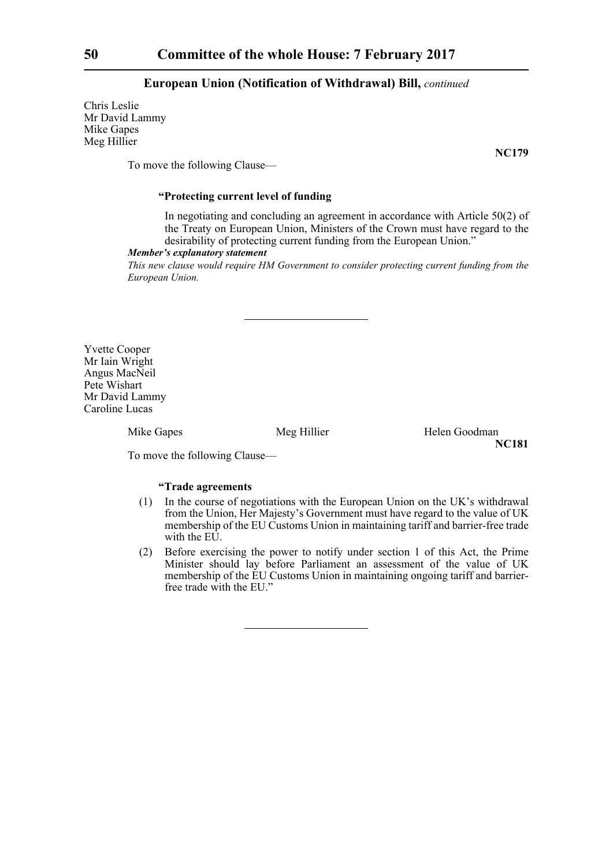Chris Leslie Mr David Lammy Mike Gapes Meg Hillier

**NC179**

To move the following Clause—

# **"Protecting current level of funding**

In negotiating and concluding an agreement in accordance with Article 50(2) of the Treaty on European Union, Ministers of the Crown must have regard to the desirability of protecting current funding from the European Union."

#### *Member's explanatory statement*

*This new clause would require HM Government to consider protecting current funding from the European Union.*

Yvette Cooper Mr Iain Wright Angus MacNeil Pete Wishart Mr David Lammy Caroline Lucas

Mike Gapes Meg Hillier Helen Goodman **NC181**

To move the following Clause—

# **"Trade agreements**

- (1) In the course of negotiations with the European Union on the UK's withdrawal from the Union, Her Majesty's Government must have regard to the value of UK membership of the EU Customs Union in maintaining tariff and barrier-free trade with the EU.
- (2) Before exercising the power to notify under section 1 of this Act, the Prime Minister should lay before Parliament an assessment of the value of UK membership of the EU Customs Union in maintaining ongoing tariff and barrierfree trade with the EU."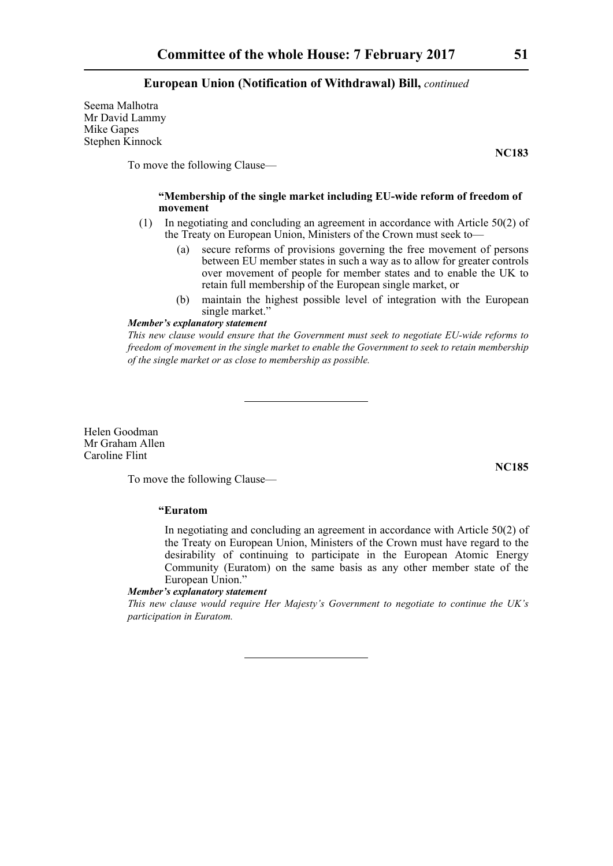Seema Malhotra Mr David Lammy Mike Gapes Stephen Kinnock

**NC183**

To move the following Clause—

# **"Membership of the single market including EU-wide reform of freedom of movement**

- (1) In negotiating and concluding an agreement in accordance with Article 50(2) of the Treaty on European Union, Ministers of the Crown must seek to—
	- (a) secure reforms of provisions governing the free movement of persons between EU member states in such a way as to allow for greater controls over movement of people for member states and to enable the UK to retain full membership of the European single market, or
	- (b) maintain the highest possible level of integration with the European single market."

# *Member's explanatory statement*

*This new clause would ensure that the Government must seek to negotiate EU-wide reforms to freedom of movement in the single market to enable the Government to seek to retain membership of the single market or as close to membership as possible.*

Helen Goodman Mr Graham Allen Caroline Flint

**NC185**

To move the following Clause—

### **"Euratom**

In negotiating and concluding an agreement in accordance with Article 50(2) of the Treaty on European Union, Ministers of the Crown must have regard to the desirability of continuing to participate in the European Atomic Energy Community (Euratom) on the same basis as any other member state of the European Union."

# *Member's explanatory statement*

*This new clause would require Her Majesty's Government to negotiate to continue the UK's participation in Euratom.*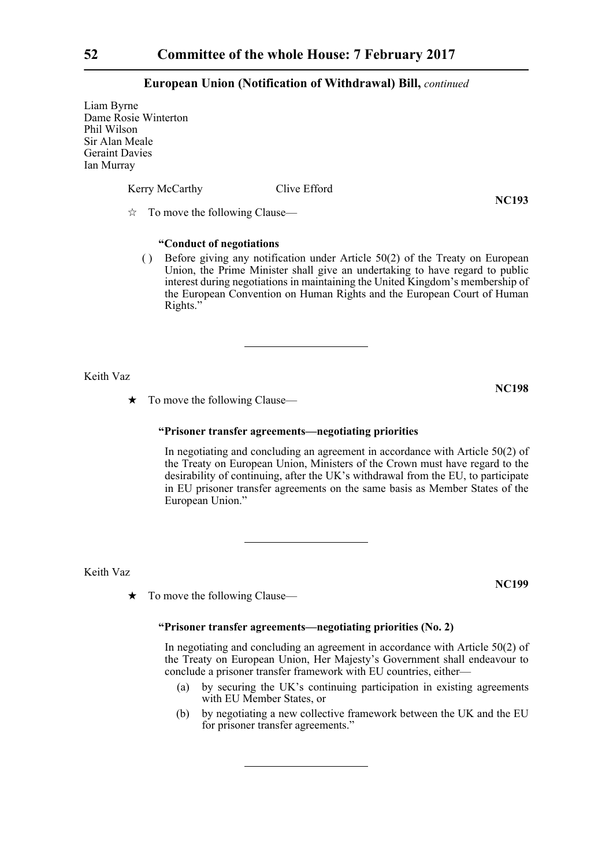Liam Byrne Dame Rosie Winterton Phil Wilson Sir Alan Meale Geraint Davies Ian Murray

Kerry McCarthy Clive Efford

**NC193**

 $\vec{\mathcal{R}}$  To move the following Clause—

# **"Conduct of negotiations**

( ) Before giving any notification under Article 50(2) of the Treaty on European Union, the Prime Minister shall give an undertaking to have regard to public interest during negotiations in maintaining the United Kingdom's membership of the European Convention on Human Rights and the European Court of Human Rights."

Keith Vaz

 $\star$  To move the following Clause—

#### **"Prisoner transfer agreements—negotiating priorities**

In negotiating and concluding an agreement in accordance with Article 50(2) of the Treaty on European Union, Ministers of the Crown must have regard to the desirability of continuing, after the UK's withdrawal from the EU, to participate in EU prisoner transfer agreements on the same basis as Member States of the European Union."

Keith Vaz

 $\star$  To move the following Clause—

# **"Prisoner transfer agreements—negotiating priorities (No. 2)**

In negotiating and concluding an agreement in accordance with Article 50(2) of the Treaty on European Union, Her Majesty's Government shall endeavour to conclude a prisoner transfer framework with EU countries, either—

- (a) by securing the UK's continuing participation in existing agreements with EU Member States, or
- (b) by negotiating a new collective framework between the UK and the EU for prisoner transfer agreements."

**NC198**

**NC199**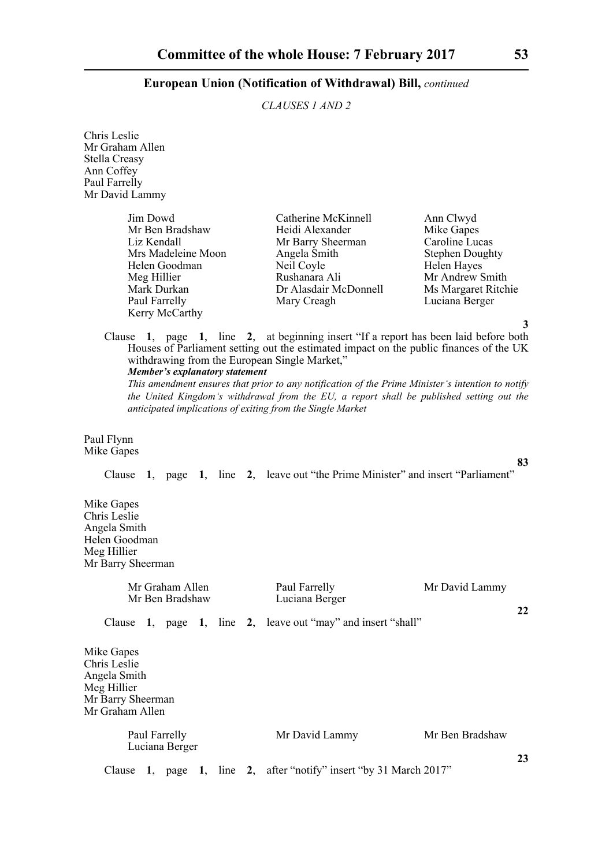# *CLAUSES 1 AND 2*

Chris Leslie Mr Graham Allen Stella Creasy Ann Coffey Paul Farrelly Mr David Lammy

| Jim Dowd           | Catherine McKinnell   | Ann Clwyd              |
|--------------------|-----------------------|------------------------|
| Mr Ben Bradshaw    | Heidi Alexander       | Mike Gapes             |
| Liz Kendall        | Mr Barry Sheerman     | Caroline Lucas         |
| Mrs Madeleine Moon | Angela Smith          | <b>Stephen Doughty</b> |
| Helen Goodman      | Neil Coyle            | Helen Hayes            |
| Meg Hillier        | Rushanara Ali         | Mr Andrew Smit         |
| Mark Durkan        | Dr Alasdair McDonnell | Ms Margaret Rito       |
| Paul Farrelly      | Mary Creagh           | Luciana Berger         |
| Kerry McCarthy     |                       |                        |

lrew Smith rgaret Ritchie<br>a Berger

**3**

**83**

**23**

Clause **1**, page **1**, line **2**, at beginning insert "If a report has been laid before both Houses of Parliament setting out the estimated impact on the public finances of the UK withdrawing from the European Single Market," *Member's explanatory statement* 

*This amendment ensures that prior to any notification of the Prime Minister's intention to notify the United Kingdom's withdrawal from the EU, a report shall be published setting out the anticipated implications of exiting from the Single Market*

Paul Flynn Mike Gapes

Clause **1**, page **1**, line **2**, leave out "the Prime Minister" and insert "Parliament"

Mike Gapes Chris Leslie Angela Smith Helen Goodman Meg Hillier Mr Barry Sheerman

| Mr Graham Allen<br>Mr Ben Bradshaw                                                                |  | Paul Farrelly<br>Luciana Berger                       | Mr David Lammy  |    |
|---------------------------------------------------------------------------------------------------|--|-------------------------------------------------------|-----------------|----|
| Clause                                                                                            |  | 1, page 1, line 2, leave out "may" and insert "shall" |                 | 22 |
| Mike Gapes<br>Chris Leslie<br>Angela Smith<br>Meg Hillier<br>Mr Barry Sheerman<br>Mr Graham Allen |  |                                                       |                 |    |
| Paul Farrelly<br>Luciana Berger                                                                   |  | Mr David Lammy                                        | Mr Ben Bradshaw |    |

Clause **1**, page **1**, line **2**, after "notify" insert "by 31 March 2017"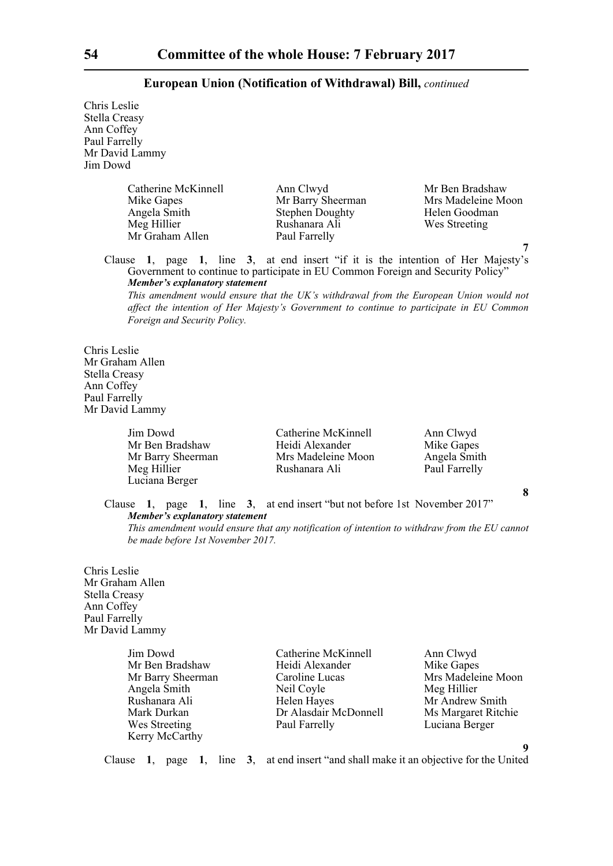Chris Leslie Stella Creasy Ann Coffey Paul Farrelly Mr David Lammy Jim Dowd

> Catherine McKinnell Ann Clwyd Mr Ben Bradshaw<br>
> Mr Barry Sheerman Mrs Madeleine Mo Angela Smith Stephen Doughty Helen Goodman Mr Graham Allen Paul Farrelly

Rushanara Ali

Mike Gapes Mr Barry Sheerman Mrs Madeleine Moon

Clause **1**, page **1**, line **3**, at end insert "if it is the intention of Her Majesty's Government to continue to participate in EU Common Foreign and Security Policy" *Member's explanatory statement* 

*This amendment would ensure that the UK's withdrawal from the European Union would not affect the intention of Her Majesty's Government to continue to participate in EU Common Foreign and Security Policy.*

Chris Leslie Mr Graham Allen Stella Creasy Ann Coffey Paul Farrelly Mr David Lammy

Luciana Berger

Jim Dowd Catherine McKinnell Ann Clwyd Mr Ben Bradshaw Heidi Alexander Mike Gapes<br>
Mr Barry Sheerman Mrs Madeleine Moon Angela Smit Mr Barry Sheerman Mrs Madeleine Moon Angela Smith<br>
Meg Hillier Rushanara Ali Paul Farrelly Rushanara Ali

**8**

**7**

Clause **1**, page **1**, line **3**, at end insert "but not before 1st November 2017" *Member's explanatory statement* 

*This amendment would ensure that any notification of intention to withdraw from the EU cannot be made before 1st November 2017.*

Chris Leslie Mr Graham Allen Stella Creasy Ann Coffey Paul Farrelly Mr David Lammy

Kerry McCarthy

Jim Dowd Catherine McKinnell Ann Clwyd Mr Ben Bradshaw Heidi Alexander Mike Gapes Mr Barry Sheerman Caroline Lucas Mrs Madeleine Moon Angela Smith Neil Coyle Meg Hillier Rushanara Ali **Helen Hayes** Mr Andrew Smith Mark Durkan Dr Alasdair McDonnell Ms Margaret Ritchie Wes Streeting Paul Farrelly Luciana Berger

**9**

Clause **1**, page **1**, line **3**, at end insert "and shall make it an objective for the United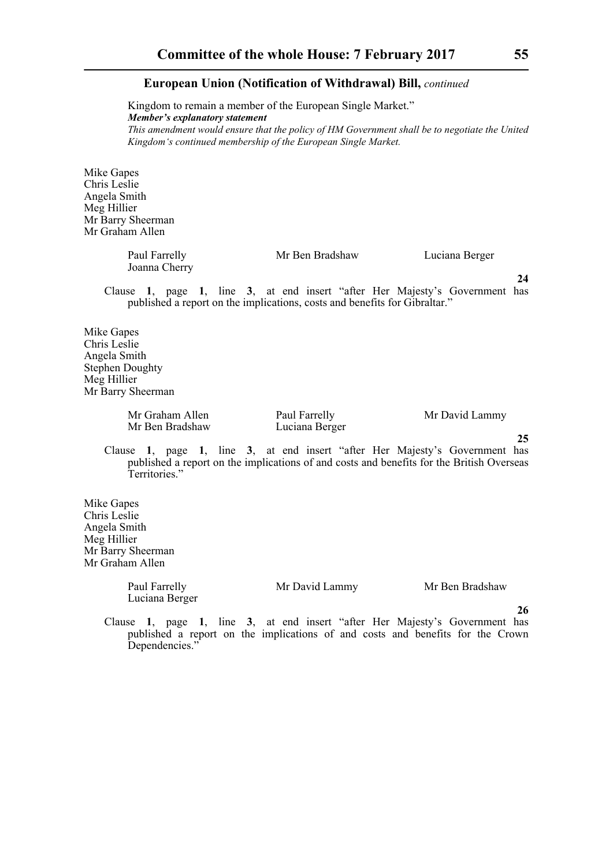Kingdom to remain a member of the European Single Market." *Member's explanatory statement This amendment would ensure that the policy of HM Government shall be to negotiate the United Kingdom's continued membership of the European Single Market.*

Mike Gapes Chris Leslie Angela Smith Meg Hillier Mr Barry Sheerman Mr Graham Allen

| Paul Farrelly | Mr Ben Bradshaw | Luciana Berger |
|---------------|-----------------|----------------|
| Joanna Cherry |                 |                |

Clause **1**, page **1**, line **3**, at end insert "after Her Majesty's Government has published a report on the implications, costs and benefits for Gibraltar."

Mike Gapes Chris Leslie Angela Smith Stephen Doughty Meg Hillier Mr Barry Sheerman

> Mr Graham Allen Paul Farrelly Mr David Lammy Mr Ben Bradshaw Luciana Berger

**25**

**24**

Clause **1**, page **1**, line **3**, at end insert "after Her Majesty's Government has published a report on the implications of and costs and benefits for the British Overseas Territories."

Mike Gapes Chris Leslie Angela Smith Meg Hillier Mr Barry Sheerman Mr Graham Allen

> Paul Farrelly Mr David Lammy Mr Ben Bradshaw Luciana Berger

**26**

Clause **1**, page **1**, line **3**, at end insert "after Her Majesty's Government has published a report on the implications of and costs and benefits for the Crown Dependencies."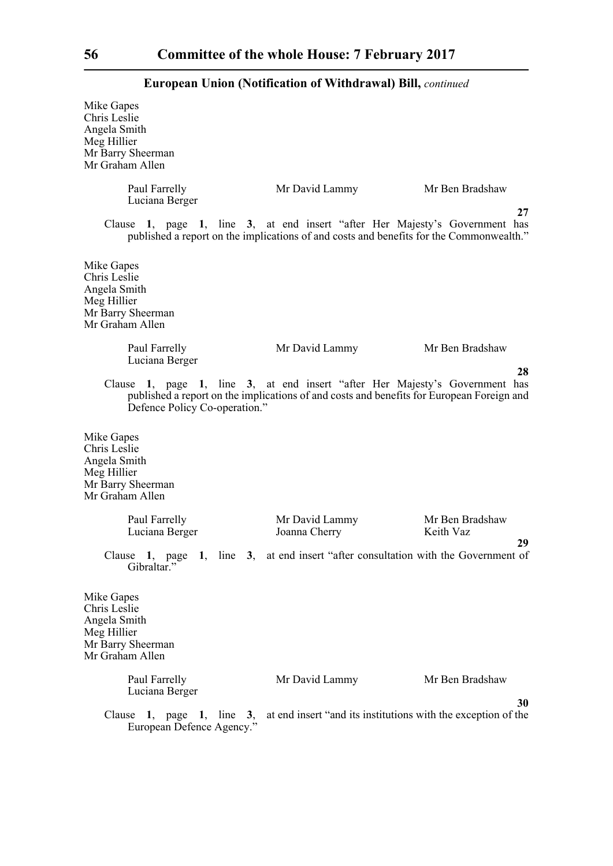| Mike Gapes<br>Chris Leslie<br>Angela Smith<br>Meg Hillier<br>Mr Barry Sheerman<br>Mr Graham Allen |                                                                                                                                                                          |                                                                     |
|---------------------------------------------------------------------------------------------------|--------------------------------------------------------------------------------------------------------------------------------------------------------------------------|---------------------------------------------------------------------|
| Paul Farrelly<br>Luciana Berger                                                                   | Mr David Lammy                                                                                                                                                           | Mr Ben Bradshaw                                                     |
|                                                                                                   | Clause 1, page 1, line 3, at end insert "after Her Majesty's Government has<br>published a report on the implications of and costs and benefits for the Commonwealth."   | 27                                                                  |
| Mike Gapes<br>Chris Leslie<br>Angela Smith<br>Meg Hillier<br>Mr Barry Sheerman<br>Mr Graham Allen |                                                                                                                                                                          |                                                                     |
| Paul Farrelly<br>Luciana Berger                                                                   | Mr David Lammy                                                                                                                                                           | Mr Ben Bradshaw                                                     |
| Defence Policy Co-operation."                                                                     | Clause 1, page 1, line 3, at end insert "after Her Majesty's Government has<br>published a report on the implications of and costs and benefits for European Foreign and | 28                                                                  |
| Mike Gapes<br>Chris Leslie<br>Angela Smith<br>Meg Hillier<br>Mr Barry Sheerman<br>Mr Graham Allen |                                                                                                                                                                          |                                                                     |
| Paul Farrelly<br>Luciana Berger                                                                   | Mr David Lammy<br>Joanna Cherry                                                                                                                                          | Mr Ben Bradshaw<br>Keith Vaz                                        |
| Gibraltar."                                                                                       | Clause 1, page 1, line 3, at end insert "after consultation with the Government of                                                                                       | 29                                                                  |
| Mike Gapes<br>Chris Leslie<br>Angela Smith<br>Meg Hillier<br>Mr Barry Sheerman<br>Mr Graham Allen |                                                                                                                                                                          |                                                                     |
| Paul Farrelly<br>Luciana Berger                                                                   | Mr David Lammy                                                                                                                                                           | Mr Ben Bradshaw                                                     |
| Clause<br>1, page 1, line $3$ ,<br>European Defence Agency."                                      |                                                                                                                                                                          | 30<br>at end insert "and its institutions with the exception of the |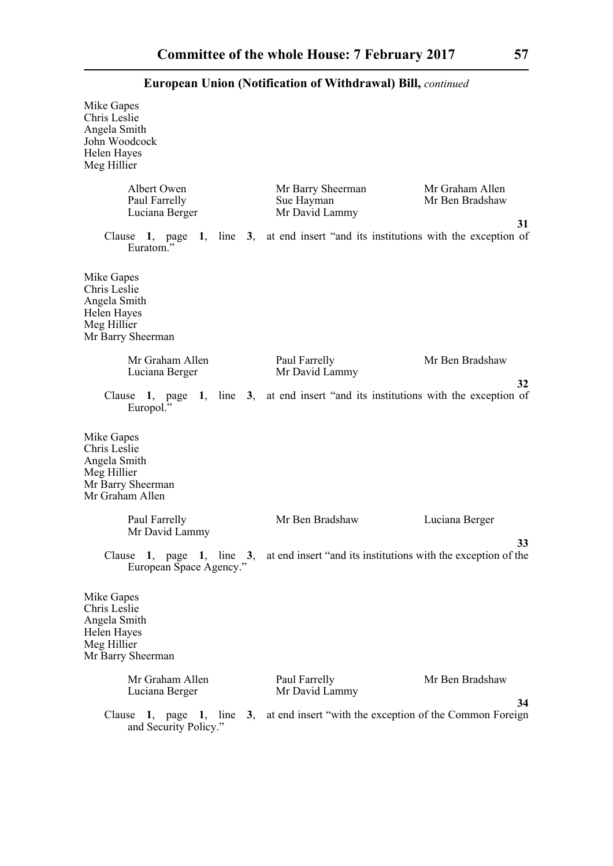| Mike Gapes<br>Chris Leslie<br>Angela Smith<br>John Woodcock<br>Helen Hayes<br>Meg Hillier                    |                                                                      |                                          |
|--------------------------------------------------------------------------------------------------------------|----------------------------------------------------------------------|------------------------------------------|
| Albert Owen<br>Paul Farrelly<br>Luciana Berger                                                               | Mr Barry Sheerman<br>Sue Hayman<br>Mr David Lammy                    | Mr Graham Allen<br>Mr Ben Bradshaw<br>31 |
| Clause 1, page<br>Euratom <sup>?</sup>                                                                       | 1, line 3, at end insert "and its institutions with the exception of |                                          |
| Mike Gapes<br>Chris Leslie<br>Angela Smith<br>Helen Hayes<br>Meg Hillier<br>Mr Barry Sheerman                |                                                                      |                                          |
| Mr Graham Allen<br>Luciana Berger                                                                            | Paul Farrelly<br>Mr David Lammy                                      | Mr Ben Bradshaw                          |
| Clause 1, page 1, line 3, at end insert "and its institutions with the exception of<br>Europol. <sup>3</sup> |                                                                      | 32                                       |
| Mike Gapes<br>Chris Leslie<br>Angela Smith<br>Meg Hillier<br>Mr Barry Sheerman<br>Mr Graham Allen            |                                                                      |                                          |
| Paul Farrelly<br>Mr David Lammy                                                                              | Mr Ben Bradshaw                                                      | Luciana Berger                           |
| Clause<br>line<br>3,<br>1.<br>1,<br>page<br>European Space Agency."                                          | at end insert "and its institutions with the exception of the        | 33                                       |
| Mike Gapes<br>Chris Leslie<br>Angela Smith<br>Helen Hayes<br>Meg Hillier<br>Mr Barry Sheerman                |                                                                      |                                          |
| Mr Graham Allen<br>Luciana Berger                                                                            | Paul Farrelly<br>Mr David Lammy                                      | Mr Ben Bradshaw                          |
| Clause $1$ , page $1$ , line<br>and Security Policy."                                                        | 3, at end insert "with the exception of the Common Foreign           | 34                                       |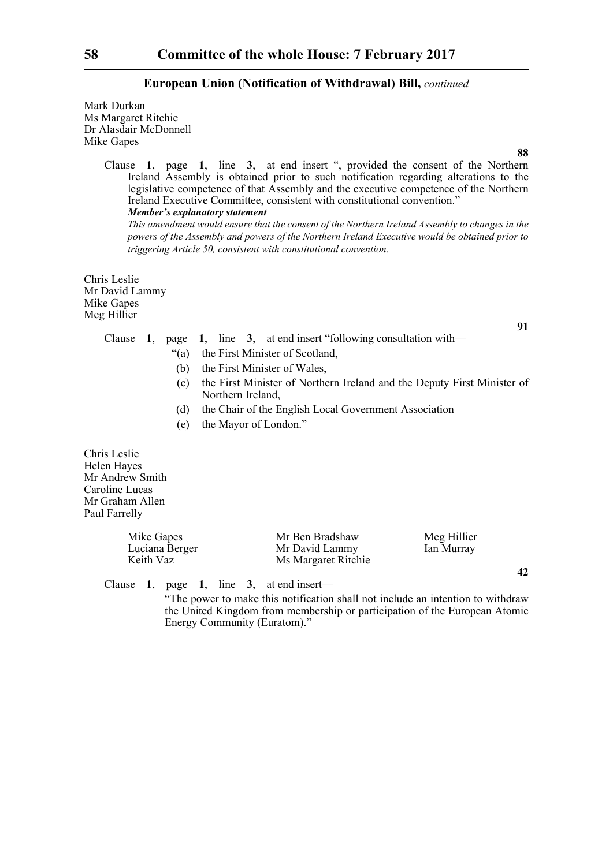Mark Durkan Ms Margaret Ritchie Dr Alasdair McDonnell Mike Gapes

> Clause **1**, page **1**, line **3**, at end insert ", provided the consent of the Northern Ireland Assembly is obtained prior to such notification regarding alterations to the legislative competence of that Assembly and the executive competence of the Northern Ireland Executive Committee, consistent with constitutional convention." *Member's explanatory statement*

*This amendment would ensure that the consent of the Northern Ireland Assembly to changes in the powers of the Assembly and powers of the Northern Ireland Executive would be obtained prior to triggering Article 50, consistent with constitutional convention.* 

Chris Leslie Mr David Lammy Mike Gapes Meg Hillier

# Clause **1**, page **1**, line **3**, at end insert "following consultation with—

- "(a) the First Minister of Scotland,
- (b) the First Minister of Wales,
- (c) the First Minister of Northern Ireland and the Deputy First Minister of Northern Ireland,
- (d) the Chair of the English Local Government Association
- (e) the Mayor of London."

Chris Leslie Helen Hayes Mr Andrew Smith Caroline Lucas Mr Graham Allen Paul Farrelly

| Mike Gapes     | Mr Ben Bradshaw     | Meg Hillier |
|----------------|---------------------|-------------|
| Luciana Berger | Mr David Lammy      | Ian Murray  |
| Keith Vaz      | Ms Margaret Ritchie |             |

Clause **1**, page **1**, line **3**, at end insert—

 "The power to make this notification shall not include an intention to withdraw the United Kingdom from membership or participation of the European Atomic Energy Community (Euratom)."

**88**

**91**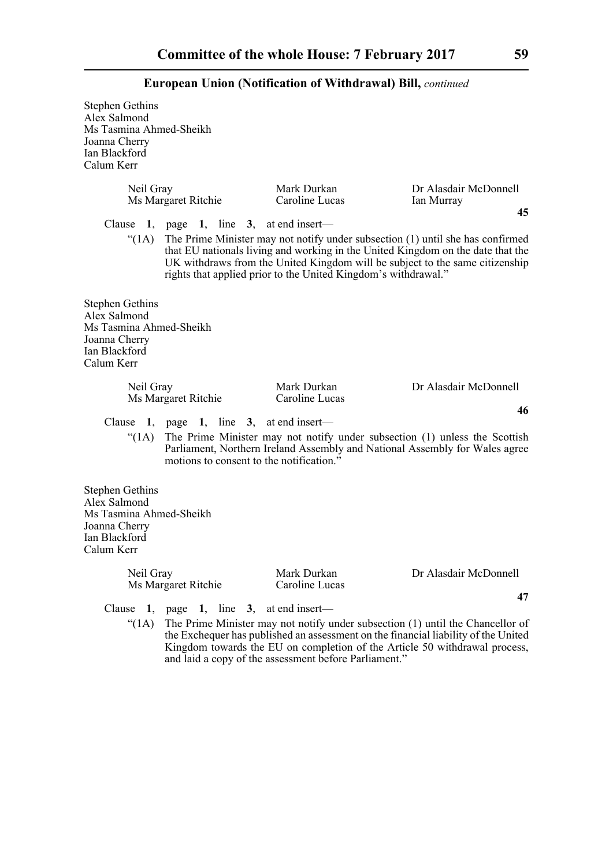Stephen Gethins Alex Salmond Ms Tasmina Ahmed-Sheikh Joanna Cherry Ian Blackford Calum Kerr

| Neil Gray                                                                                                         | Ms Margaret Ritchie                      | Mark Durkan<br>Caroline Lucas                                                                                                                                                                                                                                                                                             | Dr Alasdair McDonnell<br>Ian Murray<br>45 |
|-------------------------------------------------------------------------------------------------------------------|------------------------------------------|---------------------------------------------------------------------------------------------------------------------------------------------------------------------------------------------------------------------------------------------------------------------------------------------------------------------------|-------------------------------------------|
| Clause                                                                                                            | 1, page 1, line 3, at end insert—        | "(1A) The Prime Minister may not notify under subsection (1) until she has confirmed<br>that EU nationals living and working in the United Kingdom on the date that the<br>UK withdraws from the United Kingdom will be subject to the same citizenship<br>rights that applied prior to the United Kingdom's withdrawal." |                                           |
| <b>Stephen Gethins</b><br>Alex Salmond<br>Ms Tasmina Ahmed-Sheikh<br>Joanna Cherry<br>Ian Blackford<br>Calum Kerr |                                          |                                                                                                                                                                                                                                                                                                                           |                                           |
| Neil Gray                                                                                                         | Ms Margaret Ritchie                      | Mark Durkan<br>Caroline Lucas                                                                                                                                                                                                                                                                                             | Dr Alasdair McDonnell<br>46               |
|                                                                                                                   | Clause 1, page 1, line 3, at end insert— |                                                                                                                                                                                                                                                                                                                           |                                           |
| " $(1A)$                                                                                                          |                                          | The Prime Minister may not notify under subsection (1) unless the Scottish                                                                                                                                                                                                                                                |                                           |
|                                                                                                                   | motions to consent to the notification." | Parliament, Northern Ireland Assembly and National Assembly for Wales agree                                                                                                                                                                                                                                               |                                           |

Neil Gray Mark Durkan Dr Alasdair McDonnell<br>Ms Margaret Ritchie Caroline Lucas Ms Margaret Ritchie

Clause **1**, page **1**, line **3**, at end insert—

"(1A) The Prime Minister may not notify under subsection (1) until the Chancellor of the Exchequer has published an assessment on the financial liability of the United Kingdom towards the EU on completion of the Article 50 withdrawal process, and laid a copy of the assessment before Parliament."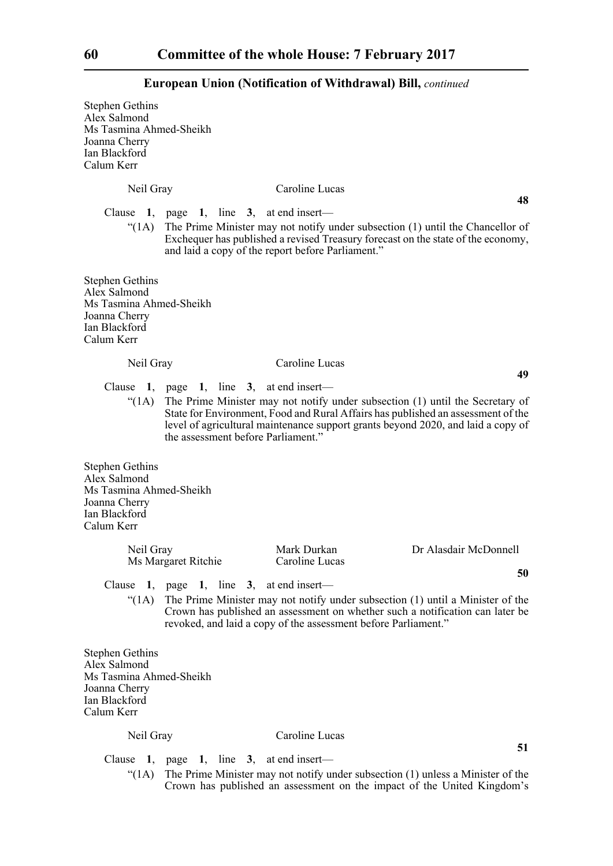Stephen Gethins Alex Salmond Ms Tasmina Ahmed-Sheikh Joanna Cherry Ian Blackford Calum Kerr

Neil Gray Caroline Lucas

Clause **1**, page **1**, line **3**, at end insert—

" $(1)$  The Prime Minister may not notify under subsection  $(1)$  until the Chancellor of Exchequer has published a revised Treasury forecast on the state of the economy, and laid a copy of the report before Parliament."

Stephen Gethins Alex Salmond Ms Tasmina Ahmed-Sheikh Joanna Cherry Ian Blackford Calum Kerr

#### Neil Gray Caroline Lucas

Clause **1**, page **1**, line **3**, at end insert—

"(1A) The Prime Minister may not notify under subsection (1) until the Secretary of State for Environment, Food and Rural Affairs has published an assessment of the level of agricultural maintenance support grants beyond 2020, and laid a copy of the assessment before Parliament."

Stephen Gethins Alex Salmond Ms Tasmina Ahmed-Sheikh Joanna Cherry Ian Blackford Calum Kerr

| Neil Gray           | Mark Durkan    | Dr Alasdair McDonnell |
|---------------------|----------------|-----------------------|
| Ms Margaret Ritchie | Caroline Lucas |                       |
|                     |                | 50                    |

Clause **1**, page **1**, line **3**, at end insert—

"(1A) The Prime Minister may not notify under subsection (1) until a Minister of the Crown has published an assessment on whether such a notification can later be revoked, and laid a copy of the assessment before Parliament."

Stephen Gethins Alex Salmond Ms Tasmina Ahmed-Sheikh Joanna Cherry Ian Blackford Calum Kerr

# Neil Gray Caroline Lucas

Clause **1**, page **1**, line **3**, at end insert—

"(1A) The Prime Minister may not notify under subsection (1) unless a Minister of the Crown has published an assessment on the impact of the United Kingdom's

**48**

**49**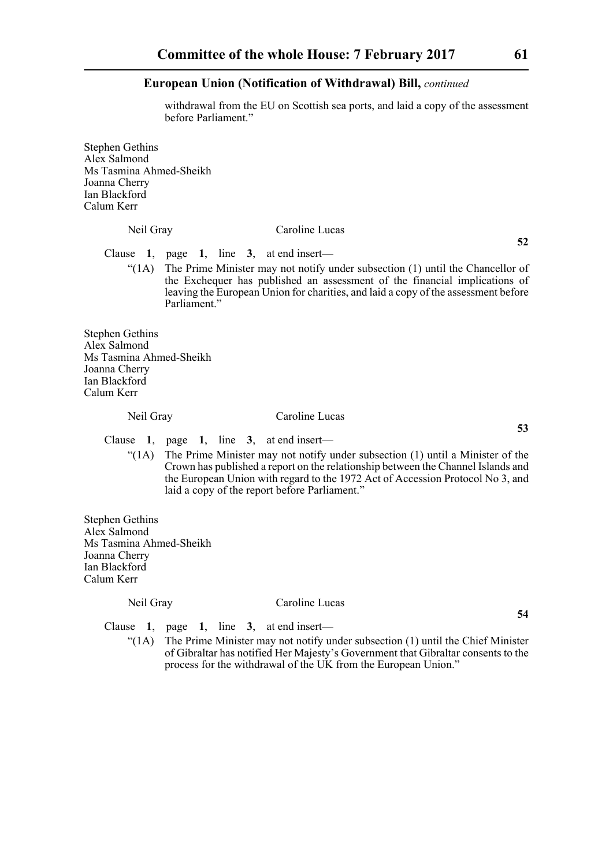withdrawal from the EU on Scottish sea ports, and laid a copy of the assessment before Parliament."

Stephen Gethins Alex Salmond Ms Tasmina Ahmed-Sheikh Joanna Cherry Ian Blackford Calum Kerr

# Neil Gray Caroline Lucas

**52**

**53**

**54**

Clause **1**, page **1**, line **3**, at end insert—

" $(1)$  The Prime Minister may not notify under subsection  $(1)$  until the Chancellor of the Exchequer has published an assessment of the financial implications of leaving the European Union for charities, and laid a copy of the assessment before Parliament"

Stephen Gethins Alex Salmond Ms Tasmina Ahmed-Sheikh Joanna Cherry Ian Blackford Calum Kerr

# Neil Gray Caroline Lucas

Clause **1**, page **1**, line **3**, at end insert—

"(1A) The Prime Minister may not notify under subsection (1) until a Minister of the Crown has published a report on the relationship between the Channel Islands and the European Union with regard to the 1972 Act of Accession Protocol No 3, and laid a copy of the report before Parliament."

Stephen Gethins Alex Salmond Ms Tasmina Ahmed-Sheikh Joanna Cherry Ian Blackford Calum Kerr

#### Neil Gray Caroline Lucas

Clause **1**, page **1**, line **3**, at end insert—

" $(1A)$  The Prime Minister may not notify under subsection  $(1)$  until the Chief Minister of Gibraltar has notified Her Majesty's Government that Gibraltar consents to the process for the withdrawal of the UK from the European Union."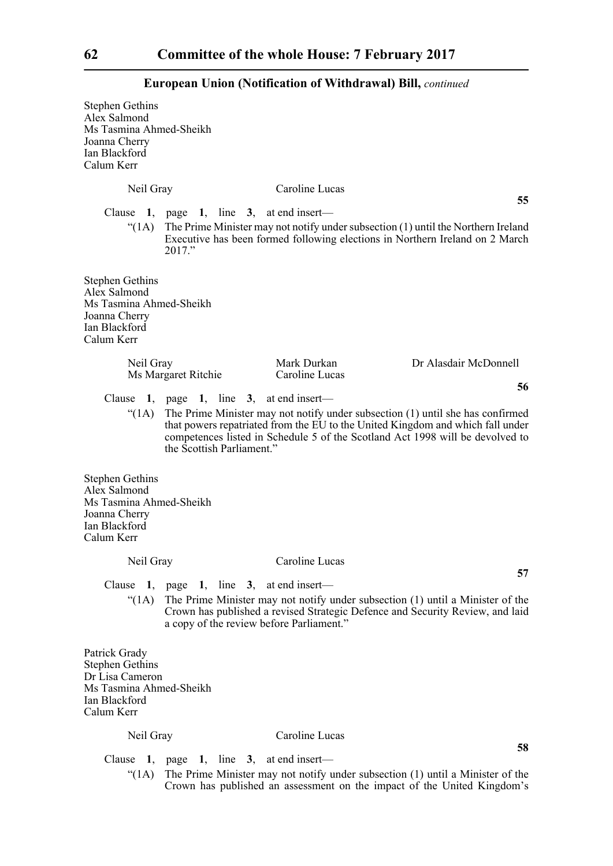| <b>Stephen Gethins</b><br>Alex Salmond<br>Ms Tasmina Ahmed-Sheikh<br>Joanna Cherry<br>Ian Blackford<br>Calum Kerr    |                                                                               |                                                                                                                                                                                                                                                   |                             |
|----------------------------------------------------------------------------------------------------------------------|-------------------------------------------------------------------------------|---------------------------------------------------------------------------------------------------------------------------------------------------------------------------------------------------------------------------------------------------|-----------------------------|
| Neil Gray                                                                                                            |                                                                               | Caroline Lucas                                                                                                                                                                                                                                    | 55                          |
| $\lq (1A)$                                                                                                           | Clause 1, page 1, line 3, at end insert—<br>2017."                            | The Prime Minister may not notify under subsection (1) until the Northern Ireland<br>Executive has been formed following elections in Northern Ireland on 2 March                                                                                 |                             |
| <b>Stephen Gethins</b><br>Alex Salmond<br>Ms Tasmina Ahmed-Sheikh<br>Joanna Cherry<br>Ian Blackford<br>Calum Kerr    |                                                                               |                                                                                                                                                                                                                                                   |                             |
| Neil Gray                                                                                                            | Ms Margaret Ritchie                                                           | Mark Durkan<br>Caroline Lucas                                                                                                                                                                                                                     | Dr Alasdair McDonnell<br>56 |
| Clause<br>" $(1A)$                                                                                                   | 1, page 1, line 3, at end insert—<br>the Scottish Parliament."                | The Prime Minister may not notify under subsection (1) until she has confirmed<br>that powers repatriated from the EU to the United Kingdom and which fall under<br>competences listed in Schedule 5 of the Scotland Act 1998 will be devolved to |                             |
| <b>Stephen Gethins</b><br>Alex Salmond<br>Ms Tasmina Ahmed-Sheikh<br>Joanna Cherry<br>Ian Blackford<br>Calum Kerr    |                                                                               |                                                                                                                                                                                                                                                   |                             |
| Neil Gray                                                                                                            |                                                                               | Caroline Lucas                                                                                                                                                                                                                                    |                             |
| Clause                                                                                                               | 1, page 1, line 3, at end insert—<br>a copy of the review before Parliament." | "(1A) The Prime Minister may not notify under subsection (1) until a Minister of the<br>Crown has published a revised Strategic Defence and Security Review, and laid                                                                             | 57                          |
| Patrick Grady<br><b>Stephen Gethins</b><br>Dr Lisa Cameron<br>Ms Tasmina Ahmed-Sheikh<br>Ian Blackford<br>Calum Kerr |                                                                               |                                                                                                                                                                                                                                                   |                             |
| Neil Gray                                                                                                            |                                                                               | Caroline Lucas                                                                                                                                                                                                                                    | 58                          |

Clause **1**, page **1**, line **3**, at end insert—

"(1A) The Prime Minister may not notify under subsection (1) until a Minister of the Crown has published an assessment on the impact of the United Kingdom's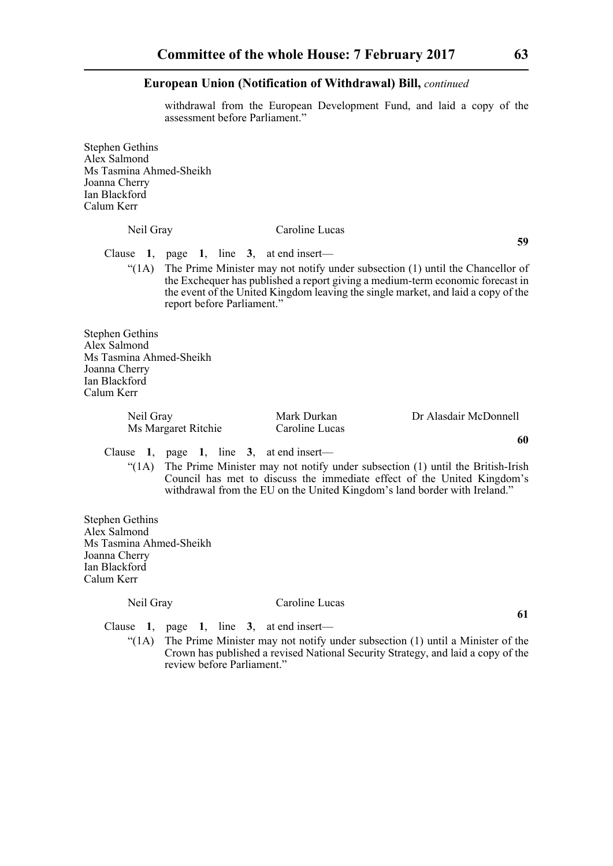withdrawal from the European Development Fund, and laid a copy of the assessment before Parliament."

Stephen Gethins Alex Salmond Ms Tasmina Ahmed-Sheikh Joanna Cherry Ian Blackford Calum Kerr

# Neil Gray Caroline Lucas

**59**

Clause **1**, page **1**, line **3**, at end insert—

" $(1)$  The Prime Minister may not notify under subsection  $(1)$  until the Chancellor of the Exchequer has published a report giving a medium-term economic forecast in the event of the United Kingdom leaving the single market, and laid a copy of the report before Parliament."

Stephen Gethins Alex Salmond Ms Tasmina Ahmed-Sheikh Joanna Cherry Ian Blackford Calum Kerr

> Neil Gray Mark Durkan Dr Alasdair McDonnell<br>Ms Margaret Ritchie Caroline Lucas Ms Margaret Ritchie

Clause **1**, page **1**, line **3**, at end insert—

"(1A) The Prime Minister may not notify under subsection (1) until the British-Irish Council has met to discuss the immediate effect of the United Kingdom's withdrawal from the EU on the United Kingdom's land border with Ireland."

Stephen Gethins Alex Salmond Ms Tasmina Ahmed-Sheikh Joanna Cherry Ian Blackford Calum Kerr

#### Neil Gray Caroline Lucas

Clause **1**, page **1**, line **3**, at end insert—

" $(1)$  The Prime Minister may not notify under subsection  $(1)$  until a Minister of the Crown has published a revised National Security Strategy, and laid a copy of the review before Parliament."

**61**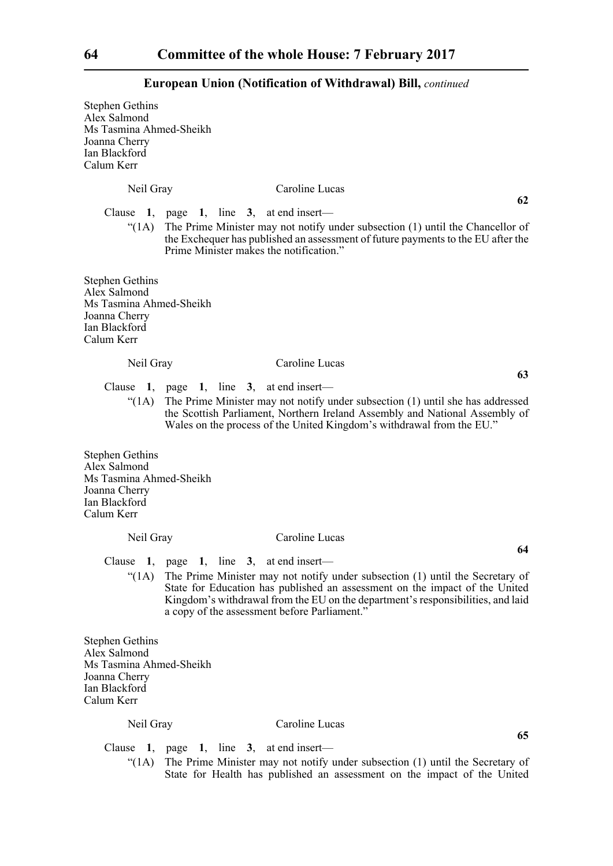Stephen Gethins Alex Salmond Ms Tasmina Ahmed-Sheikh Joanna Cherry Ian Blackford Calum Kerr

Neil Gray Caroline Lucas Clause **1**, page **1**, line **3**, at end insert— " $(1)$  The Prime Minister may not notify under subsection  $(1)$  until the Chancellor of the Exchequer has published an assessment of future payments to the EU after the Prime Minister makes the notification." Stephen Gethins Alex Salmond Ms Tasmina Ahmed-Sheikh Joanna Cherry Ian Blackford Calum Kerr Neil Gray Caroline Lucas Clause **1**, page **1**, line **3**, at end insert— "(1A) The Prime Minister may not notify under subsection (1) until she has addressed the Scottish Parliament, Northern Ireland Assembly and National Assembly of Wales on the process of the United Kingdom's withdrawal from the EU." Stephen Gethins Alex Salmond Ms Tasmina Ahmed-Sheikh Joanna Cherry Ian Blackford

Calum Kerr

# Neil Gray Caroline Lucas

Clause **1**, page **1**, line **3**, at end insert—

"(1A) The Prime Minister may not notify under subsection (1) until the Secretary of State for Education has published an assessment on the impact of the United Kingdom's withdrawal from the EU on the department's responsibilities, and laid a copy of the assessment before Parliament."

Stephen Gethins Alex Salmond Ms Tasmina Ahmed-Sheikh Joanna Cherry Ian Blackford Calum Kerr

# Neil Gray Caroline Lucas

Clause **1**, page **1**, line **3**, at end insert—

 $\mathcal{L}(1)$  The Prime Minister may not notify under subsection (1) until the Secretary of State for Health has published an assessment on the impact of the United

**62**

**63**

**64**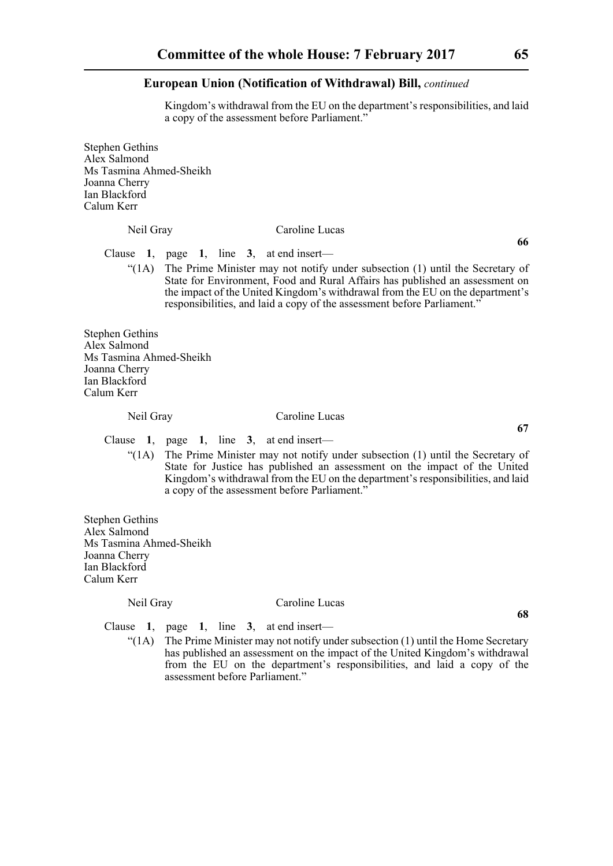Kingdom's withdrawal from the EU on the department's responsibilities, and laid a copy of the assessment before Parliament."

Stephen Gethins Alex Salmond Ms Tasmina Ahmed-Sheikh Joanna Cherry Ian Blackford Calum Kerr

# Neil Gray Caroline Lucas

Clause **1**, page **1**, line **3**, at end insert—

"(1A) The Prime Minister may not notify under subsection (1) until the Secretary of State for Environment, Food and Rural Affairs has published an assessment on the impact of the United Kingdom's withdrawal from the EU on the department's responsibilities, and laid a copy of the assessment before Parliament."

Stephen Gethins Alex Salmond Ms Tasmina Ahmed-Sheikh Joanna Cherry Ian Blackford Calum Kerr

# Neil Gray Caroline Lucas

Clause **1**, page **1**, line **3**, at end insert—

"(1A) The Prime Minister may not notify under subsection (1) until the Secretary of State for Justice has published an assessment on the impact of the United Kingdom's withdrawal from the EU on the department's responsibilities, and laid a copy of the assessment before Parliament."

Stephen Gethins Alex Salmond Ms Tasmina Ahmed-Sheikh Joanna Cherry Ian Blackford Calum Kerr

#### Neil Gray Caroline Lucas

Clause **1**, page **1**, line **3**, at end insert—

" $(1A)$  The Prime Minister may not notify under subsection  $(1)$  until the Home Secretary has published an assessment on the impact of the United Kingdom's withdrawal from the EU on the department's responsibilities, and laid a copy of the assessment before Parliament."

**66**

**68**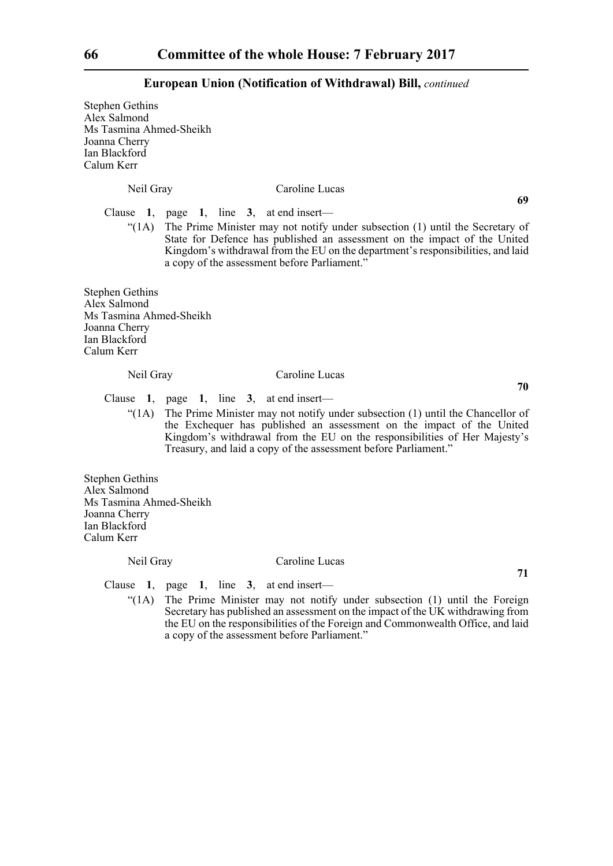Stephen Gethins Alex Salmond Ms Tasmina Ahmed-Sheikh Joanna Cherry Ian Blackford Calum Kerr Neil Gray Caroline Lucas **69** Clause **1**, page **1**, line **3**, at end insert—  $\mathcal{L}(1)$  The Prime Minister may not notify under subsection (1) until the Secretary of State for Defence has published an assessment on the impact of the United Kingdom's withdrawal from the EU on the department's responsibilities, and laid a copy of the assessment before Parliament." Stephen Gethins Alex Salmond Ms Tasmina Ahmed-Sheikh Joanna Cherry Ian Blackford Calum Kerr Neil Gray Caroline Lucas **70** Clause **1**, page **1**, line **3**, at end insert— "(1A) The Prime Minister may not notify under subsection (1) until the Chancellor of the Exchequer has published an assessment on the impact of the United Kingdom's withdrawal from the EU on the responsibilities of Her Majesty's Treasury, and laid a copy of the assessment before Parliament." Stephen Gethins Alex Salmond Ms Tasmina Ahmed-Sheikh Joanna Cherry Ian Blackford Calum Kerr Neil Gray Caroline Lucas **71** Clause **1**, page **1**, line **3**, at end insert— "(1A) The Prime Minister may not notify under subsection (1) until the Foreign Secretary has published an assessment on the impact of the UK withdrawing from the EU on the responsibilities of the Foreign and Commonwealth Office, and laid a copy of the assessment before Parliament."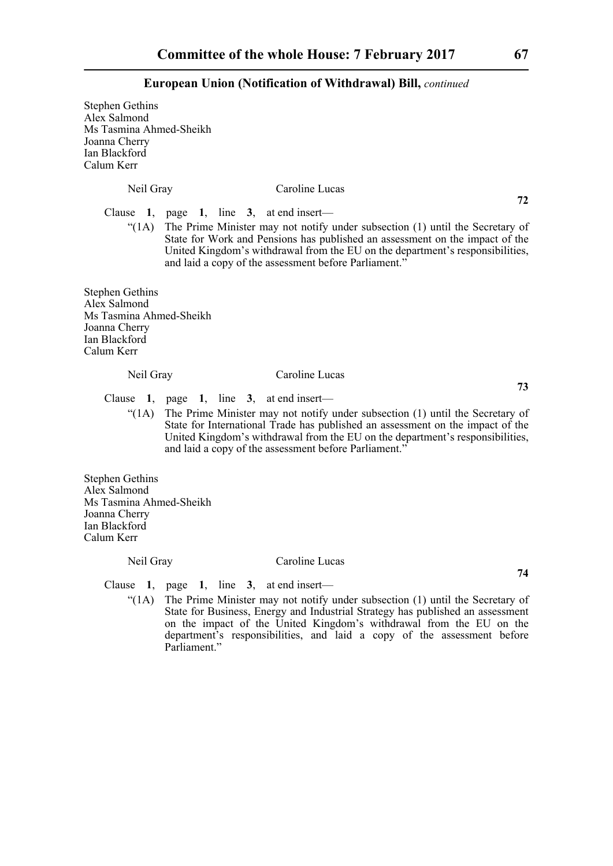| <b>Stephen Gethins</b><br>Alex Salmond<br>Ms Tasmina Ahmed-Sheikh<br>Joanna Cherry<br>Ian Blackford<br>Calum Kerr |                                                                                                                                                                                                                                                                                                                                                                                     |
|-------------------------------------------------------------------------------------------------------------------|-------------------------------------------------------------------------------------------------------------------------------------------------------------------------------------------------------------------------------------------------------------------------------------------------------------------------------------------------------------------------------------|
| Neil Gray                                                                                                         | Caroline Lucas                                                                                                                                                                                                                                                                                                                                                                      |
| " $(1A)$                                                                                                          | 72<br>Clause 1, page 1, line 3, at end insert—<br>The Prime Minister may not notify under subsection (1) until the Secretary of<br>State for Work and Pensions has published an assessment on the impact of the<br>United Kingdom's withdrawal from the EU on the department's responsibilities,<br>and laid a copy of the assessment before Parliament."                           |
| <b>Stephen Gethins</b><br>Alex Salmond<br>Ms Tasmina Ahmed-Sheikh<br>Joanna Cherry<br>Ian Blackford<br>Calum Kerr |                                                                                                                                                                                                                                                                                                                                                                                     |
| Neil Gray                                                                                                         | Caroline Lucas<br>73                                                                                                                                                                                                                                                                                                                                                                |
| Clause<br>" $(1A)$                                                                                                | 1, page 1, line 3, at end insert—<br>The Prime Minister may not notify under subsection (1) until the Secretary of<br>State for International Trade has published an assessment on the impact of the<br>United Kingdom's withdrawal from the EU on the department's responsibilities,<br>and laid a copy of the assessment before Parliament."                                      |
| <b>Stephen Gethins</b><br>Alex Salmond<br>Ms Tasmina Ahmed-Sheikh<br>Joanna Cherry<br>Ian Blackford<br>Calum Kerr |                                                                                                                                                                                                                                                                                                                                                                                     |
| Neil Gray                                                                                                         | Caroline Lucas                                                                                                                                                                                                                                                                                                                                                                      |
| $\degree$ (1A)                                                                                                    | 74<br>Clause 1, page 1, line 3, at end insert—<br>The Prime Minister may not notify under subsection (1) until the Secretary of<br>State for Business, Energy and Industrial Strategy has published an assessment<br>on the impact of the United Kingdom's withdrawal from the EU on the<br>department's responsibilities, and laid a copy of the assessment before<br>Parliament." |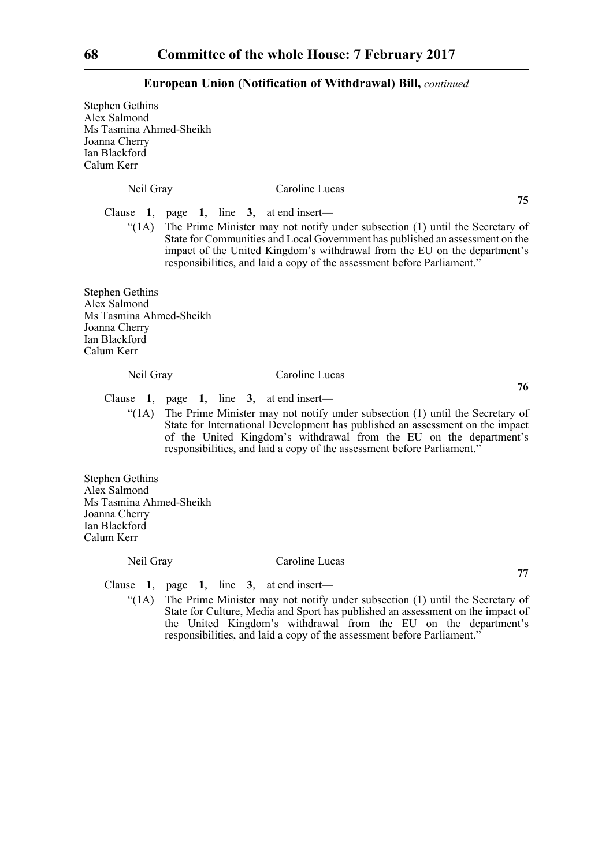Stephen Gethins Alex Salmond Ms Tasmina Ahmed-Sheikh Joanna Cherry Ian Blackford Calum Kerr Neil Gray Caroline Lucas **75** Clause **1**, page **1**, line **3**, at end insert—  $\mathcal{L}(1)$  The Prime Minister may not notify under subsection (1) until the Secretary of State for Communities and Local Government has published an assessment on the impact of the United Kingdom's withdrawal from the EU on the department's responsibilities, and laid a copy of the assessment before Parliament." Stephen Gethins Alex Salmond Ms Tasmina Ahmed-Sheikh Joanna Cherry Ian Blackford Calum Kerr Neil Gray Caroline Lucas **76** Clause **1**, page **1**, line **3**, at end insert— "(1A) The Prime Minister may not notify under subsection (1) until the Secretary of State for International Development has published an assessment on the impact of the United Kingdom's withdrawal from the EU on the department's responsibilities, and laid a copy of the assessment before Parliament." Stephen Gethins Alex Salmond Ms Tasmina Ahmed-Sheikh Joanna Cherry Ian Blackford Calum Kerr Neil Gray Caroline Lucas **77** Clause **1**, page **1**, line **3**, at end insert— "(1A) The Prime Minister may not notify under subsection (1) until the Secretary of State for Culture, Media and Sport has published an assessment on the impact of the United Kingdom's withdrawal from the EU on the department's responsibilities, and laid a copy of the assessment before Parliament."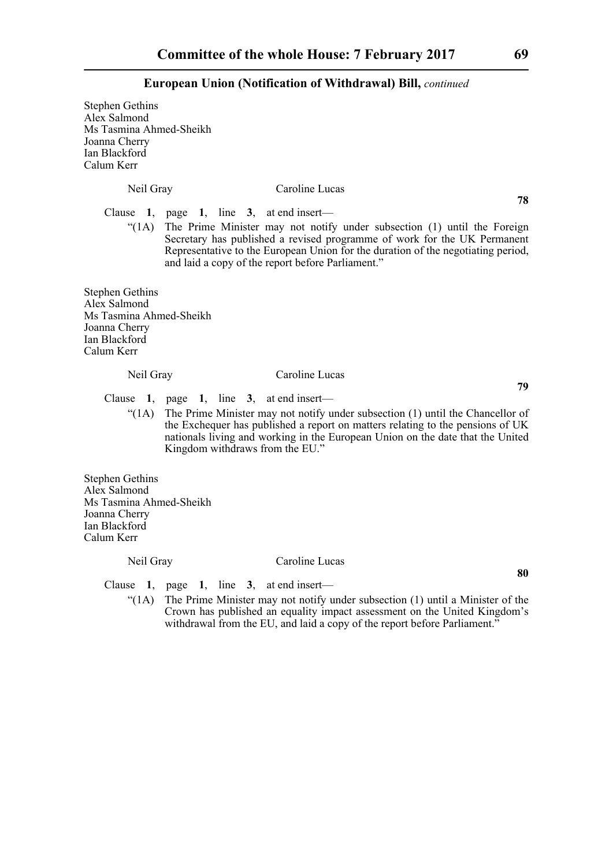| <b>Stephen Gethins</b><br>Alex Salmond<br>Ms Tasmina Ahmed-Sheikh<br>Joanna Cherry<br>Ian Blackford<br>Calum Kerr |                                                                                                                                                                                                                                                                                                                                                 |
|-------------------------------------------------------------------------------------------------------------------|-------------------------------------------------------------------------------------------------------------------------------------------------------------------------------------------------------------------------------------------------------------------------------------------------------------------------------------------------|
| Neil Gray                                                                                                         | Caroline Lucas                                                                                                                                                                                                                                                                                                                                  |
| " $(1A)$                                                                                                          | 78<br>Clause 1, page 1, line 3, at end insert—<br>The Prime Minister may not notify under subsection (1) until the Foreign<br>Secretary has published a revised programme of work for the UK Permanent<br>Representative to the European Union for the duration of the negotiating period,<br>and laid a copy of the report before Parliament." |
| <b>Stephen Gethins</b><br>Alex Salmond<br>Ms Tasmina Ahmed-Sheikh<br>Joanna Cherry<br>Ian Blackford<br>Calum Kerr |                                                                                                                                                                                                                                                                                                                                                 |
| Neil Gray                                                                                                         | Caroline Lucas                                                                                                                                                                                                                                                                                                                                  |
| Clause<br>" $(1A)$                                                                                                | 79<br>1, page 1, line 3, at end insert—<br>The Prime Minister may not notify under subsection (1) until the Chancellor of<br>the Exchequer has published a report on matters relating to the pensions of UK<br>nationals living and working in the European Union on the date that the United<br>Kingdom withdraws from the EU."                |
| <b>Stephen Gethins</b><br>Alex Salmond<br>Ms Tasmina Ahmed-Sheikh<br>Joanna Cherry<br>Ian Blackford<br>Calum Kerr |                                                                                                                                                                                                                                                                                                                                                 |
| Neil Gray                                                                                                         | Caroline Lucas                                                                                                                                                                                                                                                                                                                                  |
| Clause<br>" $(1A)$                                                                                                | 80<br>1, page 1, line 3, at end insert—<br>The Prime Minister may not notify under subsection (1) until a Minister of the<br>Crown has published an equality impact assessment on the United Kingdom's<br>withdrawal from the EU, and laid a copy of the report before Parliament."                                                             |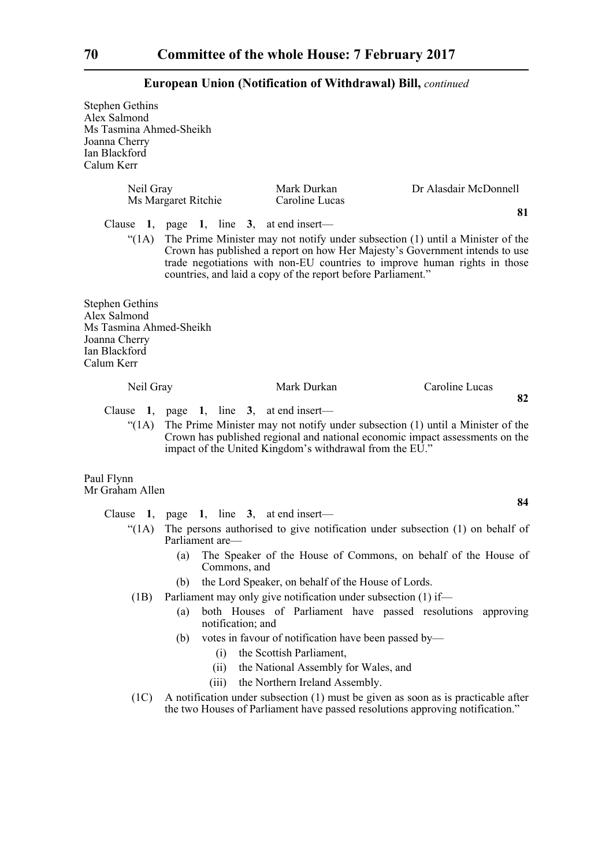Stephen Gethins Alex Salmond Ms Tasmina Ahmed-Sheikh Joanna Cherry Ian Blackford Calum Kerr

| Neil Gray                                                                                                         | Ms Margaret Ritchie                      | Mark Durkan<br>Caroline Lucas                                | Dr Alasdair McDonnell                                                                                                                                                                                                                            |
|-------------------------------------------------------------------------------------------------------------------|------------------------------------------|--------------------------------------------------------------|--------------------------------------------------------------------------------------------------------------------------------------------------------------------------------------------------------------------------------------------------|
| (1A)                                                                                                              | Clause 1, page 1, line 3, at end insert— | countries, and laid a copy of the report before Parliament." | 81<br>The Prime Minister may not notify under subsection (1) until a Minister of the<br>Crown has published a report on how Her Majesty's Government intends to use<br>trade negotiations with non-EU countries to improve human rights in those |
| <b>Stephen Gethins</b><br>Alex Salmond<br>Ms Tasmina Ahmed-Sheikh<br>Joanna Cherry<br>Ian Blackford<br>Calum Kerr |                                          |                                                              |                                                                                                                                                                                                                                                  |
| Neil Gray                                                                                                         |                                          | Mark Durkan                                                  | Caroline Lucas                                                                                                                                                                                                                                   |
| Clause                                                                                                            | 1, page 1, line $3$ , at end insert—     |                                                              | 82                                                                                                                                                                                                                                               |
| " $(1A)$                                                                                                          |                                          | impact of the United Kingdom's withdrawal from the EU."      | The Prime Minister may not notify under subsection (1) until a Minister of the<br>Crown has published regional and national economic impact assessments on the                                                                                   |
| Paul Flynn<br>Mr Graham Allen                                                                                     |                                          |                                                              |                                                                                                                                                                                                                                                  |
|                                                                                                                   |                                          |                                                              | 84                                                                                                                                                                                                                                               |
|                                                                                                                   | Clause 1, page 1, line 3, at end insert— |                                                              |                                                                                                                                                                                                                                                  |
| "(1A)                                                                                                             | Parliament are—                          |                                                              | The persons authorised to give notification under subsection (1) on behalf of                                                                                                                                                                    |
|                                                                                                                   | (a)<br>Commons, and                      |                                                              | The Speaker of the House of Commons, on behalf of the House of                                                                                                                                                                                   |
|                                                                                                                   | (b)                                      | the Lord Speaker, on behalf of the House of Lords.           |                                                                                                                                                                                                                                                  |

- (1B) Parliament may only give notification under subsection (1) if—
	- (a) both Houses of Parliament have passed resolutions approving notification; and
	- (b) votes in favour of notification have been passed by—
		- (i) the Scottish Parliament,
		- (ii) the National Assembly for Wales, and
		- (iii) the Northern Ireland Assembly.
- (1C) A notification under subsection (1) must be given as soon as is practicable after the two Houses of Parliament have passed resolutions approving notification."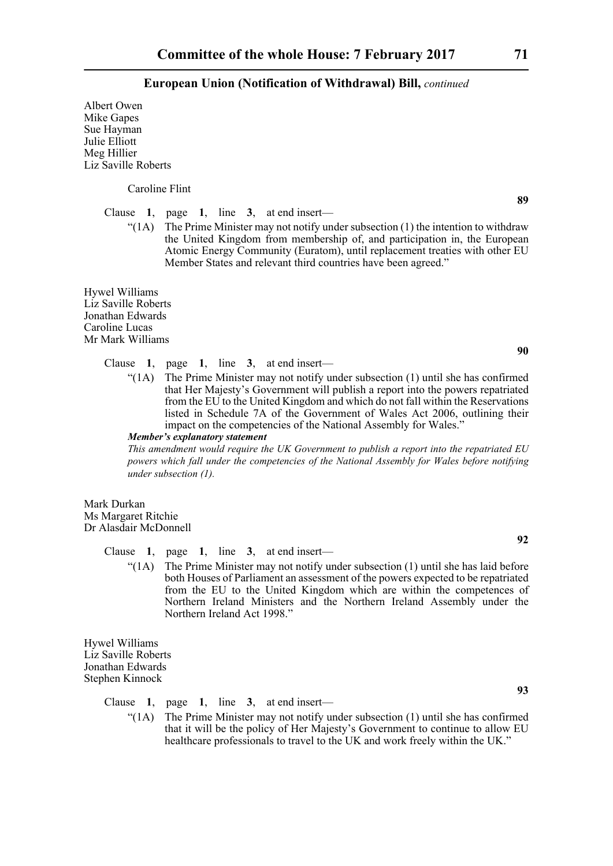Albert Owen Mike Gapes Sue Hayman Julie Elliott Meg Hillier Liz Saville Roberts

Caroline Flint

Clause **1**, page **1**, line **3**, at end insert—

"(1A) The Prime Minister may not notify under subsection (1) the intention to withdraw the United Kingdom from membership of, and participation in, the European Atomic Energy Community (Euratom), until replacement treaties with other EU Member States and relevant third countries have been agreed."

Hywel Williams Liz Saville Roberts Jonathan Edwards Caroline Lucas Mr Mark Williams

## Clause **1**, page **1**, line **3**, at end insert—

"(1A) The Prime Minister may not notify under subsection (1) until she has confirmed that Her Majesty's Government will publish a report into the powers repatriated from the EU to the United Kingdom and which do not fall within the Reservations listed in Schedule 7A of the Government of Wales Act 2006, outlining their impact on the competencies of the National Assembly for Wales."

*Member's explanatory statement* 

*This amendment would require the UK Government to publish a report into the repatriated EU powers which fall under the competencies of the National Assembly for Wales before notifying under subsection (1).*

Mark Durkan Ms Margaret Ritchie Dr Alasdair McDonnell

Clause **1**, page **1**, line **3**, at end insert—

" $(1)$  The Prime Minister may not notify under subsection  $(1)$  until she has laid before both Houses of Parliament an assessment of the powers expected to be repatriated from the EU to the United Kingdom which are within the competences of Northern Ireland Ministers and the Northern Ireland Assembly under the Northern Ireland Act 1998."

Hywel Williams Liz Saville Roberts Jonathan Edwards Stephen Kinnock

Clause **1**, page **1**, line **3**, at end insert—

 $\text{``(1A)}$  The Prime Minister may not notify under subsection (1) until she has confirmed that it will be the policy of Her Majesty's Government to continue to allow EU healthcare professionals to travel to the UK and work freely within the UK."

**90**

**89**

**92**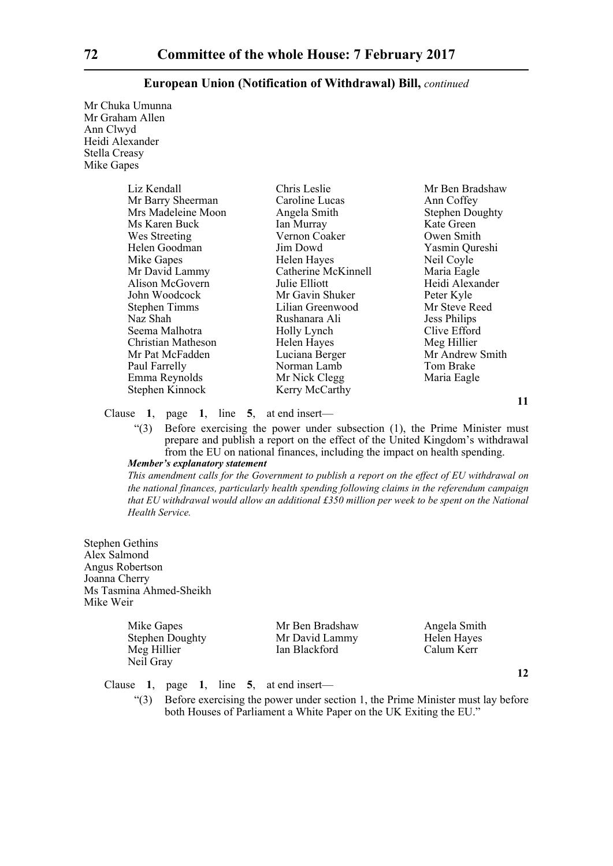Mr Chuka Umunna Mr Graham Allen Ann Clwyd Heidi Alexander Stella Creasy Mike Gapes

| Liz Kendall          | Chris Leslie        | Mr Ben Bradshaw        |
|----------------------|---------------------|------------------------|
| Mr Barry Sheerman    | Caroline Lucas      | Ann Coffey             |
| Mrs Madeleine Moon   | Angela Smith        | <b>Stephen Doughty</b> |
| Ms Karen Buck        | Ian Murray          | Kate Green             |
| Wes Streeting        | Vernon Coaker       | Owen Smith             |
| Helen Goodman        | Jim Dowd            | Yasmin Qureshi         |
| Mike Gapes           | Helen Hayes         | Neil Coyle             |
| Mr David Lammy       | Catherine McKinnell | Maria Eagle            |
| Alison McGovern      | Julie Elliott       | Heidi Alexander        |
| John Woodcock        | Mr Gavin Shuker     | Peter Kyle             |
| <b>Stephen Timms</b> | Lilian Greenwood    | Mr Steve Reed          |
| Naz Shah             | Rushanara Ali       | <b>Jess Philips</b>    |
| Seema Malhotra       | Holly Lynch         | Clive Efford           |
| Christian Matheson   | Helen Hayes         | Meg Hillier            |
| Mr Pat McFadden      | Luciana Berger      | Mr Andrew Smith        |
| Paul Farrelly        | Norman Lamb         | Tom Brake              |
| Emma Reynolds        | Mr Nick Clegg       | Maria Eagle            |
| Stephen Kinnock      | Kerry McCarthy      |                        |

Clause **1**, page **1**, line **5**, at end insert—

"(3) Before exercising the power under subsection (1), the Prime Minister must prepare and publish a report on the effect of the United Kingdom's withdrawal from the EU on national finances, including the impact on health spending.

# *Member's explanatory statement*

*This amendment calls for the Government to publish a report on the effect of EU withdrawal on the national finances, particularly health spending following claims in the referendum campaign that EU withdrawal would allow an additional £350 million per week to be spent on the National Health Service.*

Stephen Gethins Alex Salmond Angus Robertson Joanna Cherry Ms Tasmina Ahmed-Sheikh Mike Weir

| Mike Gapes             | Mr Ben Bradshaw | Angela Smith |
|------------------------|-----------------|--------------|
| <b>Stephen Doughty</b> | Mr David Lammy  | Helen Hayes  |
| Meg Hillier            | Ian Blackford   | Calum Kerr   |
| Neil Gray              |                 |              |

Clause **1**, page **1**, line **5**, at end insert—

"(3) Before exercising the power under section 1, the Prime Minister must lay before both Houses of Parliament a White Paper on the UK Exiting the EU."

**11**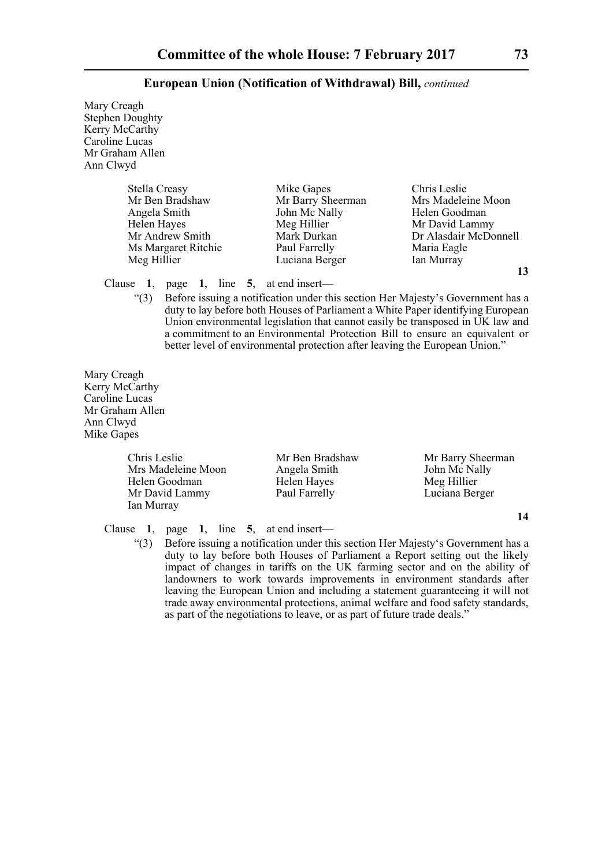Mary Creagh Stephen Doughty Kerry McCarthy Caroline Lucas Mr Graham Allen Ann Clwyd

| Stella Creasy       | Mike Gapes        | Chris Leslie          |
|---------------------|-------------------|-----------------------|
| Mr Ben Bradshaw     | Mr Barry Sheerman | Mrs Madeleine Moon    |
| Angela Smith        | John Mc Nally     | Helen Goodman         |
| Helen Hayes         | Meg Hillier       | Mr David Lammy        |
| Mr Andrew Smith     | Mark Durkan       | Dr Alasdair McDonnell |
| Ms Margaret Ritchie | Paul Farrelly     | Maria Eagle           |
| Meg Hillier         | Luciana Berger    | Ian Murray            |

**13**

# Clause **1**, page **1**, line **5**, at end insert—

"(3) Before issuing a notification under this section Her Majesty's Government has a duty to lay before both Houses of Parliament a White Paper identifying European Union environmental legislation that cannot easily be transposed in UK law and a commitment to an Environmental Protection Bill to ensure an equivalent or better level of environmental protection after leaving the European Union."

Mary Creagh Kerry McCarthy Caroline Lucas Mr Graham Allen Ann Clwyd Mike Gapes

> Mrs Madeleine Moon Helen Goodman Helen Hayes Meg Hillier Mr David Lammy Paul Farrelly Luciana Berger Ian Murray

Chris Leslie Mr Ben Bradshaw Mr Barry Sheerman<br>
Mr Mr Barry Sheerman<br>
Mr Mr Mally Mr Mally John Mc Nally

Clause **1**, page **1**, line **5**, at end insert—

"(3) Before issuing a notification under this section Her Majesty's Government has a duty to lay before both Houses of Parliament a Report setting out the likely impact of changes in tariffs on the UK farming sector and on the ability of landowners to work towards improvements in environment standards after leaving the European Union and including a statement guaranteeing it will not trade away environmental protections, animal welfare and food safety standards, as part of the negotiations to leave, or as part of future trade deals."

**14**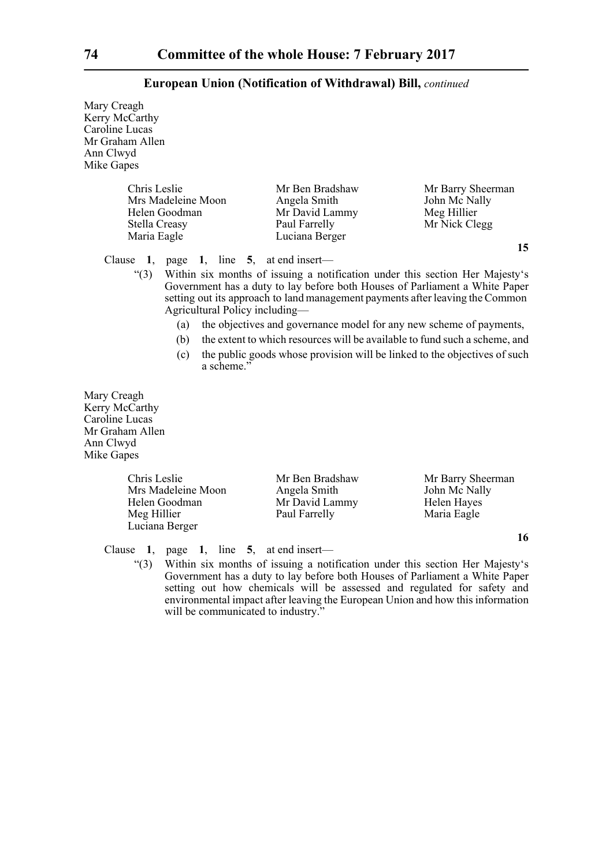Mary Creagh Kerry McCarthy Caroline Lucas Mr Graham Allen Ann Clwyd Mike Gapes

| Chris Leslie       | Mr Ben Bradshaw | Mr Barry Sheerman |
|--------------------|-----------------|-------------------|
| Mrs Madeleine Moon | Angela Smith    | John Mc Nally     |
| Helen Goodman      | Mr David Lammy  | Meg Hillier       |
| Stella Creasy      | Paul Farrelly   | Mr Nick Clegg     |
| Maria Eagle        | Luciana Berger  |                   |

Clause **1**, page **1**, line **5**, at end insert—

"(3) Within six months of issuing a notification under this section Her Majesty's Government has a duty to lay before both Houses of Parliament a White Paper setting out its approach to land management payments after leaving the Common Agricultural Policy including—

- (a) the objectives and governance model for any new scheme of payments,
- (b) the extent to which resources will be available to fund such a scheme, and
- (c) the public goods whose provision will be linked to the objectives of such a scheme."

Mary Creagh Kerry McCarthy Caroline Lucas Mr Graham Allen Ann Clwyd Mike Gapes

> Mrs Madeleine Moon Angela Smith John Mc Nally Helen Goodman Mr David Lammy Helen Hayes Meg Hillier Paul Farrelly Maria Eagle Luciana Berger

Chris Leslie Mr Ben Bradshaw Mr Barry Sheerman

Clause **1**, page **1**, line **5**, at end insert—

"(3) Within six months of issuing a notification under this section Her Majesty's Government has a duty to lay before both Houses of Parliament a White Paper setting out how chemicals will be assessed and regulated for safety and environmental impact after leaving the European Union and how this information will be communicated to industry."

**15**

**16**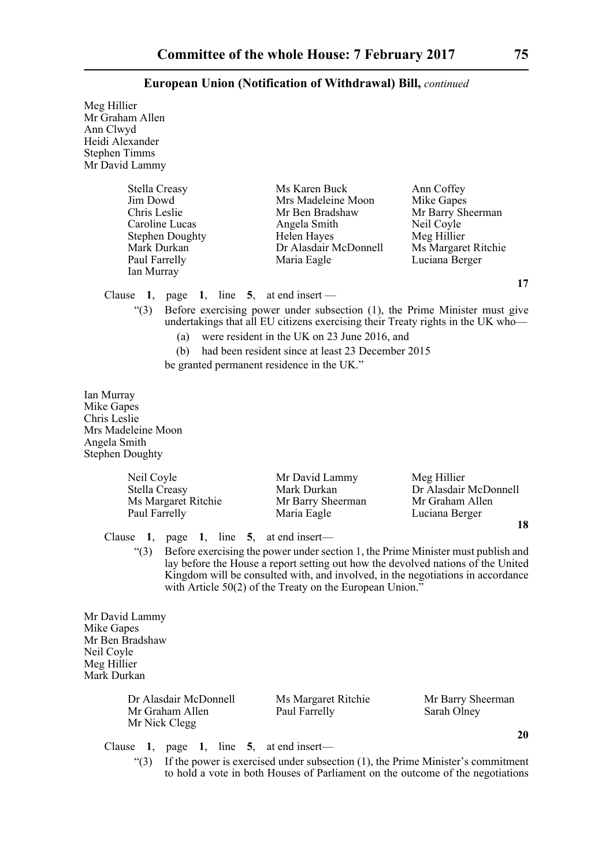| Meg Hillier<br>Mr Graham Allen<br>Ann Clwyd<br>Heidi Alexander<br><b>Stephen Timms</b><br>Mr David Lammy  |                                                                     |                                                                                                                                                                                                                                                                                                                     |                                                                                                                     |
|-----------------------------------------------------------------------------------------------------------|---------------------------------------------------------------------|---------------------------------------------------------------------------------------------------------------------------------------------------------------------------------------------------------------------------------------------------------------------------------------------------------------------|---------------------------------------------------------------------------------------------------------------------|
| Stella Creasy<br>Jim Dowd<br>Chris Leslie<br>Caroline Lucas<br>Mark Durkan<br>Paul Farrelly<br>Ian Murray | <b>Stephen Doughty</b>                                              | Ms Karen Buck<br>Mrs Madeleine Moon<br>Mr Ben Bradshaw<br>Angela Smith<br>Helen Hayes<br>Dr Alasdair McDonnell<br>Maria Eagle                                                                                                                                                                                       | Ann Coffey<br>Mike Gapes<br>Mr Barry Sheerman<br>Neil Coyle<br>Meg Hillier<br>Ms Margaret Ritchie<br>Luciana Berger |
| Clause $1$ ,<br>(3)                                                                                       | page 1,<br>(a)<br>(b)<br>be granted permanent residence in the UK." | line $5$ , at end insert —<br>Before exercising power under subsection (1), the Prime Minister must give<br>undertakings that all EU citizens exercising their Treaty rights in the UK who-<br>were resident in the UK on 23 June 2016, and<br>had been resident since at least 23 December 2015                    | 17                                                                                                                  |
| Ian Murray<br>Mike Gapes<br>Chris Leslie<br>Mrs Madeleine Moon<br>Angela Smith<br><b>Stephen Doughty</b>  |                                                                     |                                                                                                                                                                                                                                                                                                                     |                                                                                                                     |
| Neil Coyle<br>Stella Creasy<br>Paul Farrelly                                                              | Ms Margaret Ritchie                                                 | Mr David Lammy<br>Mark Durkan<br>Mr Barry Sheerman<br>Maria Eagle                                                                                                                                                                                                                                                   | Meg Hillier<br>Dr Alasdair McDonnell<br>Mr Graham Allen<br>Luciana Berger<br>18                                     |
| Clause 1.<br>" $(3)$                                                                                      | 1, line $5$ , at end insert—<br>page                                | Before exercising the power under section 1, the Prime Minister must publish and<br>lay before the House a report setting out how the devolved nations of the United<br>Kingdom will be consulted with, and involved, in the negotiations in accordance<br>with Article 50(2) of the Treaty on the European Union." |                                                                                                                     |
| Mr David Lammy<br>Mike Gapes<br>Mr Ben Bradshaw<br>Neil Coyle<br>Meg Hillier<br>Mark Durkan               |                                                                     |                                                                                                                                                                                                                                                                                                                     |                                                                                                                     |
|                                                                                                           | Dr Alasdair McDonnell                                               | Ms Margaret Ritchie                                                                                                                                                                                                                                                                                                 | Mr Barry Sheerman                                                                                                   |

Mr Nick Clegg

Mr Graham Allen Paul Farrelly Sarah Olney

**20**

Clause **1**, page **1**, line **5**, at end insert—

 $\lq(3)$  If the power is exercised under subsection (1), the Prime Minister's commitment to hold a vote in both Houses of Parliament on the outcome of the negotiations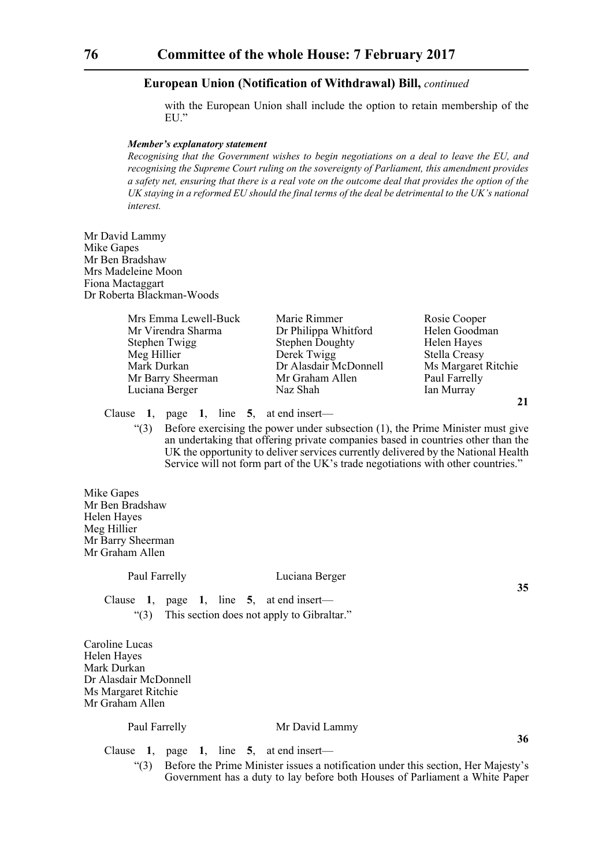with the European Union shall include the option to retain membership of the EU."

#### *Member's explanatory statement*

*Recognising that the Government wishes to begin negotiations on a deal to leave the EU, and recognising the Supreme Court ruling on the sovereignty of Parliament, this amendment provides a safety net, ensuring that there is a real vote on the outcome deal that provides the option of the UK staying in a reformed EU should the final terms of the deal be detrimental to the UK's national interest.*

Mr David Lammy Mike Gapes Mr Ben Bradshaw Mrs Madeleine Moon Fiona Mactaggart Dr Roberta Blackman-Woods

| Mrs Emma Lewell-Buck | Marie Rimmer           | Rosie Cooper         |
|----------------------|------------------------|----------------------|
| Mr Virendra Sharma   | Dr Philippa Whitford   | Helen Goodman        |
| Stephen Twigg        | <b>Stephen Doughty</b> | Helen Hayes          |
| Meg Hillier          | Derek Twigg            | <b>Stella Creasy</b> |
| Mark Durkan          | Dr Alasdair McDonnell  | Ms Margaret Ritchie  |
| Mr Barry Sheerman    | Mr Graham Allen        | Paul Farrelly        |
| Luciana Berger       | Naz Shah               | Ian Murray           |
|                      |                        | 21                   |

Clause **1**, page **1**, line **5**, at end insert—

 $(3)$  Before exercising the power under subsection  $(1)$ , the Prime Minister must give an undertaking that offering private companies based in countries other than the UK the opportunity to deliver services currently delivered by the National Health Service will not form part of the UK's trade negotiations with other countries."

Mike Gapes Mr Ben Bradshaw Helen Hayes Meg Hillier Mr Barry Sheerman Mr Graham Allen

#### Paul Farrelly Luciana Berger

**35**

**36**

Clause **1**, page **1**, line **5**, at end insert— "(3) This section does not apply to Gibraltar."

Caroline Lucas Helen Hayes Mark Durkan Dr Alasdair McDonnell Ms Margaret Ritchie Mr Graham Allen

# Paul Farrelly Mr David Lammy

Clause **1**, page **1**, line **5**, at end insert—

"(3) Before the Prime Minister issues a notification under this section, Her Majesty's Government has a duty to lay before both Houses of Parliament a White Paper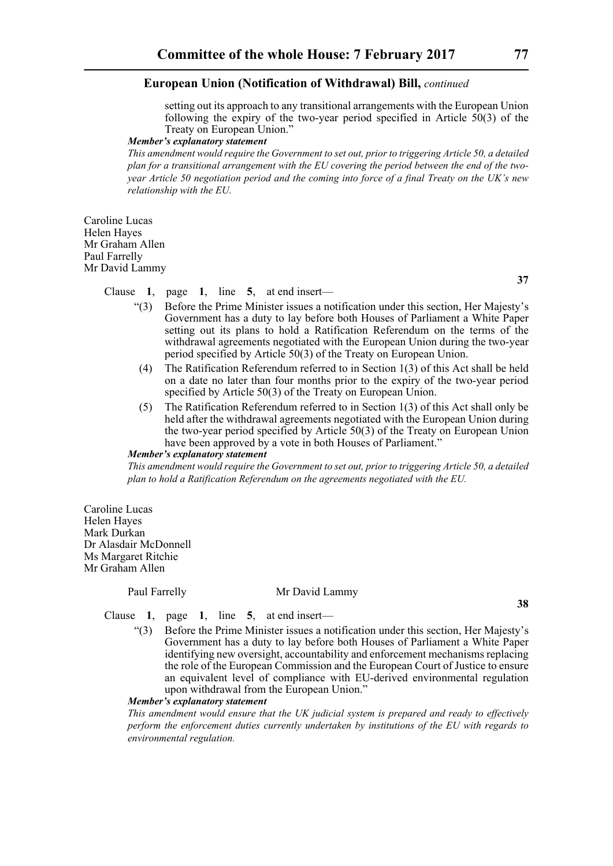setting out its approach to any transitional arrangements with the European Union following the expiry of the two-year period specified in Article  $\bar{50}(3)$  of the Treaty on European Union."

## *Member's explanatory statement*

*This amendment would require the Government to set out, prior to triggering Article 50, a detailed plan for a transitional arrangement with the EU covering the period between the end of the twoyear Article 50 negotiation period and the coming into force of a final Treaty on the UK's new relationship with the EU.*

Caroline Lucas Helen Hayes Mr Graham Allen Paul Farrelly Mr David Lammy

**37**

Clause **1**, page **1**, line **5**, at end insert—

- "(3) Before the Prime Minister issues a notification under this section, Her Majesty's Government has a duty to lay before both Houses of Parliament a White Paper setting out its plans to hold a Ratification Referendum on the terms of the withdrawal agreements negotiated with the European Union during the two-year period specified by Article 50(3) of the Treaty on European Union.
- (4) The Ratification Referendum referred to in Section 1(3) of this Act shall be held on a date no later than four months prior to the expiry of the two-year period specified by Article 50(3) of the Treaty on European Union.
- (5) The Ratification Referendum referred to in Section 1(3) of this Act shall only be held after the withdrawal agreements negotiated with the European Union during the two-year period specified by Article 50(3) of the Treaty on European Union have been approved by a vote in both Houses of Parliament."

#### *Member's explanatory statement*

*This amendment would require the Government to set out, prior to triggering Article 50, a detailed plan to hold a Ratification Referendum on the agreements negotiated with the EU.*

Caroline Lucas Helen Hayes Mark Durkan Dr Alasdair McDonnell Ms Margaret Ritchie Mr Graham Allen

# Paul Farrelly Mr David Lammy

**38**

Clause **1**, page **1**, line **5**, at end insert—

"(3) Before the Prime Minister issues a notification under this section, Her Majesty's Government has a duty to lay before both Houses of Parliament a White Paper identifying new oversight, accountability and enforcement mechanisms replacing the role of the European Commission and the European Court of Justice to ensure an equivalent level of compliance with EU-derived environmental regulation upon withdrawal from the European Union."

#### *Member's explanatory statement*

*This amendment would ensure that the UK judicial system is prepared and ready to effectively perform the enforcement duties currently undertaken by institutions of the EU with regards to environmental regulation.*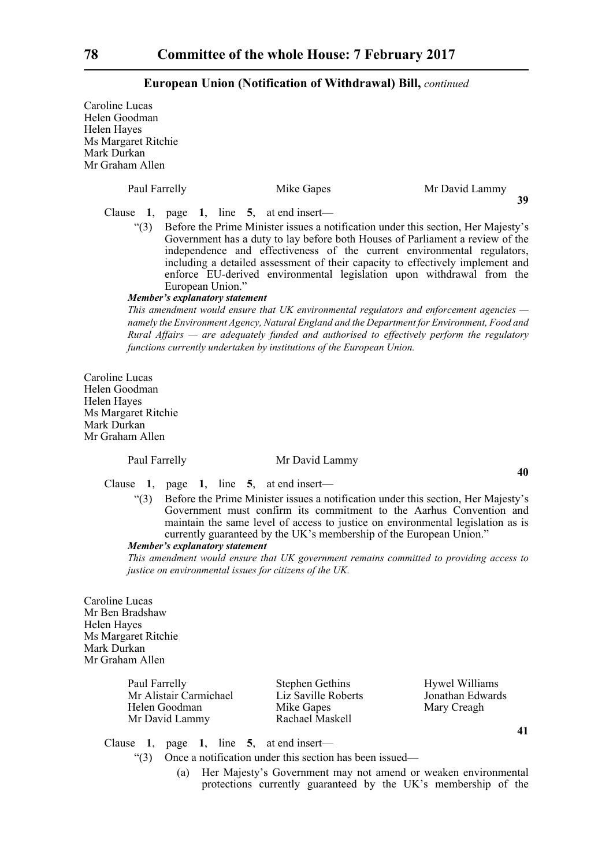Caroline Lucas Helen Goodman Helen Hayes Ms Margaret Ritchie Mark Durkan Mr Graham Allen

| Paul Farrelly | Mike Gapes                                                                                                                                                                                                                                                                                                                                                                                                                   | Mr David Lammy |
|---------------|------------------------------------------------------------------------------------------------------------------------------------------------------------------------------------------------------------------------------------------------------------------------------------------------------------------------------------------------------------------------------------------------------------------------------|----------------|
| Clause $1$ ,  | page 1, line $5$ , at end insert—                                                                                                                                                                                                                                                                                                                                                                                            | 39             |
| $\degree$ (3) | Before the Prime Minister issues a notification under this section, Her Majesty's<br>Government has a duty to lay before both Houses of Parliament a review of the<br>independence and effectiveness of the current environmental regulators,<br>including a detailed assessment of their capacity to effectively implement and<br>enforce EU-derived environmental legislation upon withdrawal from the<br>European Union." |                |
|               | Member's explanatory statement                                                                                                                                                                                                                                                                                                                                                                                               |                |
|               | This amendment would ensure that UK environmental regulators and enforcement agencies $-$<br>namely the Environment Agency, Natural England and the Department for Environment, Food and<br>Rural Affairs — are adequately funded and authorised to effectively perform the regulatory                                                                                                                                       |                |

Caroline Lucas Helen Goodman Helen Hayes Ms Margaret Ritchie Mark Durkan Mr Graham Allen

#### Paul Farrelly Mr David Lammy

*functions currently undertaken by institutions of the European Union.*

Clause **1**, page **1**, line **5**, at end insert—

"(3) Before the Prime Minister issues a notification under this section, Her Majesty's Government must confirm its commitment to the Aarhus Convention and maintain the same level of access to justice on environmental legislation as is currently guaranteed by the UK's membership of the European Union."

# *Member's explanatory statement*

*This amendment would ensure that UK government remains committed to providing access to justice on environmental issues for citizens of the UK.*

Caroline Lucas Mr Ben Bradshaw Helen Hayes Ms Margaret Ritchie Mark Durkan Mr Graham Allen

| Paul Farrelly          | <b>Stephen Gethins</b> | Hywel Williams   |
|------------------------|------------------------|------------------|
| Mr Alistair Carmichael | Liz Saville Roberts    | Jonathan Edwards |
| Helen Goodman          | Mike Gapes             | Mary Creagh      |
| Mr David Lammy         | Rachael Maskell        |                  |

**41**

**40**

Clause **1**, page **1**, line **5**, at end insert—

- "(3) Once a notification under this section has been issued—
	- (a) Her Majesty's Government may not amend or weaken environmental protections currently guaranteed by the UK's membership of the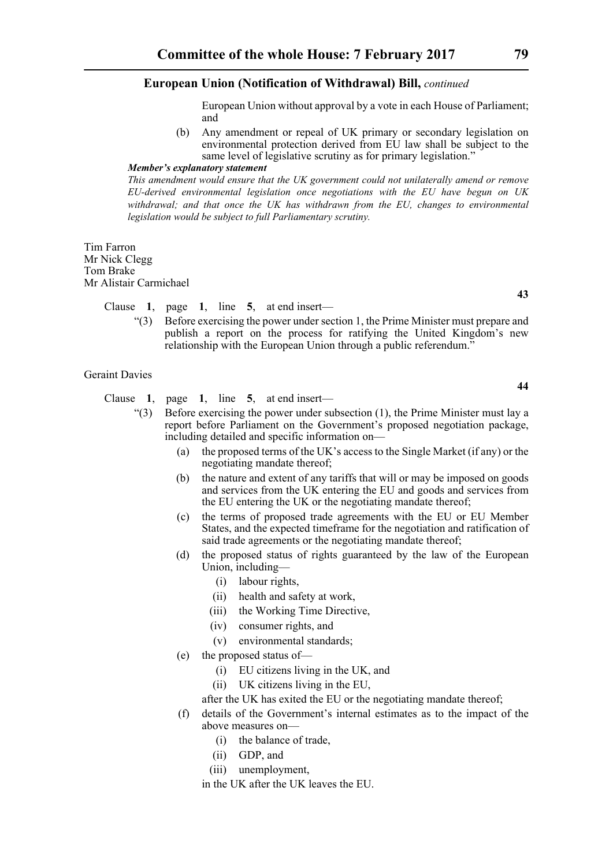European Union without approval by a vote in each House of Parliament; and

(b) Any amendment or repeal of UK primary or secondary legislation on environmental protection derived from EU law shall be subject to the same level of legislative scrutiny as for primary legislation."

#### *Member's explanatory statement*

*This amendment would ensure that the UK government could not unilaterally amend or remove EU-derived environmental legislation once negotiations with the EU have begun on UK withdrawal; and that once the UK has withdrawn from the EU, changes to environmental legislation would be subject to full Parliamentary scrutiny.*

Tim Farron Mr Nick Clegg Tom Brake Mr Alistair Carmichael

Clause **1**, page **1**, line **5**, at end insert—

"(3) Before exercising the power under section 1, the Prime Minister must prepare and publish a report on the process for ratifying the United Kingdom's new relationship with the European Union through a public referendum."

#### Geraint Davies

Clause **1**, page **1**, line **5**, at end insert—

- $(3)$  Before exercising the power under subsection (1), the Prime Minister must lay a report before Parliament on the Government's proposed negotiation package, including detailed and specific information on—
	- (a) the proposed terms of the UK's access to the Single Market (if any) or the negotiating mandate thereof;
	- (b) the nature and extent of any tariffs that will or may be imposed on goods and services from the UK entering the EU and goods and services from the EU entering the UK or the negotiating mandate thereof;
	- (c) the terms of proposed trade agreements with the EU or EU Member States, and the expected timeframe for the negotiation and ratification of said trade agreements or the negotiating mandate thereof;
	- (d) the proposed status of rights guaranteed by the law of the European Union, including—
		- (i) labour rights,
		- (ii) health and safety at work,
		- (iii) the Working Time Directive,
		- (iv) consumer rights, and
		- (v) environmental standards;
	- (e) the proposed status of—
		- (i) EU citizens living in the UK, and
		- (ii) UK citizens living in the EU,
		- after the UK has exited the EU or the negotiating mandate thereof;
	- (f) details of the Government's internal estimates as to the impact of the above measures on—
		- (i) the balance of trade,
		- (ii) GDP, and
		- (iii) unemployment,
		- in the UK after the UK leaves the EU.

**44**

**43**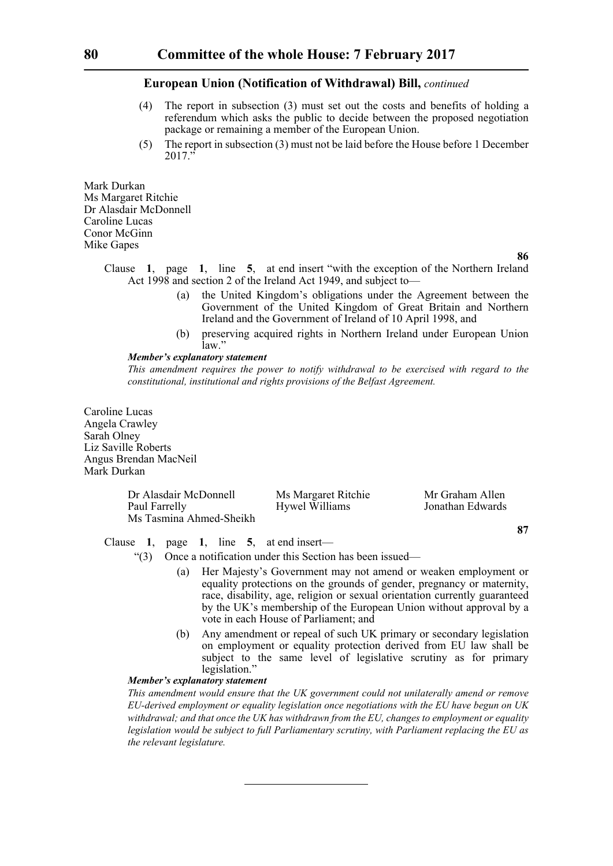- (4) The report in subsection (3) must set out the costs and benefits of holding a referendum which asks the public to decide between the proposed negotiation package or remaining a member of the European Union.
- (5) The report in subsection (3) must not be laid before the House before 1 December  $2017'$

Mark Durkan Ms Margaret Ritchie Dr Alasdair McDonnell Caroline Lucas Conor McGinn Mike Gapes

**86**

- Clause **1**, page **1**, line **5**, at end insert "with the exception of the Northern Ireland Act 1998 and section 2 of the Ireland Act 1949, and subject to—
	- (a) the United Kingdom's obligations under the Agreement between the Government of the United Kingdom of Great Britain and Northern Ireland and the Government of Ireland of 10 April 1998, and
	- (b) preserving acquired rights in Northern Ireland under European Union law."

## *Member's explanatory statement*

*This amendment requires the power to notify withdrawal to be exercised with regard to the constitutional, institutional and rights provisions of the Belfast Agreement.*

Caroline Lucas Angela Crawley Sarah Olney Liz Saville Roberts Angus Brendan MacNeil Mark Durkan

| Dr Alasdair McDonnell   | Ms Margaret Ritchie | Mr Graham Allen  |
|-------------------------|---------------------|------------------|
| Paul Farrelly           | Hywel Williams      | Jonathan Edwards |
| Ms Tasmina Ahmed-Sheikh |                     |                  |

**87**

Clause **1**, page **1**, line **5**, at end insert—

"(3) Once a notification under this Section has been issued—

- (a) Her Majesty's Government may not amend or weaken employment or equality protections on the grounds of gender, pregnancy or maternity, race, disability, age, religion or sexual orientation currently guaranteed by the UK's membership of the European Union without approval by a vote in each House of Parliament; and
- (b) Any amendment or repeal of such UK primary or secondary legislation on employment or equality protection derived from EU law shall be subject to the same level of legislative scrutiny as for primary legislation."

#### *Member's explanatory statement*

*This amendment would ensure that the UK government could not unilaterally amend or remove EU-derived employment or equality legislation once negotiations with the EU have begun on UK withdrawal; and that once the UK has withdrawn from the EU, changes to employment or equality legislation would be subject to full Parliamentary scrutiny, with Parliament replacing the EU as the relevant legislature.*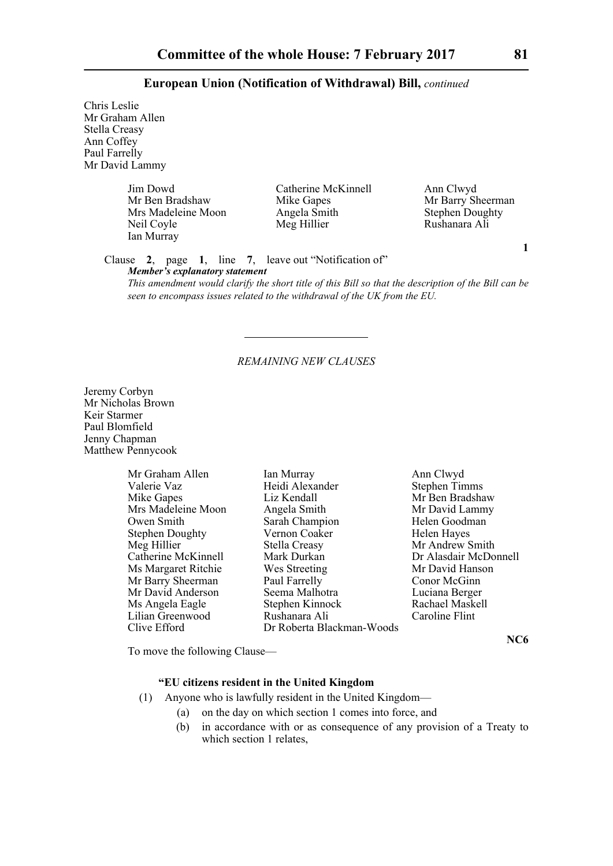Chris Leslie Mr Graham Allen Stella Creasy Ann Coffey Paul Farrelly Mr David Lammy

> Jim Dowd Catherine McKinnell Ann Clwyd Mrs Madeleine Moon<br>
> Neil Coyle<br>
> Meg Hillier Ian Murray

Mr Barry Sheerman<br>
Angela Smith Stephen Doughty

Rushanara Ali

**1**

Clause **2**, page **1**, line **7**, leave out "Notification of" *Member's explanatory statement* 

*This amendment would clarify the short title of this Bill so that the description of the Bill can be seen to encompass issues related to the withdrawal of the UK from the EU.*

#### *REMAINING NEW CLAUSES*

Jeremy Corbyn Mr Nicholas Brown Keir Starmer Paul Blomfield Jenny Chapman Matthew Pennycook

| Mr Graham Allen        |
|------------------------|
| Valerie Vaz            |
| <b>Mike Gapes</b>      |
| Mrs Madeleine Moon     |
| Owen Smith             |
| <b>Stephen Doughty</b> |
| Meg Hillier            |
| Catherine McKinnell    |
| Ms Margaret Ritchie    |
| Mr Barry Sheerman      |
| Mr David Anderson      |
| Ms Angela Eagle        |
| Lilian Greenwood       |
| $Clive$ Efford         |

Ian Murray **Ann Clwyd**<br>
Heidi Alexander **Allen Ian Stephen Timms** Heidi Alexander Liz Kendall Mr Ben Bradshaw Angela Smith Mr David Lammy Sarah Champion Helen Goodman Vernon Coaker Helen Hayes Stella Creasy Mr Andrew Smith Mark Durkan Dr Alasdair McDonnell Wes Streeting Mr David Hanson<br>
Paul Farrelly Conor McGinn Seema Malhotra <br>Stephen Kinnock <br>Rachael Maskell Ms Angela Eagle Stephen Kinnock Rachael Maskell Rushanara Ali Clive Efford Dr Roberta Blackman-Woods

Conor McGinn<br>Luciana Berger

**NC6**

To move the following Clause—

# **"EU citizens resident in the United Kingdom**

- (1) Anyone who is lawfully resident in the United Kingdom—
	- (a) on the day on which section 1 comes into force, and
	- (b) in accordance with or as consequence of any provision of a Treaty to which section 1 relates,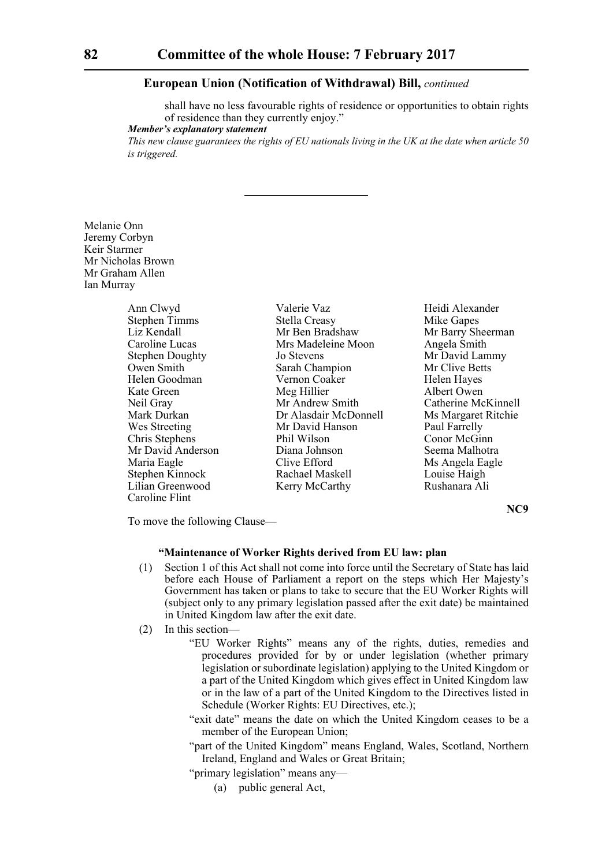shall have no less favourable rights of residence or opportunities to obtain rights of residence than they currently enjoy."

*Member's explanatory statement* 

*This new clause guarantees the rights of EU nationals living in the UK at the date when article 50 is triggered.*

## Melanie Onn Jeremy Corbyn Keir Starmer Mr Nicholas Brown Mr Graham Allen Ian Murray

| Ann Clwyd              | Valerie Vaz           | Heidi Alexander     |
|------------------------|-----------------------|---------------------|
| <b>Stephen Timms</b>   | <b>Stella Creasy</b>  | Mike Gapes          |
| Liz Kendall            | Mr Ben Bradshaw       | Mr Barry Sheerman   |
| Caroline Lucas         | Mrs Madeleine Moon    | Angela Smith        |
| <b>Stephen Doughty</b> | Jo Stevens            | Mr David Lammy      |
| Owen Smith             | Sarah Champion        | Mr Clive Betts      |
| Helen Goodman          | Vernon Coaker         | Helen Hayes         |
| Kate Green             | Meg Hillier           | Albert Owen         |
| Neil Gray              | Mr Andrew Smith       | Catherine McKinnell |
| Mark Durkan            | Dr Alasdair McDonnell | Ms Margaret Ritchie |
| Wes Streeting          | Mr David Hanson       | Paul Farrelly       |
| Chris Stephens         | Phil Wilson           | Conor McGinn        |
| Mr David Anderson      | Diana Johnson         | Seema Malhotra      |
| Maria Eagle            | Clive Efford          | Ms Angela Eagle     |
| Stephen Kinnock        | Rachael Maskell       | Louise Haigh        |
| Lilian Greenwood       | Kerry McCarthy        | Rushanara Ali       |
| Caroline Flint         |                       |                     |

**NC9**

To move the following Clause—

#### **"Maintenance of Worker Rights derived from EU law: plan**

- (1) Section 1 of this Act shall not come into force until the Secretary of State has laid before each House of Parliament a report on the steps which Her Majesty's Government has taken or plans to take to secure that the EU Worker Rights will (subject only to any primary legislation passed after the exit date) be maintained in United Kingdom law after the exit date.
- (2) In this section—
	- "EU Worker Rights" means any of the rights, duties, remedies and procedures provided for by or under legislation (whether primary legislation or subordinate legislation) applying to the United Kingdom or a part of the United Kingdom which gives effect in United Kingdom law or in the law of a part of the United Kingdom to the Directives listed in Schedule (Worker Rights: EU Directives, etc.);
	- "exit date" means the date on which the United Kingdom ceases to be a member of the European Union;
	- "part of the United Kingdom" means England, Wales, Scotland, Northern Ireland, England and Wales or Great Britain;
	- "primary legislation" means any—
		- (a) public general Act,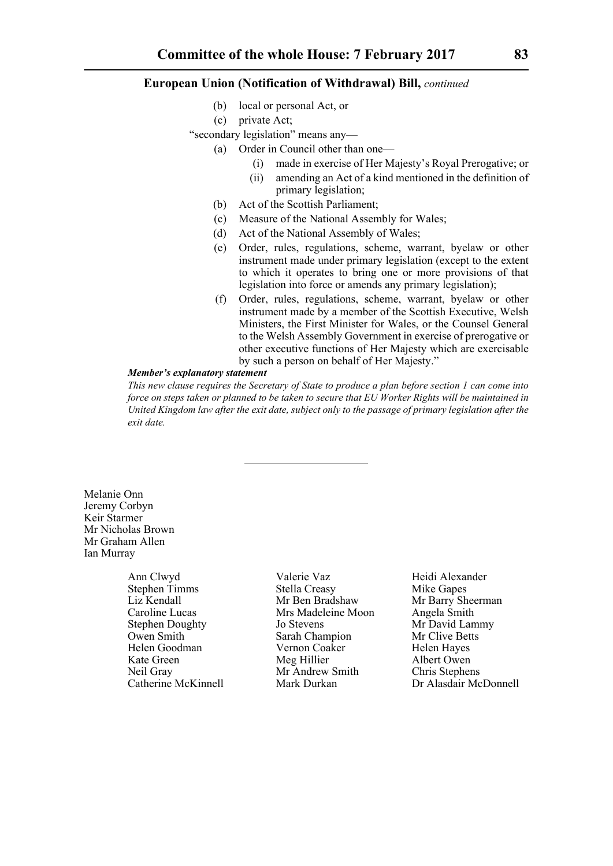- (b) local or personal Act, or
- (c) private Act;

"secondary legislation" means any—

- (a) Order in Council other than one—
	- (i) made in exercise of Her Majesty's Royal Prerogative; or
	- (ii) amending an Act of a kind mentioned in the definition of primary legislation;
- (b) Act of the Scottish Parliament;
- (c) Measure of the National Assembly for Wales;
- (d) Act of the National Assembly of Wales;
- (e) Order, rules, regulations, scheme, warrant, byelaw or other instrument made under primary legislation (except to the extent to which it operates to bring one or more provisions of that legislation into force or amends any primary legislation);
- (f) Order, rules, regulations, scheme, warrant, byelaw or other instrument made by a member of the Scottish Executive, Welsh Ministers, the First Minister for Wales, or the Counsel General to the Welsh Assembly Government in exercise of prerogative or other executive functions of Her Majesty which are exercisable by such a person on behalf of Her Majesty."

#### *Member's explanatory statement*

*This new clause requires the Secretary of State to produce a plan before section 1 can come into force on steps taken or planned to be taken to secure that EU Worker Rights will be maintained in United Kingdom law after the exit date, subject only to the passage of primary legislation after the exit date.*

Melanie Onn Jeremy Corbyn Keir Starmer Mr Nicholas Brown Mr Graham Allen Ian Murray

Helen Goodman Vernon Coaker<br>Kate Green Meg Hillier

Ann Clwyd **Valerie Vaz** Heidi Alexander Stephen Timms Stella Creasy Mike Gapes<br>
Liz Kendall Mr Ben Bradshaw Mr Barry Sh Liz Kendall Mr Ben Bradshaw Mr Barry Sheerman<br>Caroline Lucas Mrs Madeleine Moon Angela Smith Caroline Lucas Mrs Madeleine Moon Angela Smith Stephen Doughty Jo Stevens Mr David Lammy<br>
Owen Smith Sarah Champion Mr Clive Betts Owen Smith Sarah Champion Mr Clive Betts<br>
Helen Goodman Vernon Coaker Helen Haves Meg Hillier Albert Owen Neil Gray Mr Andrew Smith Chris Stephens<br>Catherine McKinnell Mark Durkan Dr Alasdair Mc

Mark Durkan Dr Alasdair McDonnell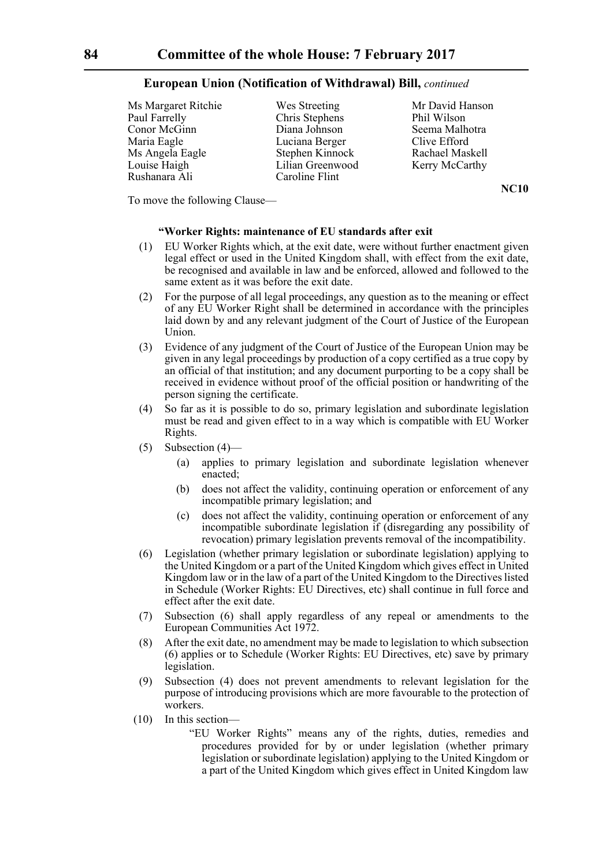Ms Margaret Ritchie Wes Streeting Mr David Hanson Paul Farrelly Chris Stephens Phil Wilson Conor McGinn Diana Johnson Seema Malhotra Maria Eagle Luciana Berger Clive Efford Ms Angela Eagle Stephen Kinnock Rachael Maskell<br>
Louise Haigh Lilian Greenwood Kerry McCarthy Rushanara Ali Caroline Flint

Lilian Greenwood Kerry McCarthy

**NC10**

To move the following Clause—

## **"Worker Rights: maintenance of EU standards after exit**

- (1) EU Worker Rights which, at the exit date, were without further enactment given legal effect or used in the United Kingdom shall, with effect from the exit date, be recognised and available in law and be enforced, allowed and followed to the same extent as it was before the exit date.
- (2) For the purpose of all legal proceedings, any question as to the meaning or effect of any EU Worker Right shall be determined in accordance with the principles laid down by and any relevant judgment of the Court of Justice of the European Union.
- (3) Evidence of any judgment of the Court of Justice of the European Union may be given in any legal proceedings by production of a copy certified as a true copy by an official of that institution; and any document purporting to be a copy shall be received in evidence without proof of the official position or handwriting of the person signing the certificate.
- (4) So far as it is possible to do so, primary legislation and subordinate legislation must be read and given effect to in a way which is compatible with EU Worker Rights.
- (5) Subsection (4)—
	- (a) applies to primary legislation and subordinate legislation whenever enacted;
	- (b) does not affect the validity, continuing operation or enforcement of any incompatible primary legislation; and
	- (c) does not affect the validity, continuing operation or enforcement of any incompatible subordinate legislation if (disregarding any possibility of revocation) primary legislation prevents removal of the incompatibility.
- (6) Legislation (whether primary legislation or subordinate legislation) applying to the United Kingdom or a part of the United Kingdom which gives effect in United Kingdom law or in the law of a part of the United Kingdom to the Directives listed in Schedule (Worker Rights: EU Directives, etc) shall continue in full force and effect after the exit date.
- (7) Subsection (6) shall apply regardless of any repeal or amendments to the European Communities Act 1972.
- (8) After the exit date, no amendment may be made to legislation to which subsection (6) applies or to Schedule (Worker Rights: EU Directives, etc) save by primary legislation.
- (9) Subsection (4) does not prevent amendments to relevant legislation for the purpose of introducing provisions which are more favourable to the protection of workers.
- (10) In this section—
	- "EU Worker Rights" means any of the rights, duties, remedies and procedures provided for by or under legislation (whether primary legislation or subordinate legislation) applying to the United Kingdom or a part of the United Kingdom which gives effect in United Kingdom law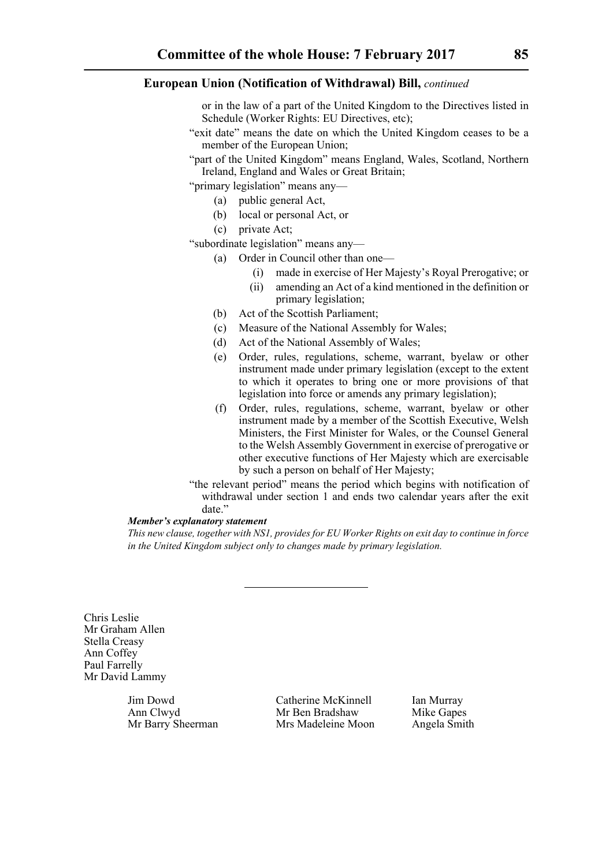or in the law of a part of the United Kingdom to the Directives listed in Schedule (Worker Rights: EU Directives, etc);

- "exit date" means the date on which the United Kingdom ceases to be a member of the European Union;
- "part of the United Kingdom" means England, Wales, Scotland, Northern Ireland, England and Wales or Great Britain;

"primary legislation" means any—

- (a) public general Act,
- (b) local or personal Act, or
- (c) private Act;

"subordinate legislation" means any—

- (a) Order in Council other than one—
	- (i) made in exercise of Her Majesty's Royal Prerogative; or
	- (ii) amending an Act of a kind mentioned in the definition or primary legislation;
- (b) Act of the Scottish Parliament;
- (c) Measure of the National Assembly for Wales;
- (d) Act of the National Assembly of Wales;
- (e) Order, rules, regulations, scheme, warrant, byelaw or other instrument made under primary legislation (except to the extent to which it operates to bring one or more provisions of that legislation into force or amends any primary legislation);
- (f) Order, rules, regulations, scheme, warrant, byelaw or other instrument made by a member of the Scottish Executive, Welsh Ministers, the First Minister for Wales, or the Counsel General to the Welsh Assembly Government in exercise of prerogative or other executive functions of Her Majesty which are exercisable by such a person on behalf of Her Majesty;
- "the relevant period" means the period which begins with notification of withdrawal under section 1 and ends two calendar years after the exit date."

## *Member's explanatory statement*

*This new clause, together with NS1, provides for EU Worker Rights on exit day to continue in force in the United Kingdom subject only to changes made by primary legislation.*

Chris Leslie Mr Graham Allen Stella Creasy Ann Coffey Paul Farrelly Mr David Lammy

Jim Dowd Catherine McKinnell Ian Murray Ann Clwyd Mr Ben Bradshaw Mike Gapes Mr Barry Sheerman Mrs Madeleine Moon Angela Smith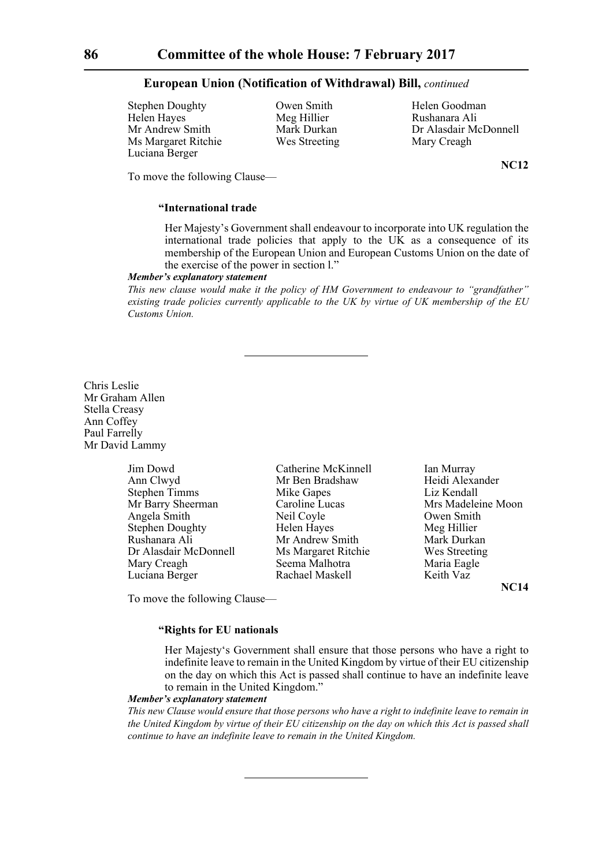Stephen Doughty Owen Smith Helen Goodman Helen Hayes Meg Hillier Rushanara Ali<br>Mr Andrew Smith Mark Durkan Dr Alasdair Mo Ms Margaret Ritchie Wes Streeting Mary Creagh Luciana Berger

Mark Durkan Dr Alasdair McDonnell

**NC12**

To move the following Clause—

# **"International trade**

Her Majesty's Government shall endeavour to incorporate into UK regulation the international trade policies that apply to the UK as a consequence of its membership of the European Union and European Customs Union on the date of the exercise of the power in section l."

#### *Member's explanatory statement*

*This new clause would make it the policy of HM Government to endeavour to "grandfather" existing trade policies currently applicable to the UK by virtue of UK membership of the EU Customs Union.*

Chris Leslie Mr Graham Allen Stella Creasy Ann Coffey Paul Farrelly Mr David Lammy

| Jim Dowd               | Cathe  |
|------------------------|--------|
| Ann Clwyd              | MrB6   |
| <b>Stephen Timms</b>   | Mike   |
| Mr Barry Sheerman      | Caroli |
| Angela Smith           | Neil C |
| <b>Stephen Doughty</b> | Helen  |
| Rushanara Ali          | Mr Ai  |
| Dr Alasdair McDonnell  | Ms M   |
| Mary Creagh            | Seema  |
| Luciana Berger         | Racha  |

Gapes Liz Kendall Coyle **Owen Smith** Hayes Meg Hillier ndrew Smith Mark Durkan largaret Ritchie Wes Streeting a Malhotra **Maria Eagle** Luciana Berger Rachael Maskell Keith Vaz

Partia McKinnell Ian Murray<br>
Ian Dradshaw<br>
Heidi Alexa Heidi Alexander ine Lucas Mrs Madeleine Moon

**NC14**

To move the following Clause—

## **"Rights for EU nationals**

Her Majesty's Government shall ensure that those persons who have a right to indefinite leave to remain in the United Kingdom by virtue of their EU citizenship on the day on which this Act is passed shall continue to have an indefinite leave to remain in the United Kingdom."

#### *Member's explanatory statement*

*This new Clause would ensure that those persons who have a right to indefinite leave to remain in the United Kingdom by virtue of their EU citizenship on the day on which this Act is passed shall continue to have an indefinite leave to remain in the United Kingdom.*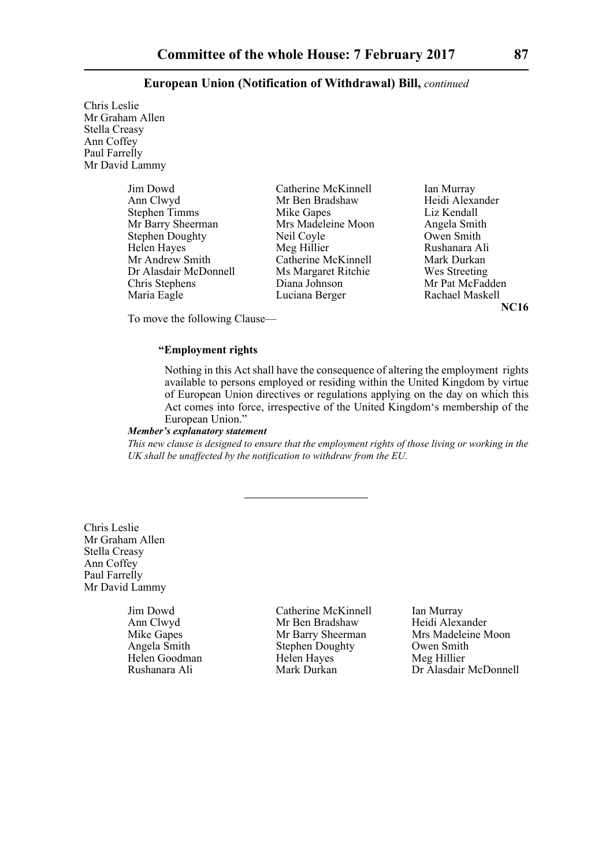Chris Leslie Mr Graham Allen Stella Creasy Ann Coffey Paul Farrelly Mr David Lammy

| Jim Dowd               | Catherine McKinnell | Ian Murray      |
|------------------------|---------------------|-----------------|
| Ann Clwyd              | Mr Ben Bradshaw     | Heidi Alexander |
| <b>Stephen Timms</b>   | Mike Gapes          | Liz Kendall     |
| Mr Barry Sheerman      | Mrs Madeleine Moon  | Angela Smith    |
| <b>Stephen Doughty</b> | Neil Coyle          | Owen Smith      |
| Helen Hayes            | Meg Hillier         | Rushanara Ali   |
| Mr Andrew Smith        | Catherine McKinnell | Mark Durkan     |
| Dr Alasdair McDonnell  | Ms Margaret Ritchie | Wes Streeting   |
| Chris Stephens         | Diana Johnson       | Mr Pat McFadder |
| Maria Eagle            | Luciana Berger      | Rachael Maskell |
|                        |                     |                 |

Ian Murray Heidi Alexander Liz Kendall Angela Smith Owen Smith Rushanara Ali Mark Durkan Wes Streeting Mr Pat McFadden **NC16**

To move the following Clause—

# **"Employment rights**

Nothing in this Act shall have the consequence of altering the employment rights available to persons employed or residing within the United Kingdom by virtue of European Union directives or regulations applying on the day on which this Act comes into force, irrespective of the United Kingdom's membership of the European Union."

## *Member's explanatory statement*

*This new clause is designed to ensure that the employment rights of those living or working in the UK shall be unaffected by the notification to withdraw from the EU.*

Chris Leslie Mr Graham Allen Stella Creasy Ann Coffey Paul Farrelly Mr David Lammy

Jim Dowd Catherine McKinnell Ian Murray<br>
Ann Clwyd Mr Ben Bradshaw Heidi Alexander Ann Clwyd Mr Ben Bradshaw Stephen Doughty<br>Helen Hayes Helen Goodman Helen Hayes Meg Hillier<br>
Rushanara Ali Mark Durkan Dr Alasdair

Mike Gapes Mr Barry Sheerman Mrs Madeleine Moon<br>
Angela Smith Stephen Doughty Owen Smith Rushanara Ali Mark Durkan Dr Alasdair McDonnell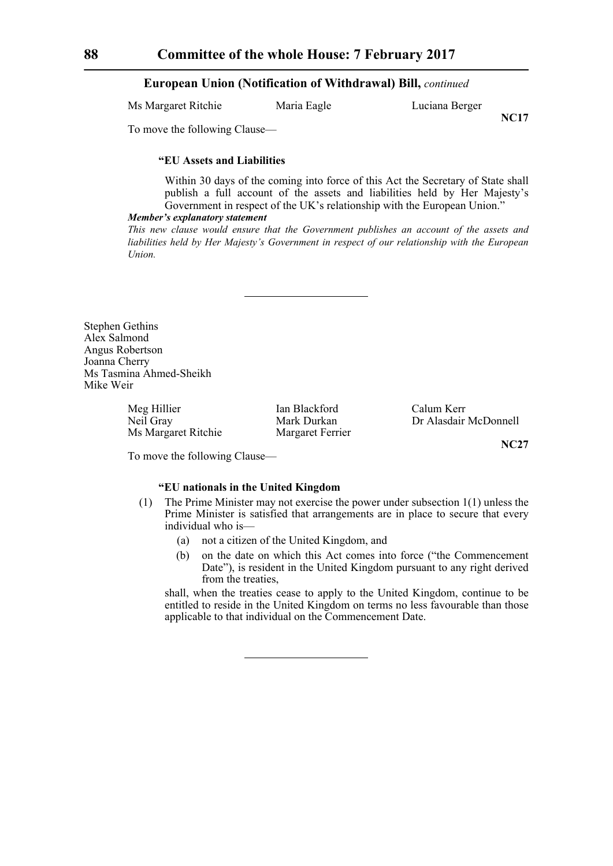| Ms Margaret Ritchie | Maria Eagle | Luciana Berger |
|---------------------|-------------|----------------|
|                     |             |                |

**NC17**

To move the following Clause—

### **"EU Assets and Liabilities**

Within 30 days of the coming into force of this Act the Secretary of State shall publish a full account of the assets and liabilities held by Her Majesty's Government in respect of the UK's relationship with the European Union."

#### *Member's explanatory statement*

*This new clause would ensure that the Government publishes an account of the assets and liabilities held by Her Majesty's Government in respect of our relationship with the European Union.*

Stephen Gethins Alex Salmond Angus Robertson Joanna Cherry Ms Tasmina Ahmed-Sheikh Mike Weir

> Meg Hillier **Ian Blackford** Calum Kerr<br>
> Neil Gray **Ian Blackford** Calum Kerr<br>
> Neil Gray Mark Durkan Dr Alasdair Ms Margaret Ritchie Margaret Ferrier

Mark Durkan Dr Alasdair McDonnell

**NC27**

To move the following Clause—

## **"EU nationals in the United Kingdom**

- (1) The Prime Minister may not exercise the power under subsection 1(1) unless the Prime Minister is satisfied that arrangements are in place to secure that every individual who is—
	- (a) not a citizen of the United Kingdom, and
	- (b) on the date on which this Act comes into force ("the Commencement Date"), is resident in the United Kingdom pursuant to any right derived from the treaties,

shall, when the treaties cease to apply to the United Kingdom, continue to be entitled to reside in the United Kingdom on terms no less favourable than those applicable to that individual on the Commencement Date.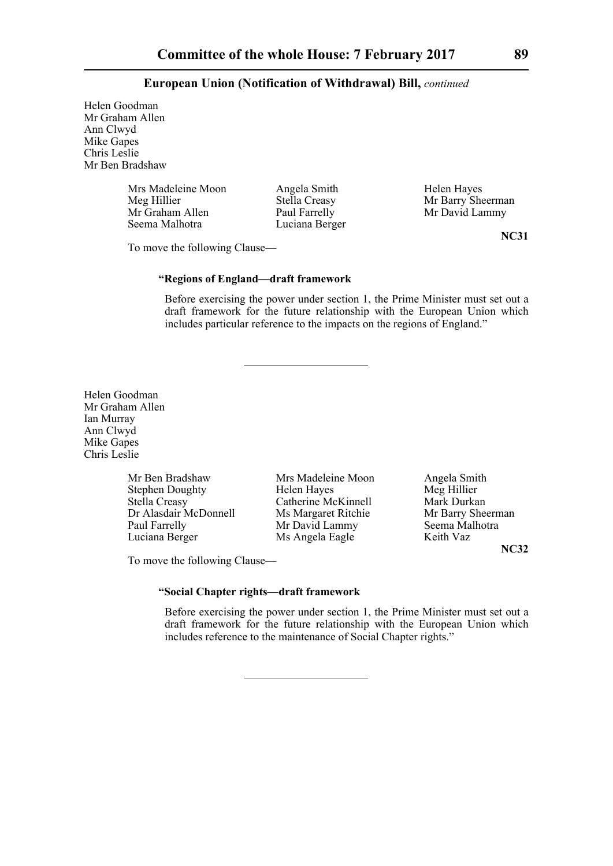Helen Goodman Mr Graham Allen Ann Clwyd Mike Gapes Chris Leslie Mr Ben Bradshaw

> Mrs Madeleine Moon Angela Smith Helen Hayes<br>
> Meg Hillier Stella Creasy Mr Barry She Meg Hillier Stella Creasy Mr Barry Sheerman<br>Mr Graham Allen Paul Farrelly Mr David Lammy Mr Graham Allen Paul Farrelly Mr David Lammy<br>
> Seema Malhotra Luciana Berger<br>
> Luciana Berger

Luciana Berger

To move the following Clause—

**NC31**

# **"Regions of England—draft framework**

Before exercising the power under section 1, the Prime Minister must set out a draft framework for the future relationship with the European Union which includes particular reference to the impacts on the regions of England."

Helen Goodman Mr Graham Allen Ian Murray Ann Clwyd Mike Gapes Chris Leslie

> Mr Ben Bradshaw Mrs Madeleine Moon Angela Smith<br>Stephen Doughty Helen Haves Meg Hillier Stephen Doughty Felen Hayes Meg Hillier<br>Stella Creasy Catherine McKinnell Mark Durkan Stella Creasy **Catherine McKinnell** Mark Durkan<br>Dr Alasdair McDonnell Ms Margaret Ritchie Mr Barry Sheerman Dr Alasdair McDonnell Ms Margaret Ritchie Mr Barry Sheerm<br>
> Paul Farrelly Mr David Lammy Seema Malhotra Paul Farrelly Mr David Lammy

Luciana Berger Ms Angela Eagle Keith Vaz

**NC32**

To move the following Clause—

# **"Social Chapter rights—draft framework**

Before exercising the power under section 1, the Prime Minister must set out a draft framework for the future relationship with the European Union which includes reference to the maintenance of Social Chapter rights."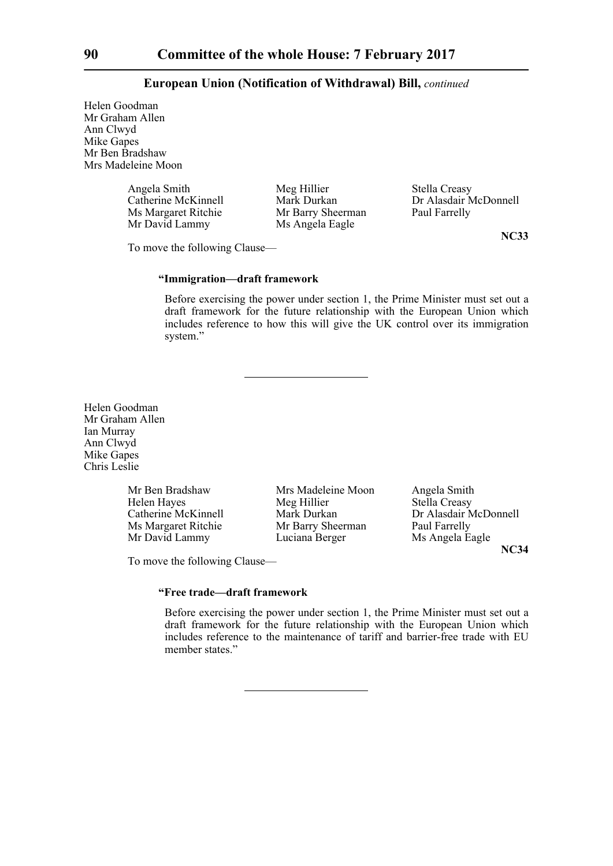Helen Goodman Mr Graham Allen Ann Clwyd Mike Gapes Mr Ben Bradshaw Mrs Madeleine Moon

> Angela Smith Meg Hillier Stella Creasy<br>Catherine McKinnell Mark Durkan Dr Alasdair N Ms Margaret Ritchie Mr Barry Sheerman Mr David Lammy Ms Angela Eagle

Mark Durkan Dr Alasdair McDonnell<br>
Mr Barry Sheerman Paul Farrelly

To move the following Clause—

Mr David Lammy

**NC33**

## **"Immigration—draft framework**

Before exercising the power under section 1, the Prime Minister must set out a draft framework for the future relationship with the European Union which includes reference to how this will give the UK control over its immigration system."

Helen Goodman Mr Graham Allen Ian Murray Ann Clwyd Mike Gapes Chris Leslie

> Mr Ben Bradshaw Mrs Madeleine Moon Angela Smith Ms Margaret Ritchie Mr Barry Sheern<br>Mr David Lammy Luciana Berger

Helen Hayes Meg Hillier Stella Creasy Mr David Lammy Luciana Berger Ms Angela Eagle

Catherine McKinnell Mark Durkan Dr Alasdair McDonnell<br>
Ms Margaret Ritchie Mr Barry Sheerman Paul Farrelly **NC34**

To move the following Clause—

# **"Free trade—draft framework**

Before exercising the power under section 1, the Prime Minister must set out a draft framework for the future relationship with the European Union which includes reference to the maintenance of tariff and barrier-free trade with EU member states."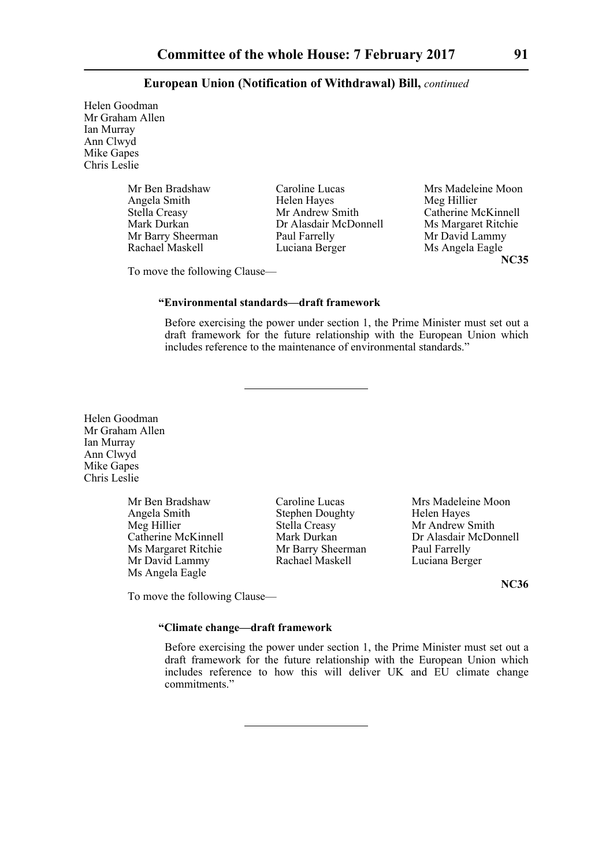Helen Goodman Mr Graham Allen Ian Murray Ann Clwyd Mike Gapes Chris Leslie

> Angela Smith<br>
> Stella Creasy<br>
> Mr Andrew Smith Mr Barry Sheerman Paul Farrelly

Stella Creasy Mr Andrew Smith Catherine McKinnell<br>Mark Durkan Dr Alasdair McDonnell Ms Margaret Ritchie Dr Alasdair McDonnell Ms Margaret Ritch<br>
Paul Farrelly Mr David Lammy Rachael Maskell **Luciana Berger** Ms Angela Eagle

Mr Ben Bradshaw Caroline Lucas Mrs Madeleine Moon<br>
Angela Smith Helen Haves Meg Hillier **NC35**

To move the following Clause—

## **"Environmental standards—draft framework**

Before exercising the power under section 1, the Prime Minister must set out a draft framework for the future relationship with the European Union which includes reference to the maintenance of environmental standards."

Helen Goodman Mr Graham Allen Ian Murray Ann Clwyd Mike Gapes Chris Leslie

> Angela Smith Stephen Doughty<br>
> Meg Hillier Stella Creasy Meg Hillier Stella Creasy Mr Andrew Smith<br>Catherine McKinnell Mark Durkan Dr Alasdair McDo Ms Margaret Ritchie Mr Barry Sheerman Paul Farrelly<br>Mr David Lammy Rachael Maskell Luciana Berger Mr David Lammy Ms Angela Eagle

Mr Ben Bradshaw Caroline Lucas Mrs Madeleine Moon<br>
Angela Smith Stephen Doughty Helen Haves

Mark Durkan<br>
Mr Barry Sheerman Paul Farrelly<br>
Paul Farrelly

**NC36**

**"Climate change—draft framework**

To move the following Clause—

Before exercising the power under section 1, the Prime Minister must set out a draft framework for the future relationship with the European Union which includes reference to how this will deliver UK and EU climate change commitments."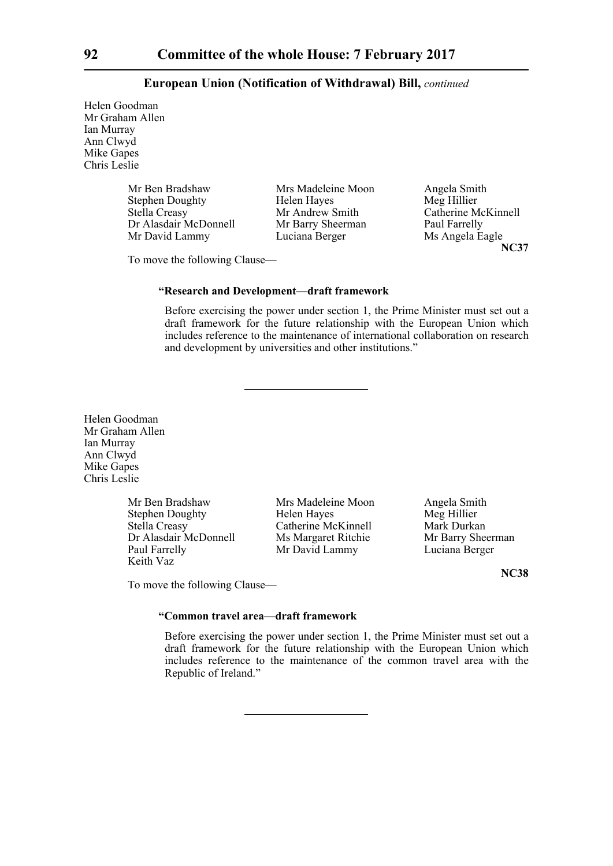Helen Goodman Mr Graham Allen Ian Murray Ann Clwyd Mike Gapes Chris Leslie

| Mr Ben Bradshaw        | Mrs Madeleine Moon | Angela Smith        |
|------------------------|--------------------|---------------------|
| <b>Stephen Doughty</b> | Helen Hayes        | Meg Hillier         |
| <b>Stella Creasy</b>   | Mr Andrew Smith    | Catherine McKinnell |
| Dr Alasdair McDonnell  | Mr Barry Sheerman  | Paul Farrelly       |
| Mr David Lammy         | Luciana Berger     | Ms Angela Eagle     |

Paul Farrelly **NC37**

To move the following Clause—

## **"Research and Development—draft framework**

Before exercising the power under section 1, the Prime Minister must set out a draft framework for the future relationship with the European Union which includes reference to the maintenance of international collaboration on research and development by universities and other institutions."

Helen Goodman Mr Graham Allen Ian Murray Ann Clwyd Mike Gapes Chris Leslie

> Mr Ben Bradshaw Mrs Madeleine Moon Angela Smith<br>Stephen Doughty Helen Hayes Meg Hillier Stephen Doughty<br>
> Stella Creasv<br>
> Catherine McKinnell<br>
> Mark Durkan Dr Alasdair McDonnell Ms Margaret Ritchie Mr Barry Sheer<br>
> Paul Farrelly Mr David Lammy Luciana Berger Keith Vaz

Catherine McKinnell<br>
Ms Margaret Ritchie Mr Barry Sheerman Mr David Lammy

**NC38**

To move the following Clause—

## **"Common travel area—draft framework**

Before exercising the power under section 1, the Prime Minister must set out a draft framework for the future relationship with the European Union which includes reference to the maintenance of the common travel area with the Republic of Ireland."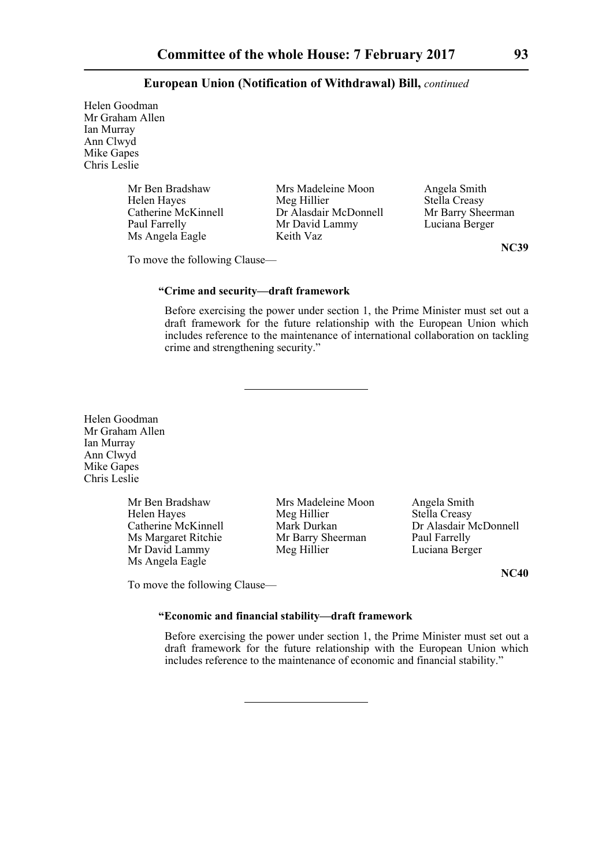Helen Goodman Mr Graham Allen Ian Murray Ann Clwyd Mike Gapes Chris Leslie

Ms Angela Eagle Keith Vaz

Mr Ben Bradshaw Mrs Madeleine Moon Angela Smith<br>
Helen Haves Meg Hillier Stella Creasy Helen Hayes Meg Hillier Stella Creasy<br>Catherine McKinnell Dr Alasdair McDonnell Mr Barry Sheerman Catherine McKinnell Dr Alasdair McDonnell Mr Barry Sheern<br>
Paul Farrelly Mr David Lammy Luciana Berger Mr David Lammy

**NC39**

To move the following Clause—

## **"Crime and security—draft framework**

Before exercising the power under section 1, the Prime Minister must set out a draft framework for the future relationship with the European Union which includes reference to the maintenance of international collaboration on tackling crime and strengthening security."

Helen Goodman Mr Graham Allen Ian Murray Ann Clwyd Mike Gapes Chris Leslie

> Ms Margaret Ritchie Mr Barry Sh<br>Mr David Lammy Meg Hillier Ms Angela Eagle

Mr Ben Bradshaw Mrs Madeleine Moon Angela Smith<br>
Helen Haves Meg Hillier Stella Creasy Helen Hayes Meg Hillier Stella Creasy<br>Catherine McKinnell Mark Durkan Dr Alasdair N Mr David Lammy Meg Hillier Luciana Berger

Mark Durkan Dr Alasdair McDonnell<br>
Mr Barry Sheerman Paul Farrelly

**NC40**

To move the following Clause—

# **"Economic and financial stability—draft framework**

Before exercising the power under section 1, the Prime Minister must set out a draft framework for the future relationship with the European Union which includes reference to the maintenance of economic and financial stability."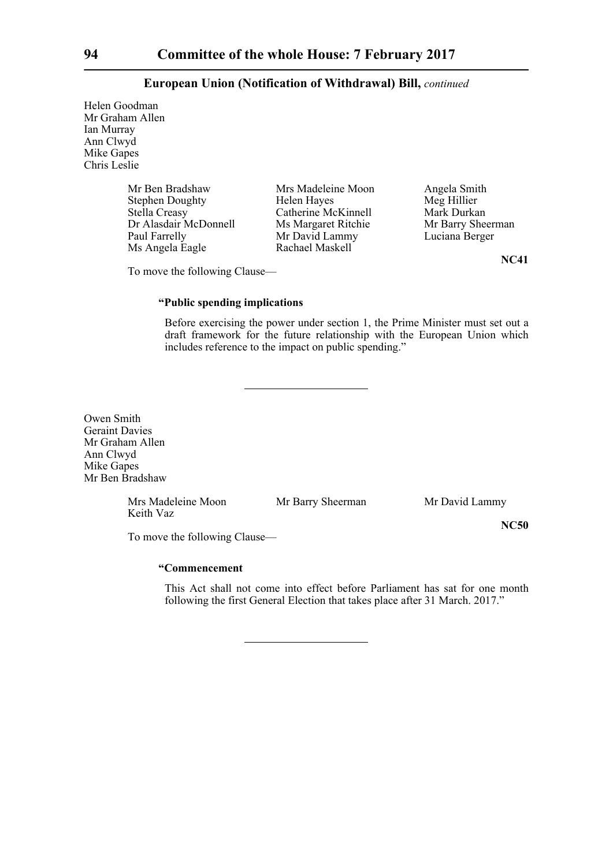Helen Goodman Mr Graham Allen Ian Murray Ann Clwyd Mike Gapes Chris Leslie

| Mr Ben Bradshaw        | Mrs Madeleine Moon  |
|------------------------|---------------------|
| <b>Stephen Doughty</b> | Helen Hayes         |
| Stella Creasy          | Catherine McKinnell |
| Dr Alasdair McDonnell  | Ms Margaret Ritchie |
| Paul Farrelly          | Mr David Lammy      |
| Ms Angela Eagle        | Rachael Maskell     |
|                        |                     |

Angela Smith Meg Hillier Mark Durkan Mr Barry Sheerman Luciana Berger

**NC41**

**NC50**

To move the following Clause—

# **"Public spending implications**

Before exercising the power under section 1, the Prime Minister must set out a draft framework for the future relationship with the European Union which includes reference to the impact on public spending."

Owen Smith Geraint Davies Mr Graham Allen Ann Clwyd Mike Gapes Mr Ben Bradshaw

> Mrs Madeleine Moon Mr Barry Sheerman Mr David Lammy Keith Vaz

To move the following Clause—

# **"Commencement**

This Act shall not come into effect before Parliament has sat for one month following the first General Election that takes place after 31 March. 2017."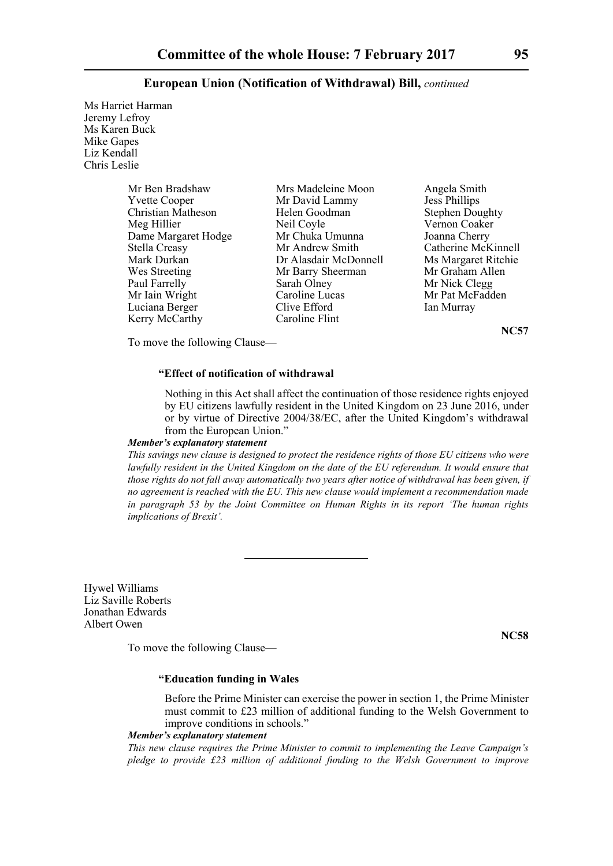Ms Harriet Harman Jeremy Lefroy Ms Karen Buck Mike Gapes Liz Kendall Chris Leslie

| Mrs Madeleine Moon    | Angela Smith           |
|-----------------------|------------------------|
| Mr David Lammy        | <b>Jess Phillips</b>   |
| Helen Goodman         | <b>Stephen Doughty</b> |
| Neil Coyle            | Vernon Coaker          |
| Mr Chuka Umunna       | Joanna Cherry          |
| Mr Andrew Smith       | Catherine McKinnell    |
| Dr Alasdair McDonnell | Ms Margaret Ritchie    |
| Mr Barry Sheerman     | Mr Graham Allen        |
| Sarah Olney           | Mr Nick Clegg          |
| Caroline Lucas        | Mr Pat McFadden        |
| Clive Efford          | Ian Murray             |
| Caroline Flint        |                        |
|                       |                        |

**NC57**

To move the following Clause—

## **"Effect of notification of withdrawal**

Nothing in this Act shall affect the continuation of those residence rights enjoyed by EU citizens lawfully resident in the United Kingdom on 23 June 2016, under or by virtue of Directive 2004/38/EC, after the United Kingdom's withdrawal from the European Union."

#### *Member's explanatory statement*

*This savings new clause is designed to protect the residence rights of those EU citizens who were lawfully resident in the United Kingdom on the date of the EU referendum. It would ensure that those rights do not fall away automatically two years after notice of withdrawal has been given, if no agreement is reached with the EU. This new clause would implement a recommendation made in paragraph 53 by the Joint Committee on Human Rights in its report 'The human rights implications of Brexit'.*

Hywel Williams Liz Saville Roberts Jonathan Edwards Albert Owen

To move the following Clause—

**"Education funding in Wales**

Before the Prime Minister can exercise the power in section 1, the Prime Minister must commit to £23 million of additional funding to the Welsh Government to improve conditions in schools."

## *Member's explanatory statement*

*This new clause requires the Prime Minister to commit to implementing the Leave Campaign's pledge to provide £23 million of additional funding to the Welsh Government to improve*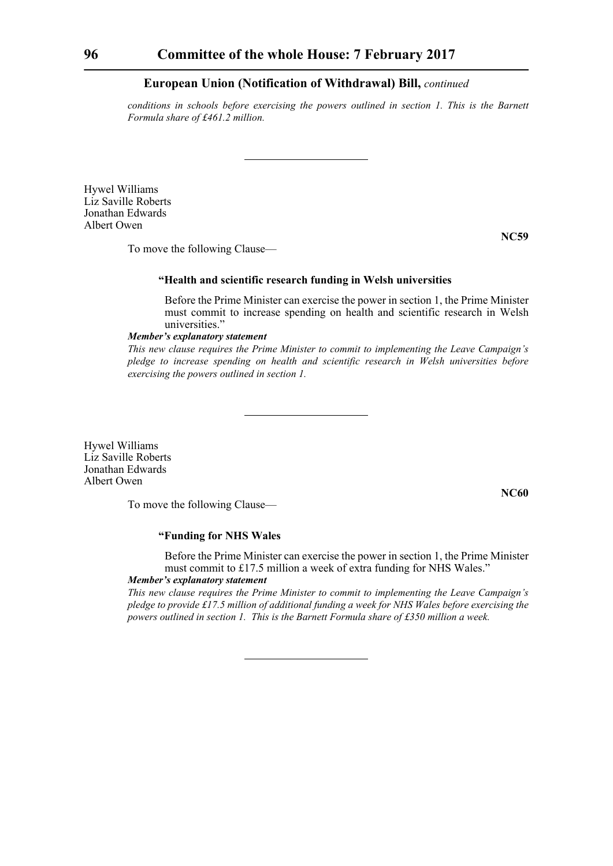*conditions in schools before exercising the powers outlined in section 1. This is the Barnett Formula share of £461.2 million.*

Hywel Williams Liz Saville Roberts Jonathan Edwards Albert Owen

**NC59**

To move the following Clause—

## **"Health and scientific research funding in Welsh universities**

Before the Prime Minister can exercise the power in section 1, the Prime Minister must commit to increase spending on health and scientific research in Welsh universities."

## *Member's explanatory statement*

*This new clause requires the Prime Minister to commit to implementing the Leave Campaign's pledge to increase spending on health and scientific research in Welsh universities before exercising the powers outlined in section 1.*

Hywel Williams Liz Saville Roberts Jonathan Edwards Albert Owen

To move the following Clause—

**NC60**

## **"Funding for NHS Wales**

Before the Prime Minister can exercise the power in section 1, the Prime Minister must commit to £17.5 million a week of extra funding for NHS Wales."

# *Member's explanatory statement*

*This new clause requires the Prime Minister to commit to implementing the Leave Campaign's pledge to provide £17.5 million of additional funding a week for NHS Wales before exercising the powers outlined in section 1. This is the Barnett Formula share of £350 million a week.*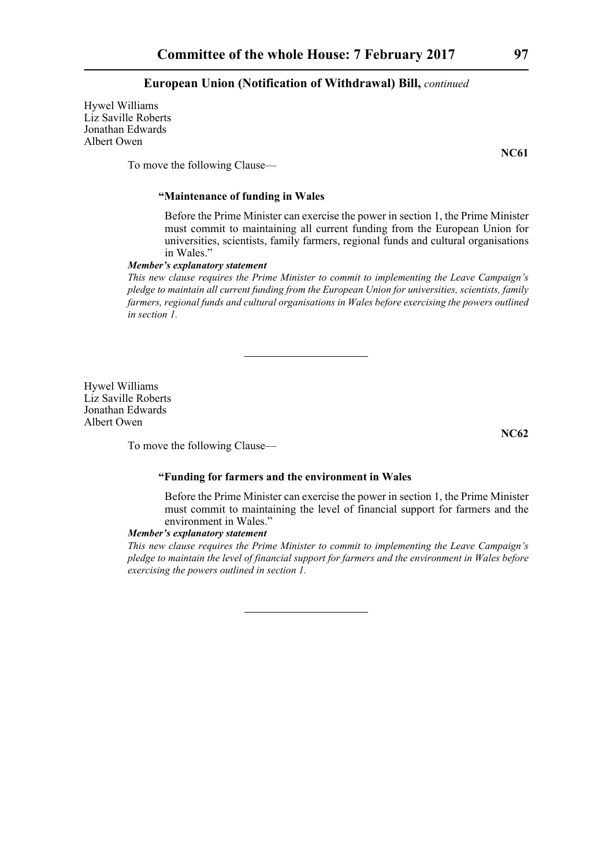Hywel Williams Liz Saville Roberts Jonathan Edwards Albert Owen

**NC61**

To move the following Clause—

# **"Maintenance of funding in Wales**

Before the Prime Minister can exercise the power in section 1, the Prime Minister must commit to maintaining all current funding from the European Union for universities, scientists, family farmers, regional funds and cultural organisations in Wales."

## *Member's explanatory statement*

*This new clause requires the Prime Minister to commit to implementing the Leave Campaign's pledge to maintain all current funding from the European Union for universities, scientists, family farmers, regional funds and cultural organisations in Wales before exercising the powers outlined in section 1.*

Hywel Williams Liz Saville Roberts Jonathan Edwards Albert Owen

**NC62**

To move the following Clause—

#### **"Funding for farmers and the environment in Wales**

Before the Prime Minister can exercise the power in section 1, the Prime Minister must commit to maintaining the level of financial support for farmers and the environment in Wales."

#### *Member's explanatory statement*

*This new clause requires the Prime Minister to commit to implementing the Leave Campaign's pledge to maintain the level of financial support for farmers and the environment in Wales before exercising the powers outlined in section 1.*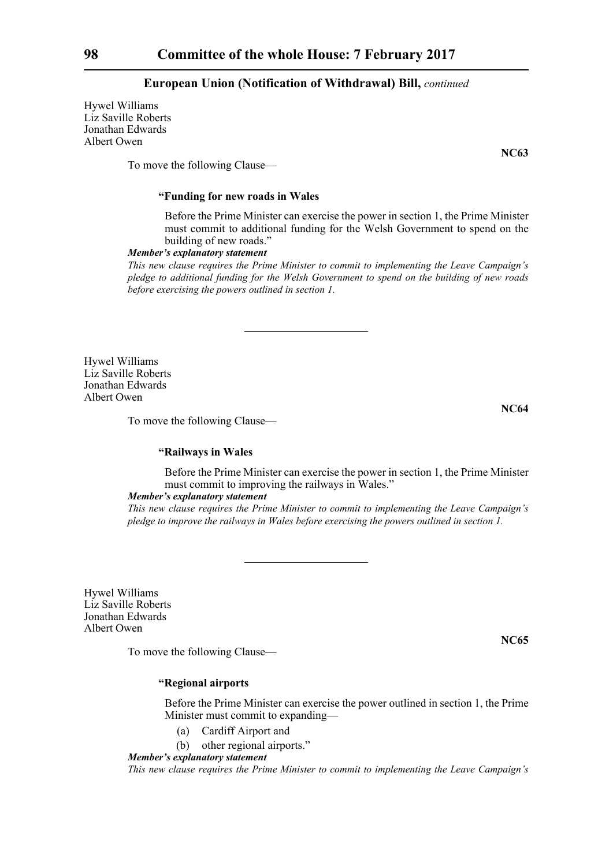Hywel Williams Liz Saville Roberts Jonathan Edwards Albert Owen

To move the following Clause—

## **"Funding for new roads in Wales**

Before the Prime Minister can exercise the power in section 1, the Prime Minister must commit to additional funding for the Welsh Government to spend on the building of new roads."

#### *Member's explanatory statement*

*This new clause requires the Prime Minister to commit to implementing the Leave Campaign's pledge to additional funding for the Welsh Government to spend on the building of new roads before exercising the powers outlined in section 1.*

Hywel Williams Liz Saville Roberts Jonathan Edwards Albert Owen

To move the following Clause—

#### **"Railways in Wales**

Before the Prime Minister can exercise the power in section 1, the Prime Minister must commit to improving the railways in Wales."

## *Member's explanatory statement*

*This new clause requires the Prime Minister to commit to implementing the Leave Campaign's pledge to improve the railways in Wales before exercising the powers outlined in section 1.*

Hywel Williams Liz Saville Roberts Jonathan Edwards Albert Owen

To move the following Clause—

**"Regional airports**

Before the Prime Minister can exercise the power outlined in section 1, the Prime Minister must commit to expanding—

- (a) Cardiff Airport and
- (b) other regional airports."

*Member's explanatory statement* 

*This new clause requires the Prime Minister to commit to implementing the Leave Campaign's*

**NC64**

**NC65**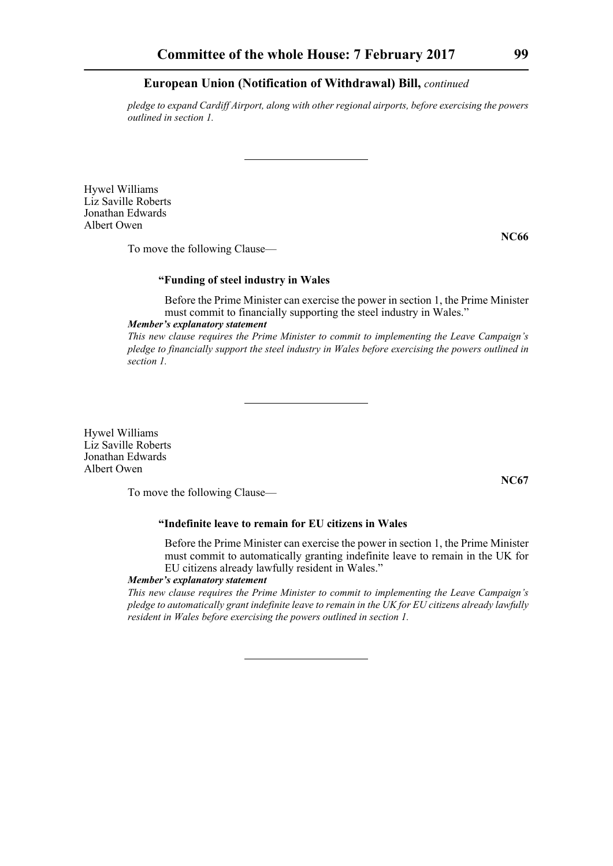*pledge to expand Cardiff Airport, along with other regional airports, before exercising the powers outlined in section 1.*

Hywel Williams Liz Saville Roberts Jonathan Edwards Albert Owen

To move the following Clause—

## **"Funding of steel industry in Wales**

Before the Prime Minister can exercise the power in section 1, the Prime Minister must commit to financially supporting the steel industry in Wales."

*Member's explanatory statement* 

*This new clause requires the Prime Minister to commit to implementing the Leave Campaign's pledge to financially support the steel industry in Wales before exercising the powers outlined in section 1.*

Hywel Williams Liz Saville Roberts Jonathan Edwards Albert Owen

To move the following Clause—

# **"Indefinite leave to remain for EU citizens in Wales**

Before the Prime Minister can exercise the power in section 1, the Prime Minister must commit to automatically granting indefinite leave to remain in the UK for EU citizens already lawfully resident in Wales."

## *Member's explanatory statement*

*This new clause requires the Prime Minister to commit to implementing the Leave Campaign's pledge to automatically grant indefinite leave to remain in the UK for EU citizens already lawfully resident in Wales before exercising the powers outlined in section 1.*

**NC66**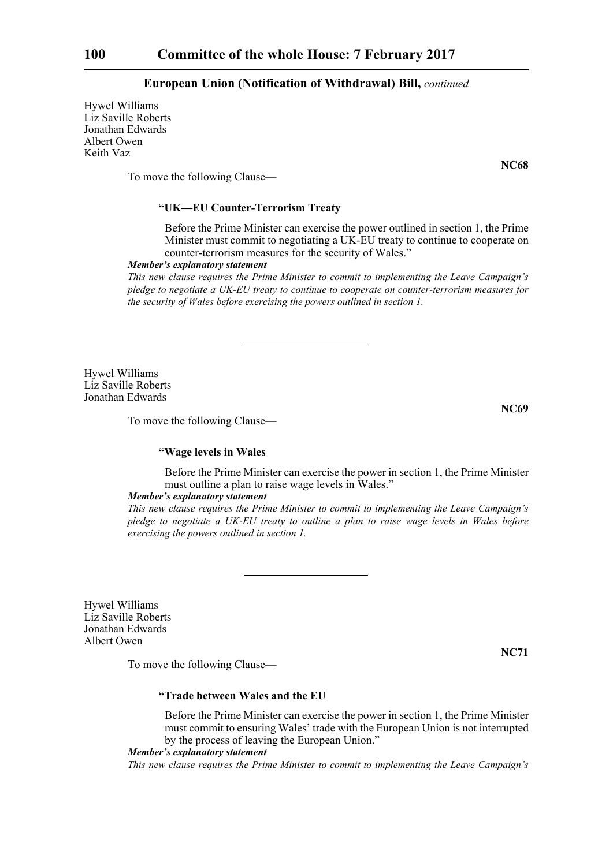Hywel Williams Liz Saville Roberts Jonathan Edwards Albert Owen Keith Vaz

To move the following Clause—

## **"UK—EU Counter-Terrorism Treaty**

Before the Prime Minister can exercise the power outlined in section 1, the Prime Minister must commit to negotiating a UK-EU treaty to continue to cooperate on counter-terrorism measures for the security of Wales."

#### *Member's explanatory statement*

*This new clause requires the Prime Minister to commit to implementing the Leave Campaign's pledge to negotiate a UK-EU treaty to continue to cooperate on counter-terrorism measures for the security of Wales before exercising the powers outlined in section 1.*

Hywel Williams Liz Saville Roberts Jonathan Edwards

To move the following Clause—

## **"Wage levels in Wales**

Before the Prime Minister can exercise the power in section 1, the Prime Minister must outline a plan to raise wage levels in Wales."

## *Member's explanatory statement*

*This new clause requires the Prime Minister to commit to implementing the Leave Campaign's pledge to negotiate a UK-EU treaty to outline a plan to raise wage levels in Wales before exercising the powers outlined in section 1.*

Hywel Williams Liz Saville Roberts Jonathan Edwards Albert Owen

To move the following Clause—

**"Trade between Wales and the EU**

Before the Prime Minister can exercise the power in section 1, the Prime Minister must commit to ensuring Wales' trade with the European Union is not interrupted by the process of leaving the European Union."

#### *Member's explanatory statement*

*This new clause requires the Prime Minister to commit to implementing the Leave Campaign's*

#### **NC69**

**NC71**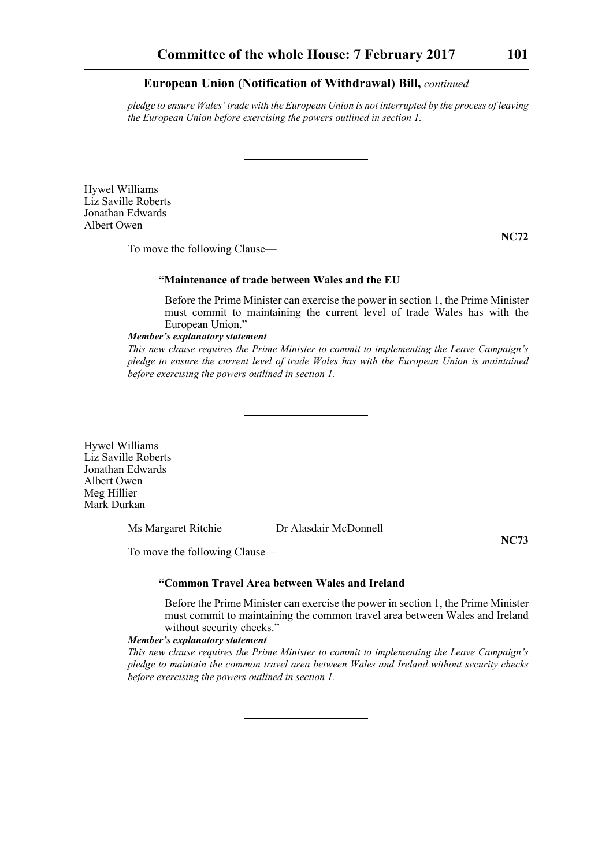*pledge to ensure Wales' trade with the European Union is not interrupted by the process of leaving the European Union before exercising the powers outlined in section 1.*

Hywel Williams Liz Saville Roberts Jonathan Edwards Albert Owen

To move the following Clause—

## **"Maintenance of trade between Wales and the EU**

Before the Prime Minister can exercise the power in section 1, the Prime Minister must commit to maintaining the current level of trade Wales has with the European Union."

#### *Member's explanatory statement*

*This new clause requires the Prime Minister to commit to implementing the Leave Campaign's pledge to ensure the current level of trade Wales has with the European Union is maintained before exercising the powers outlined in section 1.*

Hywel Williams Liz Saville Roberts Jonathan Edwards Albert Owen Meg Hillier Mark Durkan

Ms Margaret Ritchie Dr Alasdair McDonnell

**NC73**

To move the following Clause—

#### **"Common Travel Area between Wales and Ireland**

Before the Prime Minister can exercise the power in section 1, the Prime Minister must commit to maintaining the common travel area between Wales and Ireland without security checks."

#### *Member's explanatory statement*

*This new clause requires the Prime Minister to commit to implementing the Leave Campaign's pledge to maintain the common travel area between Wales and Ireland without security checks before exercising the powers outlined in section 1.*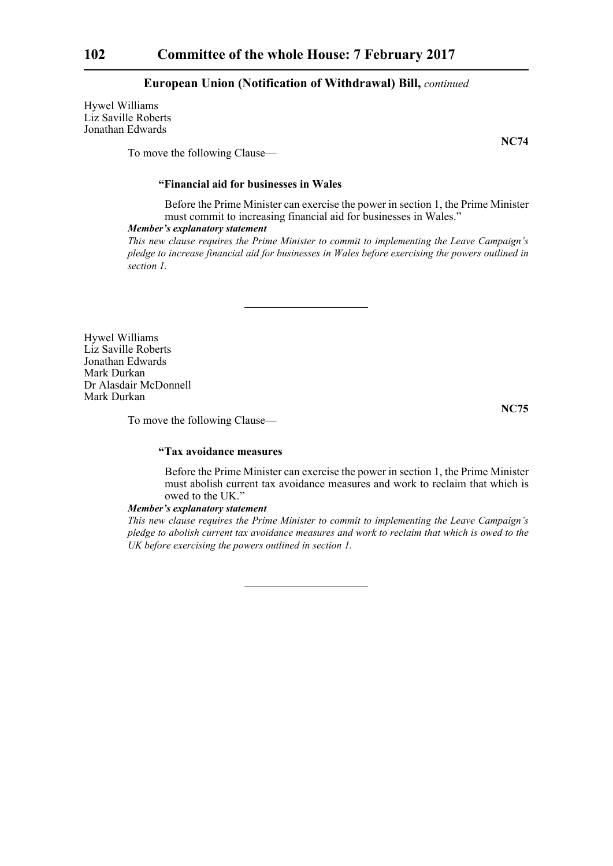Hywel Williams Liz Saville Roberts Jonathan Edwards

To move the following Clause—

# **"Financial aid for businesses in Wales**

Before the Prime Minister can exercise the power in section 1, the Prime Minister must commit to increasing financial aid for businesses in Wales."

## *Member's explanatory statement*

*This new clause requires the Prime Minister to commit to implementing the Leave Campaign's pledge to increase financial aid for businesses in Wales before exercising the powers outlined in section 1.*

Hywel Williams Liz Saville Roberts Jonathan Edwards Mark Durkan Dr Alasdair McDonnell Mark Durkan

**NC75**

To move the following Clause—

# **"Tax avoidance measures**

Before the Prime Minister can exercise the power in section 1, the Prime Minister must abolish current tax avoidance measures and work to reclaim that which is owed to the UK."

#### *Member's explanatory statement*

*This new clause requires the Prime Minister to commit to implementing the Leave Campaign's pledge to abolish current tax avoidance measures and work to reclaim that which is owed to the UK before exercising the powers outlined in section 1.*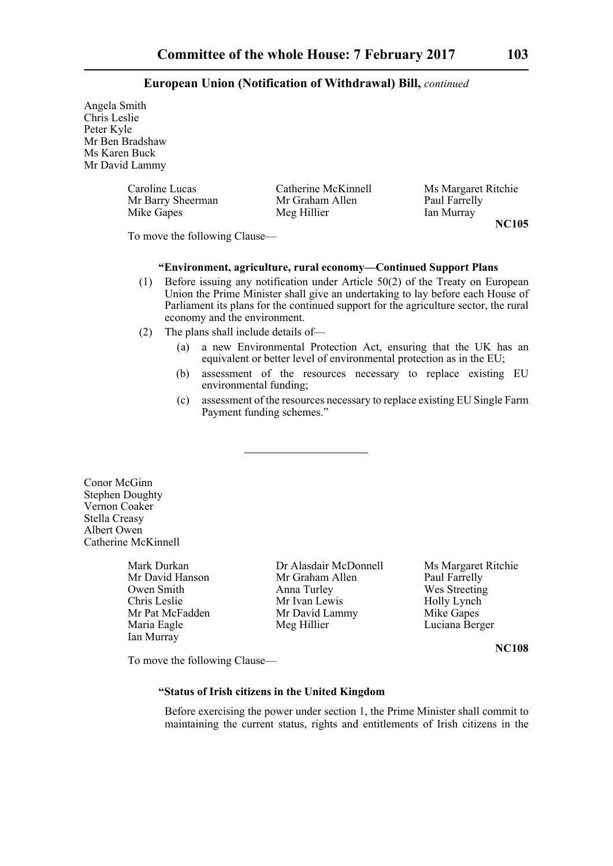Angela Smith Chris Leslie Peter Kyle Mr Ben Bradshaw Ms Karen Buck Mr David Lammy

| Caroline Lucas    | Catherine McKinnell | Ms Margaret Ritchie |
|-------------------|---------------------|---------------------|
| Mr Barry Sheerman | Mr Graham Allen     | Paul Farrelly       |
| Mike Gapes        | Meg Hillier         | Ian Murray          |

**NC105**

To move the following Clause—

## **"Environment, agriculture, rural economy—Continued Support Plans**

- (1) Before issuing any notification under Article 50(2) of the Treaty on European Union the Prime Minister shall give an undertaking to lay before each House of Parliament its plans for the continued support for the agriculture sector, the rural economy and the environment.
- (2) The plans shall include details of—
	- (a) a new Environmental Protection Act, ensuring that the UK has an equivalent or better level of environmental protection as in the EU;
	- (b) assessment of the resources necessary to replace existing EU environmental funding;
	- (c) assessment of the resources necessary to replace existing EU Single Farm Payment funding schemes."

Conor McGinn Stephen Doughty Vernon Coaker Stella Creasy Albert Owen Catherine McKinnell

Ian Murray

Mark Durkan Dr Alasdair McDonnell Ms Margaret Ritchie Mr David Hanson Mr Graham Allen Paul Farrelly Owen Smith Anna Turley Wes Streeting<br>
Chris Leslie Mr Ivan Lewis Holly Lynch Chris Leslie Mr Ivan Lewis Holly Lynch<br>
Mr David Lammy Mike Gapes<br>
Mr David Lammy Mike Gapes Mr Pat McFadden Mr David Lammy<br>
Maria Eagle Meg Hillier

Luciana Berger

**NC108**

To move the following Clause—

# **"Status of Irish citizens in the United Kingdom**

Before exercising the power under section 1, the Prime Minister shall commit to maintaining the current status, rights and entitlements of Irish citizens in the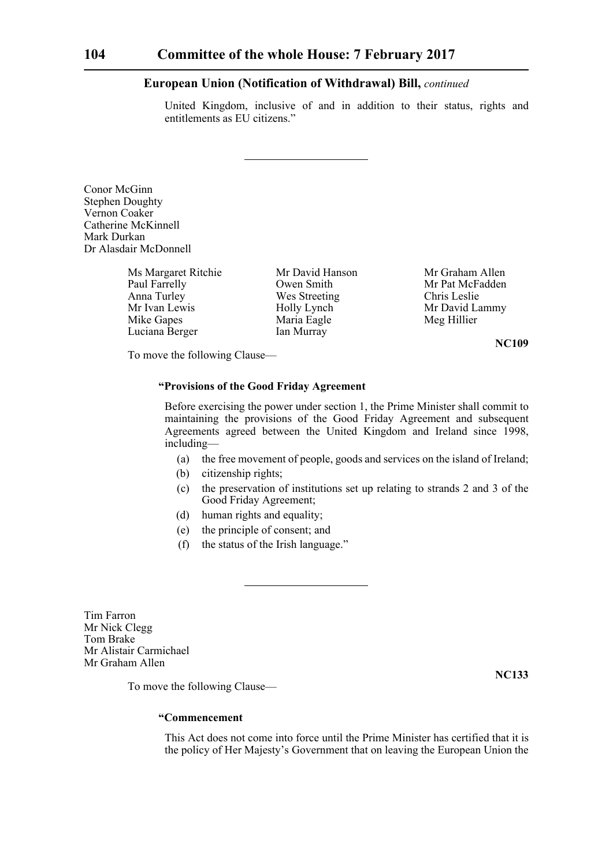United Kingdom, inclusive of and in addition to their status, rights and entitlements as EU citizens."

Conor McGinn Stephen Doughty Vernon Coaker Catherine McKinnell Mark Durkan Dr Alasdair McDonnell

> Ms Margaret Ritchie Mr David Hanson Mr Graham Allen<br>
> Paul Farrelly Owen Smith Mr Pat McFadden Anna Turley Wes Streeting Chris Leslie Mr Ivan Lewis Holly Lynch Mr David Lammy<br>
> Mike Gapes Maria Eagle Meg Hillier Luciana Berger Ian Murray

Maria Eagle

Mr Pat McFadden

**NC109**

To move the following Clause—

## **"Provisions of the Good Friday Agreement**

Before exercising the power under section 1, the Prime Minister shall commit to maintaining the provisions of the Good Friday Agreement and subsequent Agreements agreed between the United Kingdom and Ireland since 1998, including—

- (a) the free movement of people, goods and services on the island of Ireland;
- (b) citizenship rights;
- (c) the preservation of institutions set up relating to strands 2 and 3 of the Good Friday Agreement;
- (d) human rights and equality;
- (e) the principle of consent; and
- (f) the status of the Irish language."

Tim Farron Mr Nick Clegg Tom Brake Mr Alistair Carmichael Mr Graham Allen

**NC133**

To move the following Clause—

## **"Commencement**

This Act does not come into force until the Prime Minister has certified that it is the policy of Her Majesty's Government that on leaving the European Union the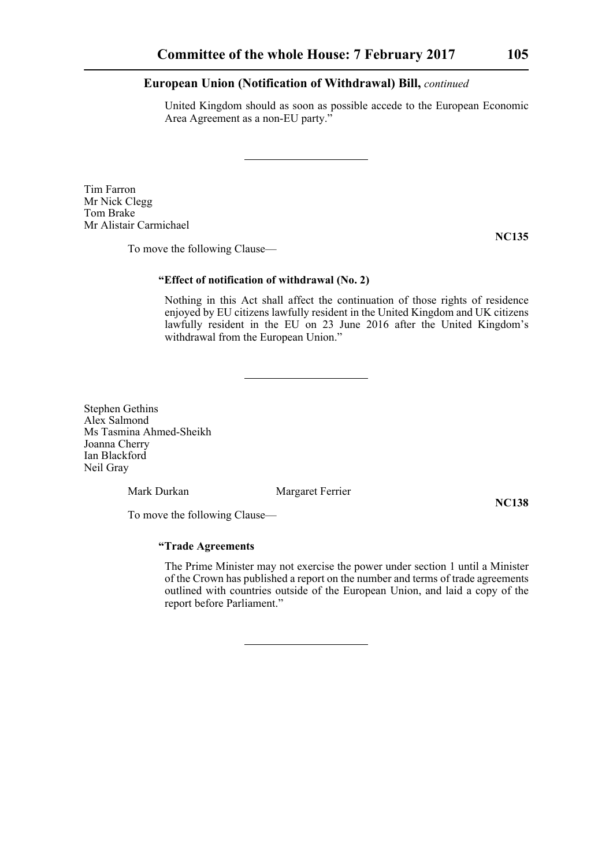United Kingdom should as soon as possible accede to the European Economic Area Agreement as a non-EU party."

Tim Farron Mr Nick Clegg Tom Brake Mr Alistair Carmichael

To move the following Clause—

**NC135**

# **"Effect of notification of withdrawal (No. 2)**

Nothing in this Act shall affect the continuation of those rights of residence enjoyed by EU citizens lawfully resident in the United Kingdom and UK citizens lawfully resident in the EU on 23 June 2016 after the United Kingdom's withdrawal from the European Union."

Stephen Gethins Alex Salmond Ms Tasmina Ahmed-Sheikh Joanna Cherry Ian Blackford Neil Gray

Mark Durkan Margaret Ferrier

**NC138**

To move the following Clause—

# **"Trade Agreements**

The Prime Minister may not exercise the power under section 1 until a Minister of the Crown has published a report on the number and terms of trade agreements outlined with countries outside of the European Union, and laid a copy of the report before Parliament."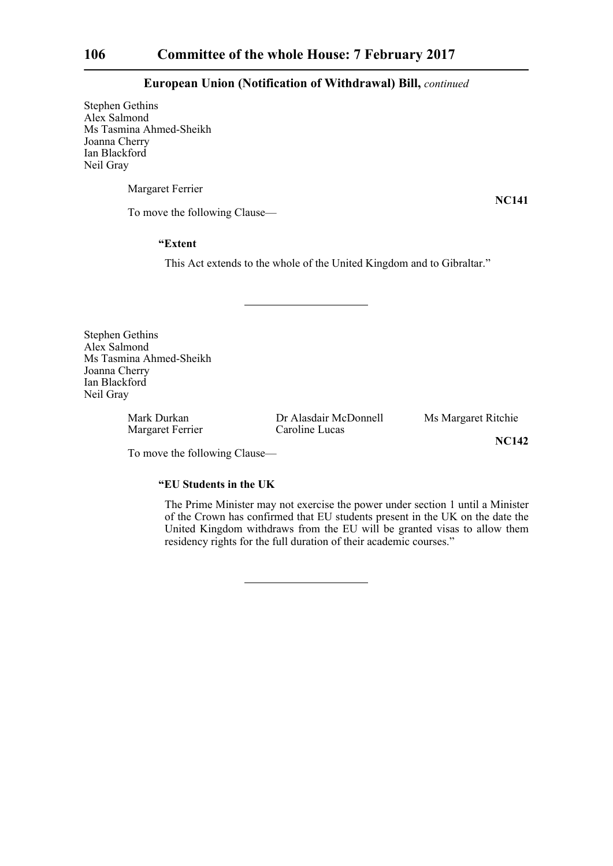Stephen Gethins Alex Salmond Ms Tasmina Ahmed-Sheikh Joanna Cherry Ian Blackford Neil Gray

Margaret Ferrier

**NC141**

To move the following Clause—

## **"Extent**

This Act extends to the whole of the United Kingdom and to Gibraltar."

Stephen Gethins Alex Salmond Ms Tasmina Ahmed-Sheikh Joanna Cherry Ian Blackford Neil Gray

Margaret Ferrier Caroline Lucas

Mark Durkan Dr Alasdair McDonnell Ms Margaret Ritchie

**NC142**

To move the following Clause—

# **"EU Students in the UK**

The Prime Minister may not exercise the power under section 1 until a Minister of the Crown has confirmed that EU students present in the UK on the date the United Kingdom withdraws from the EU will be granted visas to allow them residency rights for the full duration of their academic courses."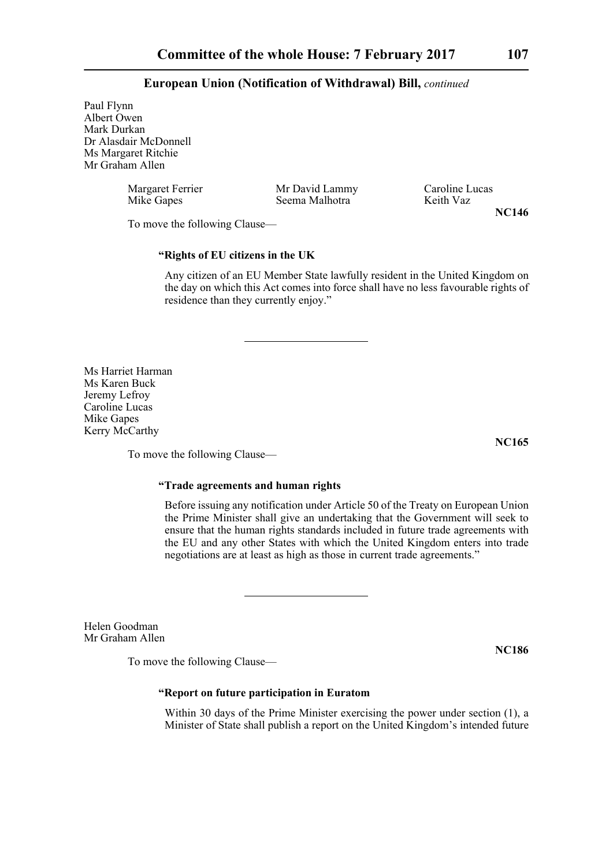Paul Flynn Albert Owen Mark Durkan Dr Alasdair McDonnell Ms Margaret Ritchie Mr Graham Allen

| Margaret Ferrier | Mr David Lammy | Caroline Lucas |
|------------------|----------------|----------------|
| Mike Gapes       | Seema Malhotra | Keith Vaz      |
|                  |                |                |

**NC146**

To move the following Clause—

# **"Rights of EU citizens in the UK**

Any citizen of an EU Member State lawfully resident in the United Kingdom on the day on which this Act comes into force shall have no less favourable rights of residence than they currently enjoy."

Ms Harriet Harman Ms Karen Buck Jeremy Lefroy Caroline Lucas Mike Gapes Kerry McCarthy

To move the following Clause—

# **"Trade agreements and human rights**

Before issuing any notification under Article 50 of the Treaty on European Union the Prime Minister shall give an undertaking that the Government will seek to ensure that the human rights standards included in future trade agreements with the EU and any other States with which the United Kingdom enters into trade negotiations are at least as high as those in current trade agreements."

Helen Goodman Mr Graham Allen

To move the following Clause—

**NC186**

## **"Report on future participation in Euratom**

Within 30 days of the Prime Minister exercising the power under section (1), a Minister of State shall publish a report on the United Kingdom's intended future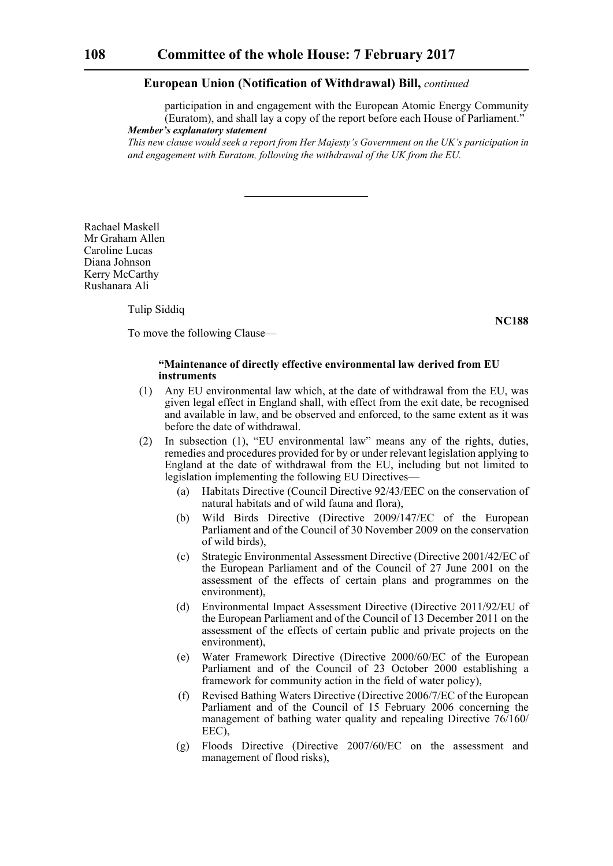participation in and engagement with the European Atomic Energy Community (Euratom), and shall lay a copy of the report before each House of Parliament." *Member's explanatory statement* 

*This new clause would seek a report from Her Majesty's Government on the UK's participation in and engagement with Euratom, following the withdrawal of the UK from the EU.*

Rachael Maskell Mr Graham Allen Caroline Lucas Diana Johnson Kerry McCarthy Rushanara Ali

Tulip Siddiq

**NC188**

To move the following Clause—

## **"Maintenance of directly effective environmental law derived from EU instruments**

- (1) Any EU environmental law which, at the date of withdrawal from the EU, was given legal effect in England shall, with effect from the exit date, be recognised and available in law, and be observed and enforced, to the same extent as it was before the date of withdrawal.
- (2) In subsection (1), "EU environmental law" means any of the rights, duties, remedies and procedures provided for by or under relevant legislation applying to England at the date of withdrawal from the EU, including but not limited to legislation implementing the following EU Directives—
	- (a) Habitats Directive (Council Directive 92/43/EEC on the conservation of natural habitats and of wild fauna and flora),
	- (b) Wild Birds Directive (Directive 2009/147/EC of the European Parliament and of the Council of 30 November 2009 on the conservation of wild birds),
	- (c) Strategic Environmental Assessment Directive (Directive 2001/42/EC of the European Parliament and of the Council of 27 June 2001 on the assessment of the effects of certain plans and programmes on the environment),
	- (d) Environmental Impact Assessment Directive (Directive 2011/92/EU of the European Parliament and of the Council of 13 December 2011 on the assessment of the effects of certain public and private projects on the environment),
	- (e) Water Framework Directive (Directive 2000/60/EC of the European Parliament and of the Council of 23 October 2000 establishing a framework for community action in the field of water policy),
	- (f) Revised Bathing Waters Directive (Directive 2006/7/EC of the European Parliament and of the Council of 15 February 2006 concerning the management of bathing water quality and repealing Directive 76/160/ EEC),
	- (g) Floods Directive (Directive 2007/60/EC on the assessment and management of flood risks),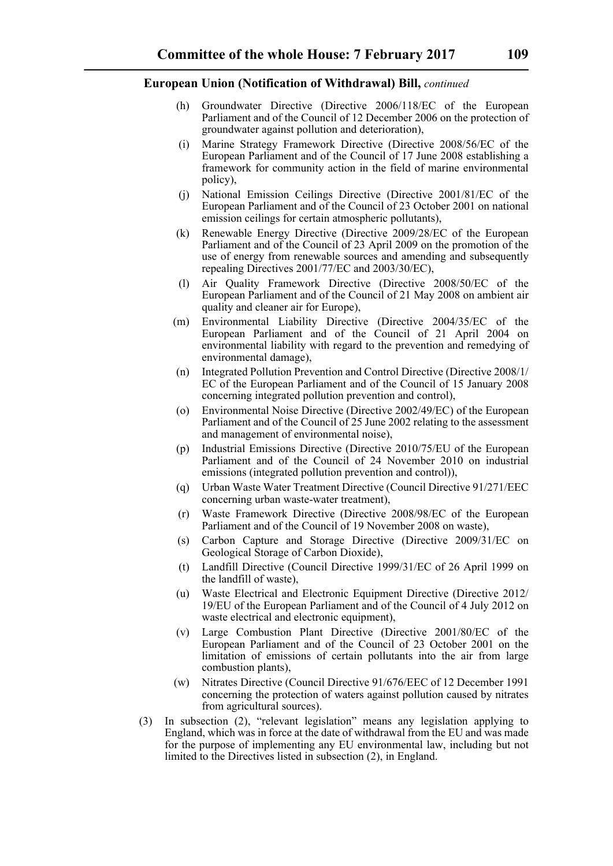- (h) Groundwater Directive (Directive 2006/118/EC of the European Parliament and of the Council of 12 December 2006 on the protection of groundwater against pollution and deterioration),
- (i) Marine Strategy Framework Directive (Directive 2008/56/EC of the European Parliament and of the Council of 17 June 2008 establishing a framework for community action in the field of marine environmental policy),
- (j) National Emission Ceilings Directive (Directive 2001/81/EC of the European Parliament and of the Council of 23 October 2001 on national emission ceilings for certain atmospheric pollutants),
- (k) Renewable Energy Directive (Directive 2009/28/EC of the European Parliament and of the Council of 23 April 2009 on the promotion of the use of energy from renewable sources and amending and subsequently repealing Directives 2001/77/EC and 2003/30/EC),
- (l) Air Quality Framework Directive (Directive 2008/50/EC of the European Parliament and of the Council of 21 May 2008 on ambient air quality and cleaner air for Europe),
- (m) Environmental Liability Directive (Directive 2004/35/EC of the European Parliament and of the Council of 21 April 2004 on environmental liability with regard to the prevention and remedying of environmental damage),
- (n) Integrated Pollution Prevention and Control Directive (Directive 2008/1/ EC of the European Parliament and of the Council of 15 January 2008 concerning integrated pollution prevention and control),
- (o) Environmental Noise Directive (Directive 2002/49/EC) of the European Parliament and of the Council of 25 June 2002 relating to the assessment and management of environmental noise),
- (p) Industrial Emissions Directive (Directive 2010/75/EU of the European Parliament and of the Council of 24 November 2010 on industrial emissions (integrated pollution prevention and control)),
- (q) Urban Waste Water Treatment Directive (Council Directive 91/271/EEC concerning urban waste-water treatment),
- (r) Waste Framework Directive (Directive 2008/98/EC of the European Parliament and of the Council of 19 November 2008 on waste),
- (s) Carbon Capture and Storage Directive (Directive 2009/31/EC on Geological Storage of Carbon Dioxide),
- (t) Landfill Directive (Council Directive 1999/31/EC of 26 April 1999 on the landfill of waste),
- (u) Waste Electrical and Electronic Equipment Directive (Directive 2012/ 19/EU of the European Parliament and of the Council of 4 July 2012 on waste electrical and electronic equipment),
- (v) Large Combustion Plant Directive (Directive 2001/80/EC of the European Parliament and of the Council of 23 October 2001 on the limitation of emissions of certain pollutants into the air from large combustion plants),
- (w) Nitrates Directive (Council Directive 91/676/EEC of 12 December 1991 concerning the protection of waters against pollution caused by nitrates from agricultural sources).
- (3) In subsection (2), "relevant legislation" means any legislation applying to England, which was in force at the date of withdrawal from the EU and was made for the purpose of implementing any EU environmental law, including but not limited to the Directives listed in subsection (2), in England.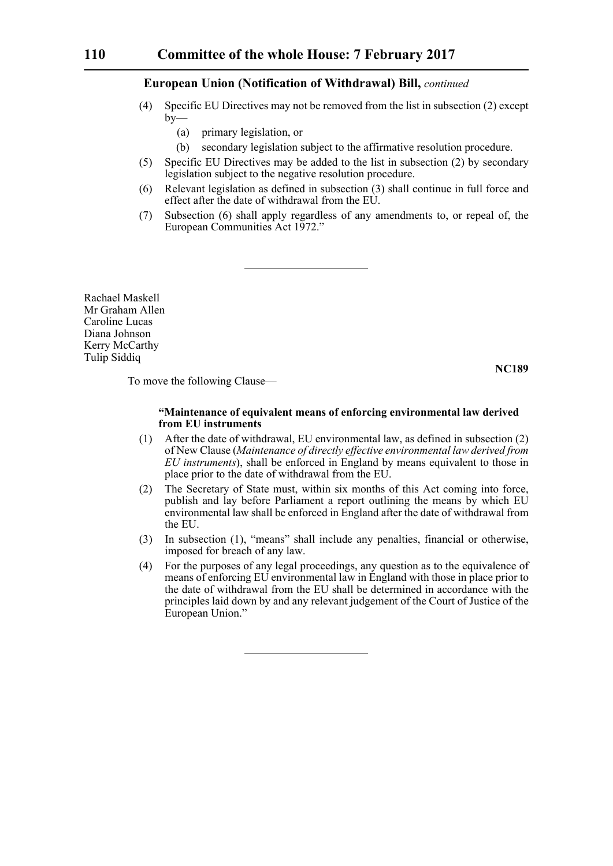- (4) Specific EU Directives may not be removed from the list in subsection (2) except  $by-$ 
	- (a) primary legislation, or
	- (b) secondary legislation subject to the affirmative resolution procedure.
- (5) Specific EU Directives may be added to the list in subsection (2) by secondary legislation subject to the negative resolution procedure.
- (6) Relevant legislation as defined in subsection (3) shall continue in full force and effect after the date of withdrawal from the EU.
- (7) Subsection (6) shall apply regardless of any amendments to, or repeal of, the European Communities Act 1972."

Rachael Maskell Mr Graham Allen Caroline Lucas Diana Johnson Kerry McCarthy Tulip Siddiq

**NC189**

To move the following Clause—

# **"Maintenance of equivalent means of enforcing environmental law derived from EU instruments**

- (1) After the date of withdrawal, EU environmental law, as defined in subsection (2) of New Clause (*Maintenance of directly effective environmental law derived from EU instruments*), shall be enforced in England by means equivalent to those in place prior to the date of withdrawal from the EU.
- (2) The Secretary of State must, within six months of this Act coming into force, publish and lay before Parliament a report outlining the means by which EU environmental law shall be enforced in England after the date of withdrawal from the EU.
- (3) In subsection (1), "means" shall include any penalties, financial or otherwise, imposed for breach of any law.
- (4) For the purposes of any legal proceedings, any question as to the equivalence of means of enforcing EU environmental law in England with those in place prior to the date of withdrawal from the EU shall be determined in accordance with the principles laid down by and any relevant judgement of the Court of Justice of the European Union."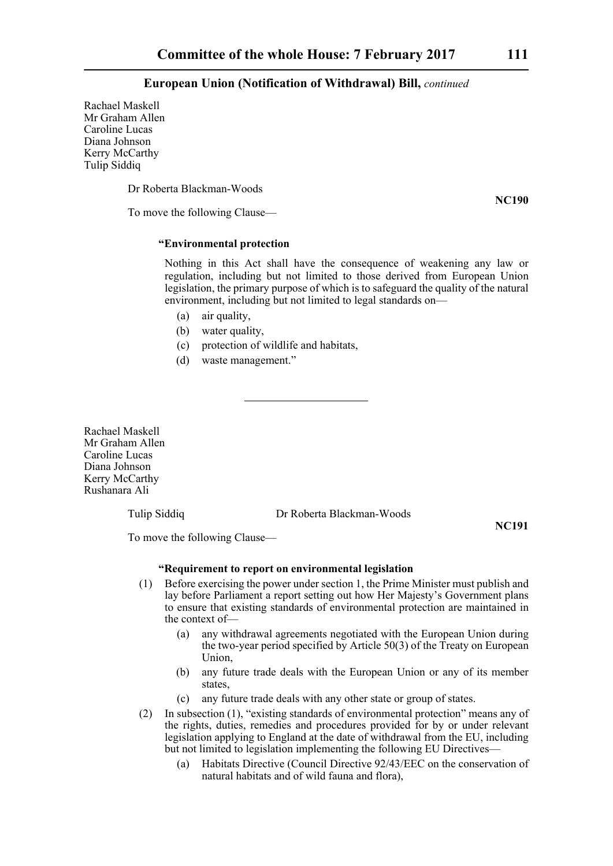Rachael Maskell Mr Graham Allen Caroline Lucas Diana Johnson Kerry McCarthy Tulip Siddiq

Dr Roberta Blackman-Woods

To move the following Clause—

# **"Environmental protection**

Nothing in this Act shall have the consequence of weakening any law or regulation, including but not limited to those derived from European Union legislation, the primary purpose of which is to safeguard the quality of the natural environment, including but not limited to legal standards on—

- (a) air quality,
- (b) water quality,
- (c) protection of wildlife and habitats,
- (d) waste management."

Rachael Maskell Mr Graham Allen Caroline Lucas Diana Johnson Kerry McCarthy Rushanara Ali

Tulip Siddiq Dr Roberta Blackman-Woods

**NC191**

To move the following Clause—

### **"Requirement to report on environmental legislation**

- (1) Before exercising the power under section 1, the Prime Minister must publish and lay before Parliament a report setting out how Her Majesty's Government plans to ensure that existing standards of environmental protection are maintained in the context of—
	- (a) any withdrawal agreements negotiated with the European Union during the two-year period specified by Article 50(3) of the Treaty on European Union,
	- (b) any future trade deals with the European Union or any of its member states,
	- (c) any future trade deals with any other state or group of states.
- (2) In subsection (1), "existing standards of environmental protection" means any of the rights, duties, remedies and procedures provided for by or under relevant legislation applying to England at the date of withdrawal from the EU, including but not limited to legislation implementing the following EU Directives—
	- (a) Habitats Directive (Council Directive 92/43/EEC on the conservation of natural habitats and of wild fauna and flora),

**NC190**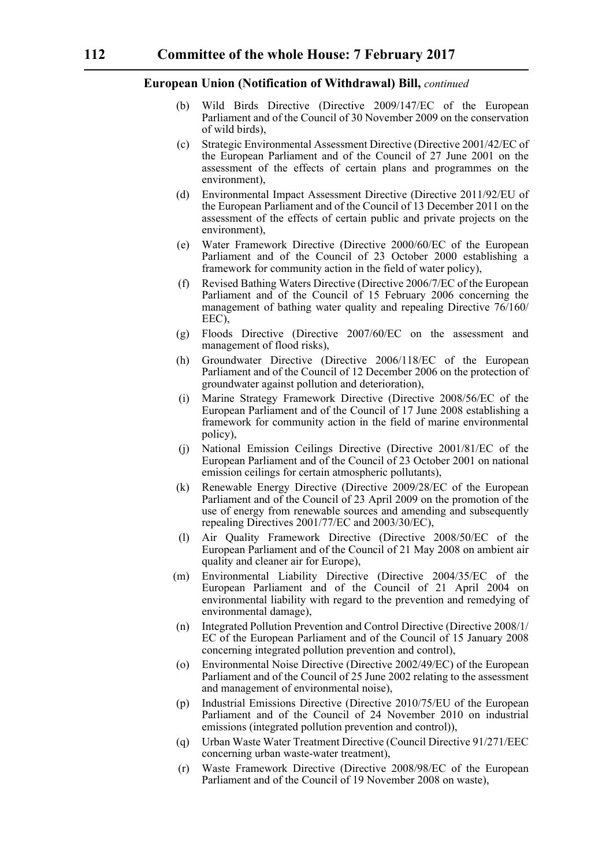- (b) Wild Birds Directive (Directive 2009/147/EC of the European Parliament and of the Council of 30 November 2009 on the conservation of wild birds),
- (c) Strategic Environmental Assessment Directive (Directive 2001/42/EC of the European Parliament and of the Council of 27 June 2001 on the assessment of the effects of certain plans and programmes on the environment),
- (d) Environmental Impact Assessment Directive (Directive 2011/92/EU of the European Parliament and of the Council of 13 December 2011 on the assessment of the effects of certain public and private projects on the environment),
- (e) Water Framework Directive (Directive 2000/60/EC of the European Parliament and of the Council of 23 October 2000 establishing a framework for community action in the field of water policy),
- (f) Revised Bathing Waters Directive (Directive 2006/7/EC of the European Parliament and of the Council of 15 February 2006 concerning the management of bathing water quality and repealing Directive 76/160/ EEC),
- (g) Floods Directive (Directive 2007/60/EC on the assessment and management of flood risks),
- (h) Groundwater Directive (Directive 2006/118/EC of the European Parliament and of the Council of 12 December 2006 on the protection of groundwater against pollution and deterioration),
- (i) Marine Strategy Framework Directive (Directive 2008/56/EC of the European Parliament and of the Council of 17 June 2008 establishing a framework for community action in the field of marine environmental policy),
- (j) National Emission Ceilings Directive (Directive 2001/81/EC of the European Parliament and of the Council of 23 October 2001 on national emission ceilings for certain atmospheric pollutants),
- (k) Renewable Energy Directive (Directive 2009/28/EC of the European Parliament and of the Council of 23 April 2009 on the promotion of the use of energy from renewable sources and amending and subsequently repealing Directives 2001/77/EC and 2003/30/EC),
- (l) Air Quality Framework Directive (Directive 2008/50/EC of the European Parliament and of the Council of 21 May 2008 on ambient air quality and cleaner air for Europe),
- (m) Environmental Liability Directive (Directive 2004/35/EC of the European Parliament and of the Council of 21 April 2004 on environmental liability with regard to the prevention and remedying of environmental damage),
- (n) Integrated Pollution Prevention and Control Directive (Directive 2008/1/ EC of the European Parliament and of the Council of 15 January 2008 concerning integrated pollution prevention and control),
- (o) Environmental Noise Directive (Directive 2002/49/EC) of the European Parliament and of the Council of 25 June 2002 relating to the assessment and management of environmental noise),
- (p) Industrial Emissions Directive (Directive 2010/75/EU of the European Parliament and of the Council of 24 November 2010 on industrial emissions (integrated pollution prevention and control)),
- (q) Urban Waste Water Treatment Directive (Council Directive 91/271/EEC concerning urban waste-water treatment),
- (r) Waste Framework Directive (Directive 2008/98/EC of the European Parliament and of the Council of 19 November 2008 on waste),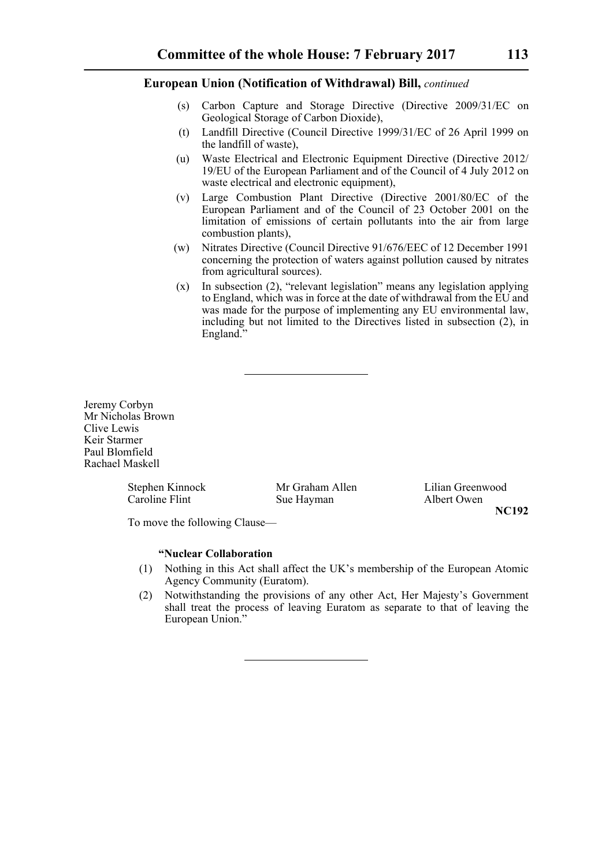- (s) Carbon Capture and Storage Directive (Directive 2009/31/EC on Geological Storage of Carbon Dioxide),
- (t) Landfill Directive (Council Directive 1999/31/EC of 26 April 1999 on the landfill of waste),
- (u) Waste Electrical and Electronic Equipment Directive (Directive 2012/ 19/EU of the European Parliament and of the Council of 4 July 2012 on waste electrical and electronic equipment),
- (v) Large Combustion Plant Directive (Directive 2001/80/EC of the European Parliament and of the Council of 23 October 2001 on the limitation of emissions of certain pollutants into the air from large combustion plants),
- (w) Nitrates Directive (Council Directive 91/676/EEC of 12 December 1991 concerning the protection of waters against pollution caused by nitrates from agricultural sources).
- (x) In subsection (2), "relevant legislation" means any legislation applying to England, which was in force at the date of withdrawal from the EU and was made for the purpose of implementing any EU environmental law, including but not limited to the Directives listed in subsection (2), in England.

Jeremy Corbyn Mr Nicholas Brown Clive Lewis Keir Starmer Paul Blomfield Rachael Maskell

Caroline Flint Sue Hayman Albert Owen

Stephen Kinnock Mr Graham Allen Lilian Greenwood **NC192**

To move the following Clause—

#### **"Nuclear Collaboration**

- (1) Nothing in this Act shall affect the UK's membership of the European Atomic Agency Community (Euratom).
- (2) Notwithstanding the provisions of any other Act, Her Majesty's Government shall treat the process of leaving Euratom as separate to that of leaving the European Union."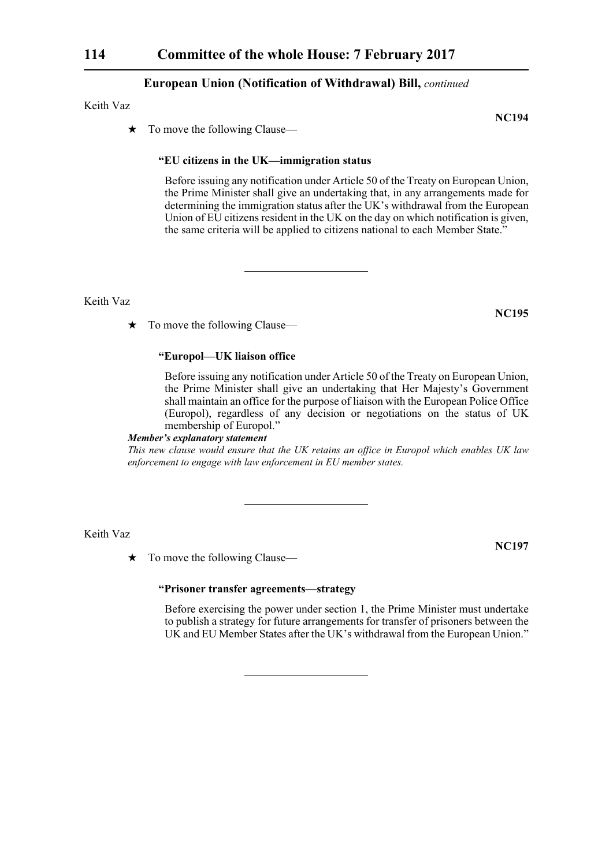# Keith Vaz

 $\star$  To move the following Clause—

# **"EU citizens in the UK—immigration status**

Before issuing any notification under Article 50 of the Treaty on European Union, the Prime Minister shall give an undertaking that, in any arrangements made for determining the immigration status after the UK's withdrawal from the European Union of EU citizens resident in the UK on the day on which notification is given, the same criteria will be applied to citizens national to each Member State."

Keith Vaz

 $\star$  To move the following Clause—

# **"Europol—UK liaison office**

Before issuing any notification under Article 50 of the Treaty on European Union, the Prime Minister shall give an undertaking that Her Majesty's Government shall maintain an office for the purpose of liaison with the European Police Office (Europol), regardless of any decision or negotiations on the status of UK membership of Europol."

# *Member's explanatory statement*

*This new clause would ensure that the UK retains an office in Europol which enables UK law enforcement to engage with law enforcement in EU member states.*

Keith Vaz

 $\star$  To move the following Clause—

# **"Prisoner transfer agreements—strategy**

Before exercising the power under section 1, the Prime Minister must undertake to publish a strategy for future arrangements for transfer of prisoners between the UK and EU Member States after the UK's withdrawal from the European Union."

**NC195**

**NC197**

**NC194**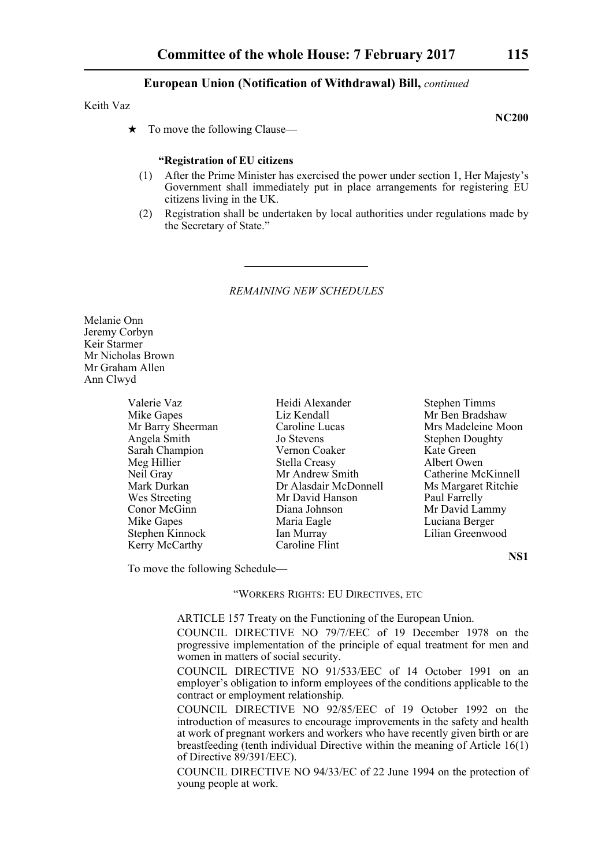#### Keith Vaz

 $\star$  To move the following Clause—

### **"Registration of EU citizens**

- (1) After the Prime Minister has exercised the power under section 1, Her Majesty's Government shall immediately put in place arrangements for registering EU citizens living in the UK.
- (2) Registration shall be undertaken by local authorities under regulations made by the Secretary of State."

#### *REMAINING NEW SCHEDULES*

Melanie Onn Jeremy Corbyn Keir Starmer Mr Nicholas Brown Mr Graham Allen Ann Clwyd

| Valerie Vaz       |
|-------------------|
| Mike Gapes        |
| Mr Barry Sheerman |
| Angela Smith      |
| Sarah Champion    |
| Meg Hillier       |
| Neil Gray         |
| Mark Durkan       |
| Wes Streeting     |
| Conor McGinn      |
| Mike Gapes        |
| Stephen Kinnock   |
| Kerry McCarthy    |

Liz Kendall Mr Ben Bradshaw n Caroline Lucas Mrs Madeleine Moon **Angele Stephen Doughty** Stephen Doughty Vernon Coaker Kate Green Stella Creasy Albert Owen<br>
Mr Andrew Smith Catherine Mo Dr Alasdair McDonnell Ms Margaret Ritchie Mr David Hanson Paul Farrelly Diana Johnson Mr David Lammy Maria Eagle Luciana Berger Ian Murray Lilian Greenwood Caroline Flint

Valerie Vaz Heidi Alexander Stephen Timms Catherine McKinnell

**NS1**

To move the following Schedule—

# "WORKERS RIGHTS: EU DIRECTIVES, ETC

ARTICLE 157 Treaty on the Functioning of the European Union.

COUNCIL DIRECTIVE NO 79/7/EEC of 19 December 1978 on the progressive implementation of the principle of equal treatment for men and women in matters of social security.

COUNCIL DIRECTIVE NO 91/533/EEC of 14 October 1991 on an employer's obligation to inform employees of the conditions applicable to the contract or employment relationship.

COUNCIL DIRECTIVE NO 92/85/EEC of 19 October 1992 on the introduction of measures to encourage improvements in the safety and health at work of pregnant workers and workers who have recently given birth or are breastfeeding (tenth individual Directive within the meaning of Article 16(1) of Directive 89/391/EEC).

COUNCIL DIRECTIVE NO 94/33/EC of 22 June 1994 on the protection of young people at work.

**NC200**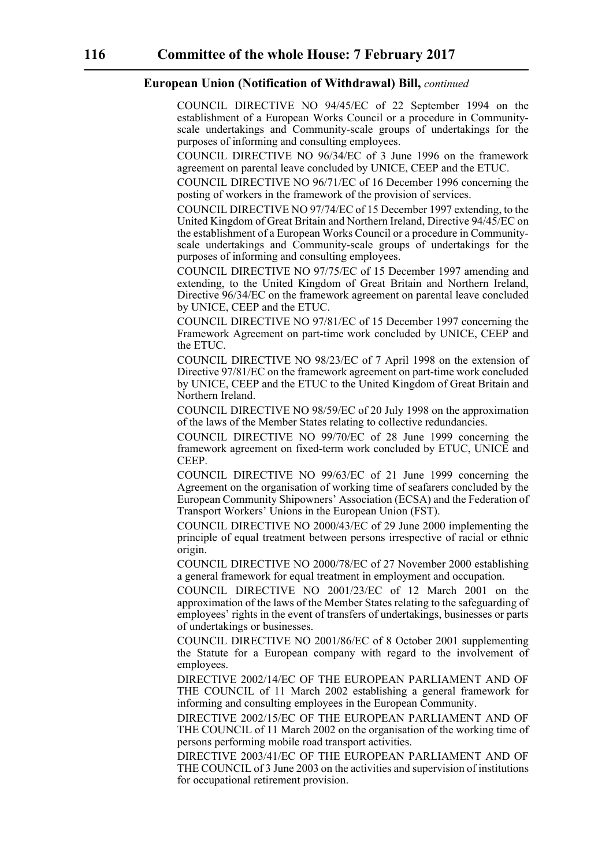COUNCIL DIRECTIVE NO 94/45/EC of 22 September 1994 on the establishment of a European Works Council or a procedure in Communityscale undertakings and Community-scale groups of undertakings for the purposes of informing and consulting employees.

COUNCIL DIRECTIVE NO 96/34/EC of 3 June 1996 on the framework agreement on parental leave concluded by UNICE, CEEP and the ETUC.

COUNCIL DIRECTIVE NO 96/71/EC of 16 December 1996 concerning the posting of workers in the framework of the provision of services.

COUNCIL DIRECTIVE NO 97/74/EC of 15 December 1997 extending, to the United Kingdom of Great Britain and Northern Ireland, Directive 94/45/EC on the establishment of a European Works Council or a procedure in Communityscale undertakings and Community-scale groups of undertakings for the purposes of informing and consulting employees.

COUNCIL DIRECTIVE NO 97/75/EC of 15 December 1997 amending and extending, to the United Kingdom of Great Britain and Northern Ireland, Directive 96/34/EC on the framework agreement on parental leave concluded by UNICE, CEEP and the ETUC.

COUNCIL DIRECTIVE NO 97/81/EC of 15 December 1997 concerning the Framework Agreement on part-time work concluded by UNICE, CEEP and the ETUC.

COUNCIL DIRECTIVE NO 98/23/EC of 7 April 1998 on the extension of Directive 97/81/EC on the framework agreement on part-time work concluded by UNICE, CEEP and the ETUC to the United Kingdom of Great Britain and Northern Ireland.

COUNCIL DIRECTIVE NO 98/59/EC of 20 July 1998 on the approximation of the laws of the Member States relating to collective redundancies.

COUNCIL DIRECTIVE NO 99/70/EC of 28 June 1999 concerning the framework agreement on fixed-term work concluded by ETUC, UNICE and CEEP.

COUNCIL DIRECTIVE NO 99/63/EC of 21 June 1999 concerning the Agreement on the organisation of working time of seafarers concluded by the European Community Shipowners' Association (ECSA) and the Federation of Transport Workers' Unions in the European Union (FST).

COUNCIL DIRECTIVE NO 2000/43/EC of 29 June 2000 implementing the principle of equal treatment between persons irrespective of racial or ethnic origin.

COUNCIL DIRECTIVE NO 2000/78/EC of 27 November 2000 establishing a general framework for equal treatment in employment and occupation.

COUNCIL DIRECTIVE NO 2001/23/EC of 12 March 2001 on the approximation of the laws of the Member States relating to the safeguarding of employees' rights in the event of transfers of undertakings, businesses or parts of undertakings or businesses.

COUNCIL DIRECTIVE NO 2001/86/EC of 8 October 2001 supplementing the Statute for a European company with regard to the involvement of employees.

DIRECTIVE 2002/14/EC OF THE EUROPEAN PARLIAMENT AND OF THE COUNCIL of 11 March 2002 establishing a general framework for informing and consulting employees in the European Community.

DIRECTIVE 2002/15/EC OF THE EUROPEAN PARLIAMENT AND OF THE COUNCIL of 11 March 2002 on the organisation of the working time of persons performing mobile road transport activities.

DIRECTIVE 2003/41/EC OF THE EUROPEAN PARLIAMENT AND OF THE COUNCIL of 3 June 2003 on the activities and supervision of institutions for occupational retirement provision.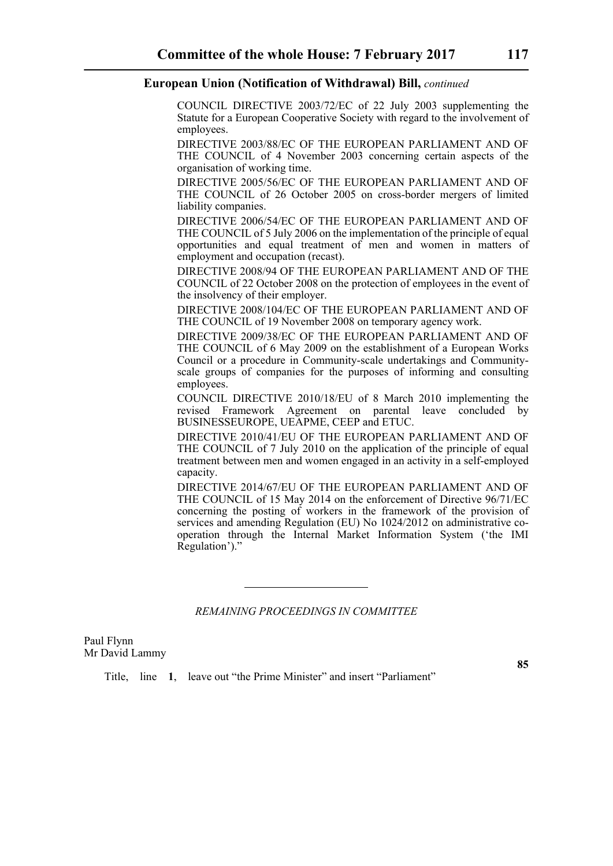COUNCIL DIRECTIVE 2003/72/EC of 22 July 2003 supplementing the Statute for a European Cooperative Society with regard to the involvement of employees.

DIRECTIVE 2003/88/EC OF THE EUROPEAN PARLIAMENT AND OF THE COUNCIL of 4 November 2003 concerning certain aspects of the organisation of working time.

DIRECTIVE 2005/56/EC OF THE EUROPEAN PARLIAMENT AND OF THE COUNCIL of 26 October 2005 on cross-border mergers of limited liability companies.

DIRECTIVE 2006/54/EC OF THE EUROPEAN PARLIAMENT AND OF THE COUNCIL of 5 July 2006 on the implementation of the principle of equal opportunities and equal treatment of men and women in matters of employment and occupation (recast).

DIRECTIVE 2008/94 OF THE EUROPEAN PARLIAMENT AND OF THE COUNCIL of 22 October 2008 on the protection of employees in the event of the insolvency of their employer.

DIRECTIVE 2008/104/EC OF THE EUROPEAN PARLIAMENT AND OF THE COUNCIL of 19 November 2008 on temporary agency work.

DIRECTIVE 2009/38/EC OF THE EUROPEAN PARLIAMENT AND OF THE COUNCIL of 6 May 2009 on the establishment of a European Works Council or a procedure in Community-scale undertakings and Communityscale groups of companies for the purposes of informing and consulting employees.

COUNCIL DIRECTIVE 2010/18/EU of 8 March 2010 implementing the revised Framework Agreement on parental leave concluded by BUSINESSEUROPE, UEAPME, CEEP and ETUC.

DIRECTIVE 2010/41/EU OF THE EUROPEAN PARLIAMENT AND OF THE COUNCIL of 7 July 2010 on the application of the principle of equal treatment between men and women engaged in an activity in a self-employed capacity.

DIRECTIVE 2014/67/EU OF THE EUROPEAN PARLIAMENT AND OF THE COUNCIL of 15 May 2014 on the enforcement of Directive 96/71/EC concerning the posting of workers in the framework of the provision of services and amending Regulation (EU) No 1024/2012 on administrative cooperation through the Internal Market Information System ('the IMI Regulation')."

# *REMAINING PROCEEDINGS IN COMMITTEE*

Paul Flynn Mr David Lammy

Title, line **1**, leave out "the Prime Minister" and insert "Parliament"

**85**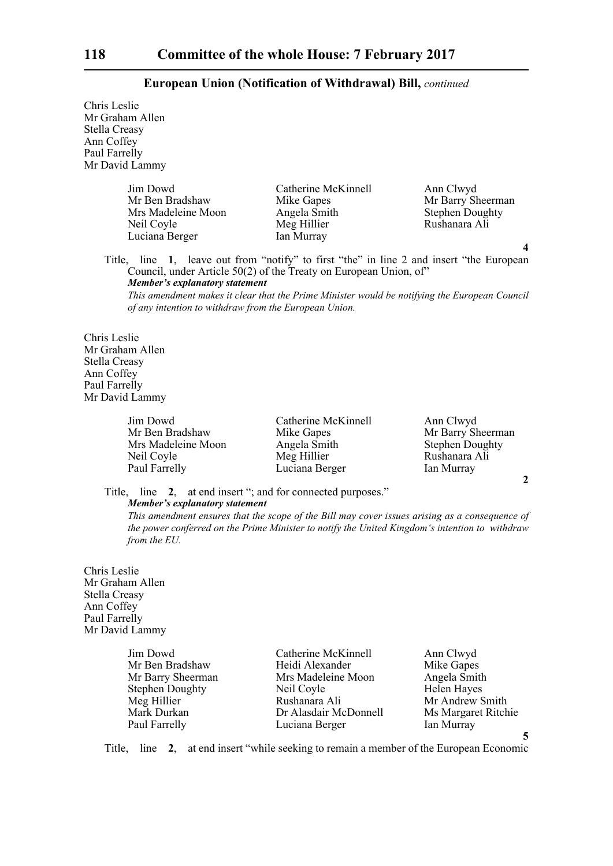Chris Leslie Mr Graham Allen Stella Creasy Ann Coffey Paul Farrelly Mr David Lammy

> Jim Dowd Catherine McKinnell Ann Clwyd Mrs Madeleine Moon<br>
> Neil Coyle<br>
> Meg Hillier Luciana Berger Ian Murray

Mr Barry Sheerman<br>Stephen Doughty Rushanara Ali

Title, line **1**, leave out from "notify" to first "the" in line 2 and insert "the European Council, under Article 50(2) of the Treaty on European Union, of" *Member's explanatory statement* 

*This amendment makes it clear that the Prime Minister would be notifying the European Council of any intention to withdraw from the European Union.*

Chris Leslie Mr Graham Allen Stella Creasy Ann Coffey Paul Farrelly Mr David Lammy

> Mrs Madeleine Moon Angela Smith Stephen Doughty<br>
> Neil Coyle Meg Hillier Rushanara Ali Neil Coyle Meg Hillier Rushanara Ali<br>
> Paul Farrelly Luciana Berger Ian Murray

Jim Dowd Catherine McKinnell Ann Clwyd Mike Gapes Mr Barry Sheerman Luciana Berger

**2**

**4**

Title, line **2**, at end insert "; and for connected purposes."

*Member's explanatory statement* 

*This amendment ensures that the scope of the Bill may cover issues arising as a consequence of the power conferred on the Prime Minister to notify the United Kingdom's intention to withdraw from the EU.*

Chris Leslie Mr Graham Allen Stella Creasy Ann Coffey Paul Farrelly Mr David Lammy

| Jim Dowd               | Catherine McKinnell   | Ann Clwyd           |
|------------------------|-----------------------|---------------------|
| Mr Ben Bradshaw        | Heidi Alexander       | Mike Gapes          |
| Mr Barry Sheerman      | Mrs Madeleine Moon    | Angela Smith        |
| <b>Stephen Doughty</b> | Neil Coyle            | Helen Hayes         |
| Meg Hillier            | Rushanara Ali         | Mr Andrew Smith     |
| Mark Durkan            | Dr Alasdair McDonnell | Ms Margaret Ritchie |
| Paul Farrelly          | Luciana Berger        | Ian Murray          |

**5**

Title, line **2**, at end insert "while seeking to remain a member of the European Economic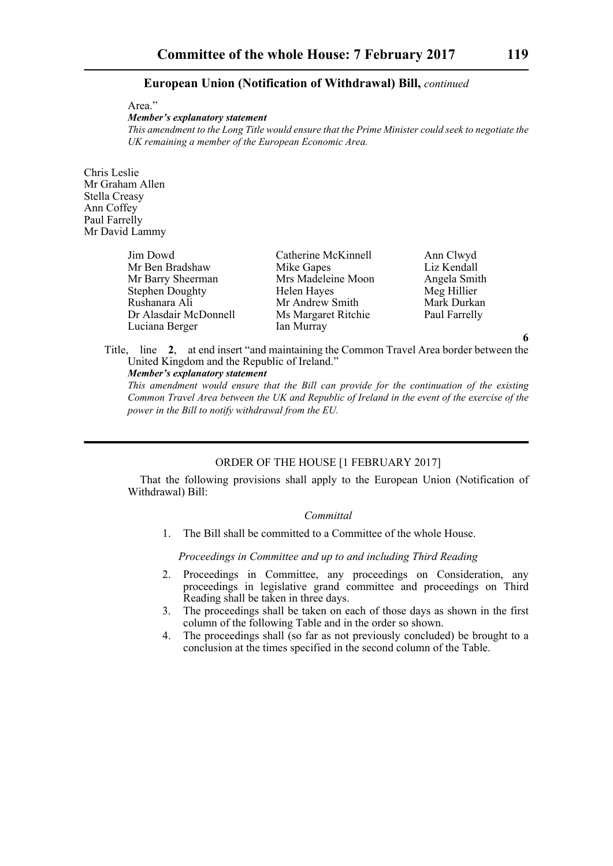Area."

*Member's explanatory statement* 

*This amendment to the Long Title would ensure that the Prime Minister could seek to negotiate the UK remaining a member of the European Economic Area.*

Chris Leslie Mr Graham Allen Stella Creasy Ann Coffey Paul Farrelly Mr David Lammy

| Jim Dowd               | Catherine McKinnell | Ann Clwyd     |
|------------------------|---------------------|---------------|
| Mr Ben Bradshaw        | Mike Gapes          | Liz Kendall   |
| Mr Barry Sheerman      | Mrs Madeleine Moon  | Angela Smith  |
| <b>Stephen Doughty</b> | Helen Hayes         | Meg Hillier   |
| Rushanara Ali          | Mr Andrew Smith     | Mark Durkan   |
| Dr Alasdair McDonnell  | Ms Margaret Ritchie | Paul Farrelly |
| Luciana Berger         | Ian Murray          |               |

Title, line **2**, at end insert "and maintaining the Common Travel Area border between the United Kingdom and the Republic of Ireland." *Member's explanatory statement* 

*This amendment would ensure that the Bill can provide for the continuation of the existing Common Travel Area between the UK and Republic of Ireland in the event of the exercise of the power in the Bill to notify withdrawal from the EU.*

#### ORDER OF THE HOUSE [1 FEBRUARY 2017]

That the following provisions shall apply to the European Union (Notification of Withdrawal) Bill:

# *Committal*

1. The Bill shall be committed to a Committee of the whole House.

*Proceedings in Committee and up to and including Third Reading*

- 2. Proceedings in Committee, any proceedings on Consideration, any proceedings in legislative grand committee and proceedings on Third Reading shall be taken in three days.
- 3. The proceedings shall be taken on each of those days as shown in the first column of the following Table and in the order so shown.
- 4. The proceedings shall (so far as not previously concluded) be brought to a conclusion at the times specified in the second column of the Table.

**6**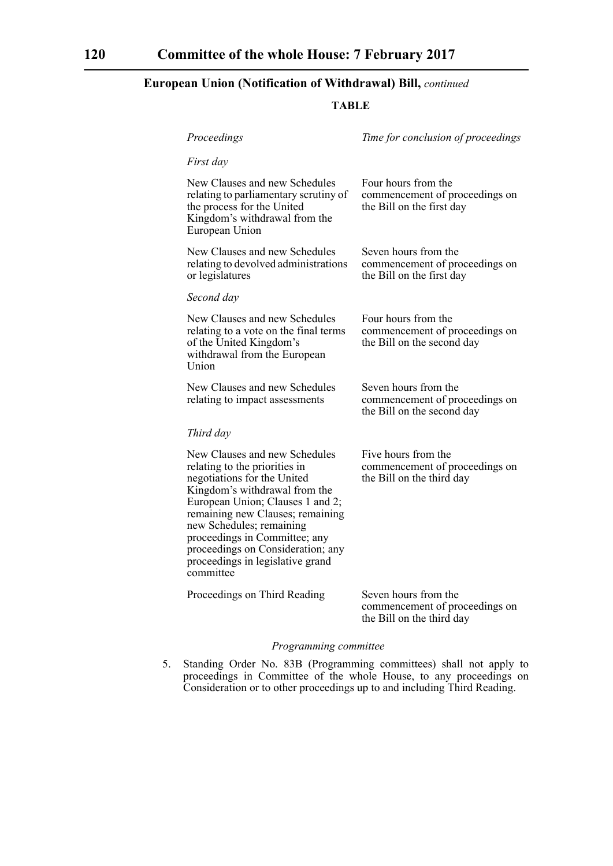# **TABLE**

| Proceedings                                                                                                                                                                                                                                                                                                                                               | Time for conclusion of proceedings                                                   |
|-----------------------------------------------------------------------------------------------------------------------------------------------------------------------------------------------------------------------------------------------------------------------------------------------------------------------------------------------------------|--------------------------------------------------------------------------------------|
| First day                                                                                                                                                                                                                                                                                                                                                 |                                                                                      |
| New Clauses and new Schedules<br>relating to parliamentary scrutiny of<br>the process for the United<br>Kingdom's withdrawal from the<br>European Union                                                                                                                                                                                                   | Four hours from the<br>commencement of proceedings on<br>the Bill on the first day   |
| New Clauses and new Schedules<br>relating to devolved administrations<br>or legislatures                                                                                                                                                                                                                                                                  | Seven hours from the<br>commencement of proceedings on<br>the Bill on the first day  |
| Second day                                                                                                                                                                                                                                                                                                                                                |                                                                                      |
| New Clauses and new Schedules<br>relating to a vote on the final terms<br>of the United Kingdom's<br>withdrawal from the European<br><b>Union</b>                                                                                                                                                                                                         | Four hours from the<br>commencement of proceedings on<br>the Bill on the second day  |
| New Clauses and new Schedules<br>relating to impact assessments                                                                                                                                                                                                                                                                                           | Seven hours from the<br>commencement of proceedings on<br>the Bill on the second day |
| Third day                                                                                                                                                                                                                                                                                                                                                 |                                                                                      |
| New Clauses and new Schedules<br>relating to the priorities in<br>negotiations for the United<br>Kingdom's withdrawal from the<br>European Union; Clauses 1 and 2;<br>remaining new Clauses; remaining<br>new Schedules; remaining<br>proceedings in Committee; any<br>proceedings on Consideration; any<br>proceedings in legislative grand<br>committee | Five hours from the<br>commencement of proceedings on<br>the Bill on the third day   |
| Proceedings on Third Reading                                                                                                                                                                                                                                                                                                                              | Seven hours from the<br>commencement of proceedings on<br>the Bill on the third day  |

# *Programming committee*

5. Standing Order No. 83B (Programming committees) shall not apply to proceedings in Committee of the whole House, to any proceedings on Consideration or to other proceedings up to and including Third Reading.